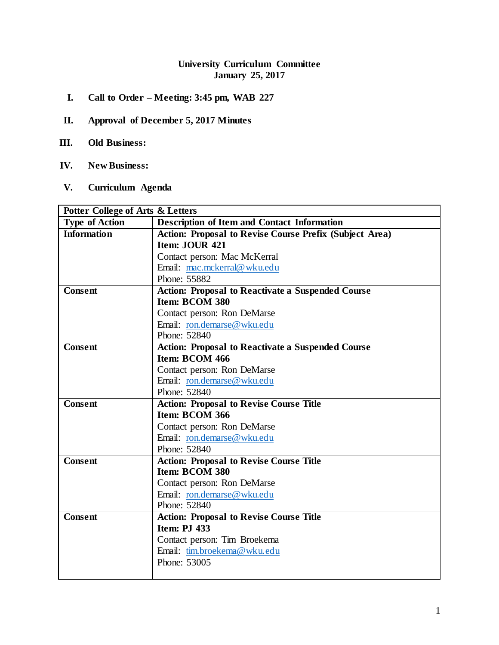# **University Curriculum Committee January 25, 2017**

- **I. Call to Order – Meeting: 3:45 pm, WAB 227**
- **II. Approval of December 5, 2017 Minutes**
- **III. Old Business:**
- **IV. New Business:**
- **V. Curriculum Agenda**

| Potter College of Arts & Letters |                                                                |  |
|----------------------------------|----------------------------------------------------------------|--|
| <b>Type of Action</b>            | <b>Description of Item and Contact Information</b>             |  |
| <b>Information</b>               | <b>Action: Proposal to Revise Course Prefix (Subject Area)</b> |  |
|                                  | Item: JOUR 421                                                 |  |
|                                  | Contact person: Mac McKerral                                   |  |
|                                  | Email: mac.mckerral@wku.edu                                    |  |
|                                  | Phone: 55882                                                   |  |
| <b>Consent</b>                   | <b>Action: Proposal to Reactivate a Suspended Course</b>       |  |
|                                  | Item: BCOM 380                                                 |  |
|                                  | Contact person: Ron DeMarse                                    |  |
|                                  | Email: ron.demarse@wku.edu                                     |  |
|                                  | Phone: 52840                                                   |  |
| <b>Consent</b>                   | <b>Action: Proposal to Reactivate a Suspended Course</b>       |  |
|                                  | Item: BCOM 466                                                 |  |
|                                  | Contact person: Ron DeMarse                                    |  |
|                                  | Email: ron.demarse@wku.edu                                     |  |
|                                  | Phone: 52840                                                   |  |
| <b>Consent</b>                   | <b>Action: Proposal to Revise Course Title</b>                 |  |
|                                  | Item: BCOM 366                                                 |  |
|                                  | Contact person: Ron DeMarse                                    |  |
|                                  | Email: ron.demarse@wku.edu                                     |  |
|                                  | Phone: 52840                                                   |  |
| <b>Consent</b>                   | <b>Action: Proposal to Revise Course Title</b>                 |  |
|                                  | Item: BCOM 380                                                 |  |
|                                  | Contact person: Ron DeMarse                                    |  |
|                                  | Email: ron.demarse@wku.edu                                     |  |
|                                  | Phone: 52840                                                   |  |
| <b>Consent</b>                   | <b>Action: Proposal to Revise Course Title</b>                 |  |
|                                  | <b>Item: P.I 433</b>                                           |  |
|                                  | Contact person: Tim Broekema                                   |  |
|                                  | Email: tim.broekema@wku.edu                                    |  |
|                                  | Phone: 53005                                                   |  |
|                                  |                                                                |  |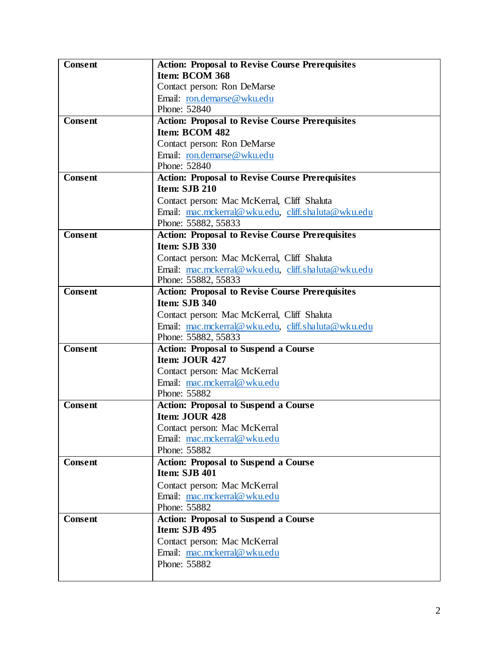| <b>Consent</b> | <b>Action: Proposal to Revise Course Prerequisites</b> |  |  |
|----------------|--------------------------------------------------------|--|--|
|                | Item: BCOM 368                                         |  |  |
|                | Contact person: Ron DeMarse                            |  |  |
|                | Email: ron.demarse@wku.edu                             |  |  |
|                | Phone: 52840                                           |  |  |
| <b>Consent</b> | <b>Action: Proposal to Revise Course Prerequisites</b> |  |  |
|                | Item: BCOM 482                                         |  |  |
|                | Contact person: Ron DeMarse                            |  |  |
|                | Email: ron.demarse@wku.edu                             |  |  |
|                | Phone: 52840                                           |  |  |
| <b>Consent</b> | <b>Action: Proposal to Revise Course Prerequisites</b> |  |  |
|                | Item: SJB 210                                          |  |  |
|                | Contact person: Mac McKerral, Cliff Shaluta            |  |  |
|                | Email: mac.mckerral@wku.edu, cliff.shaluta@wku.edu     |  |  |
|                | Phone: 55882, 55833                                    |  |  |
| <b>Consent</b> | <b>Action: Proposal to Revise Course Prerequisites</b> |  |  |
|                | <b>Item: SJB 330</b>                                   |  |  |
|                | Contact person: Mac McKerral, Cliff Shaluta            |  |  |
|                | Email: mac.mckerral@wku.edu, cliff.shaluta@wku.edu     |  |  |
|                | Phone: 55882, 55833                                    |  |  |
| <b>Consent</b> | <b>Action: Proposal to Revise Course Prerequisites</b> |  |  |
|                | Item: SJB 340                                          |  |  |
|                | Contact person: Mac McKerral, Cliff Shaluta            |  |  |
|                | Email: mac.mckerral@wku.edu, cliff.shaluta@wku.edu     |  |  |
|                | Phone: 55882, 55833                                    |  |  |
| <b>Consent</b> | <b>Action: Proposal to Suspend a Course</b>            |  |  |
|                | Item: JOUR 427                                         |  |  |
|                | Contact person: Mac McKerral                           |  |  |
|                | Email: mac.mckerral@wku.edu                            |  |  |
|                | Phone: 55882                                           |  |  |
| <b>Consent</b> | <b>Action: Proposal to Suspend a Course</b>            |  |  |
|                | Item: JOUR 428                                         |  |  |
|                | Contact person: Mac McKerral                           |  |  |
|                | Email: mac.mckerral@wku.edu                            |  |  |
|                | Phone: 55882                                           |  |  |
| <b>Consent</b> | <b>Action: Proposal to Suspend a Course</b>            |  |  |
|                | <b>Item: SJB 401</b>                                   |  |  |
|                | Contact person: Mac McKerral                           |  |  |
|                | Email: mac.mckerral@wku.edu                            |  |  |
|                | Phone: 55882                                           |  |  |
| <b>Consent</b> | <b>Action: Proposal to Suspend a Course</b>            |  |  |
|                | Item: SJB 495                                          |  |  |
|                | Contact person: Mac McKerral                           |  |  |
|                | Email: mac.mckerral@wku.edu                            |  |  |
|                | Phone: 55882                                           |  |  |
|                |                                                        |  |  |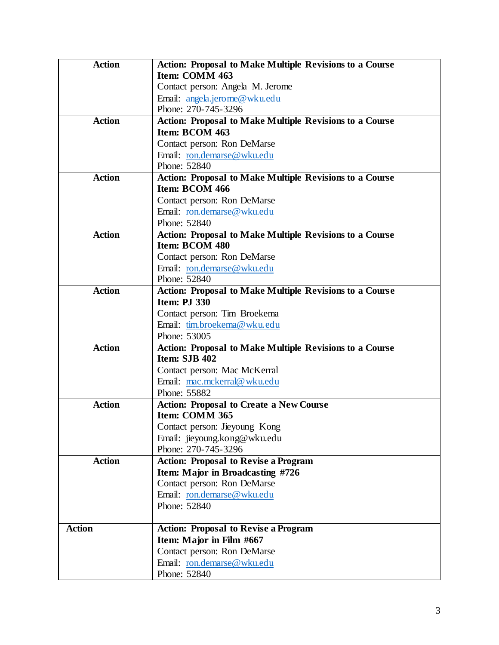| <b>Action</b> | Action: Proposal to Make Multiple Revisions to a Course        |  |
|---------------|----------------------------------------------------------------|--|
|               | Item: COMM 463                                                 |  |
|               | Contact person: Angela M. Jerome                               |  |
|               | Email: angela.jerome@wku.edu                                   |  |
|               | Phone: 270-745-3296                                            |  |
| <b>Action</b> | <b>Action: Proposal to Make Multiple Revisions to a Course</b> |  |
|               | Item: BCOM 463                                                 |  |
|               | Contact person: Ron DeMarse                                    |  |
|               | Email: ron.demarse@wku.edu                                     |  |
|               | Phone: 52840                                                   |  |
| <b>Action</b> | <b>Action: Proposal to Make Multiple Revisions to a Course</b> |  |
|               | Item: BCOM 466                                                 |  |
|               | Contact person: Ron DeMarse                                    |  |
|               | Email: ron.demarse@wku.edu                                     |  |
|               | Phone: 52840                                                   |  |
| <b>Action</b> | <b>Action: Proposal to Make Multiple Revisions to a Course</b> |  |
|               | Item: BCOM 480                                                 |  |
|               | Contact person: Ron DeMarse                                    |  |
|               | Email: ron.demarse@wku.edu                                     |  |
|               | Phone: 52840                                                   |  |
| <b>Action</b> | <b>Action: Proposal to Make Multiple Revisions to a Course</b> |  |
|               | <b>Item: PJ 330</b>                                            |  |
|               | Contact person: Tim Broekema                                   |  |
|               | Email: tim.broekema@wku.edu                                    |  |
|               | Phone: 53005                                                   |  |
| <b>Action</b> | Action: Proposal to Make Multiple Revisions to a Course        |  |
|               | Item: SJB 402                                                  |  |
|               | Contact person: Mac McKerral                                   |  |
|               | Email: mac.mckerral@wku.edu                                    |  |
|               | Phone: 55882                                                   |  |
| <b>Action</b> | <b>Action: Proposal to Create a New Course</b>                 |  |
|               | Item: COMM 365                                                 |  |
|               | Contact person: Jieyoung Kong                                  |  |
|               | Email: jieyoung.kong@wku.edu<br>Phone: 270-745-3296            |  |
| <b>Action</b> | <b>Action: Proposal to Revise a Program</b>                    |  |
|               | Item: Major in Broadcasting #726                               |  |
|               | Contact person: Ron DeMarse                                    |  |
|               | Email: ron.demarse@wku.edu                                     |  |
|               | Phone: 52840                                                   |  |
|               |                                                                |  |
| <b>Action</b> | <b>Action: Proposal to Revise a Program</b>                    |  |
|               | Item: Major in Film #667                                       |  |
|               | Contact person: Ron DeMarse                                    |  |
|               | Email: ron.demarse@wku.edu                                     |  |
|               | Phone: 52840                                                   |  |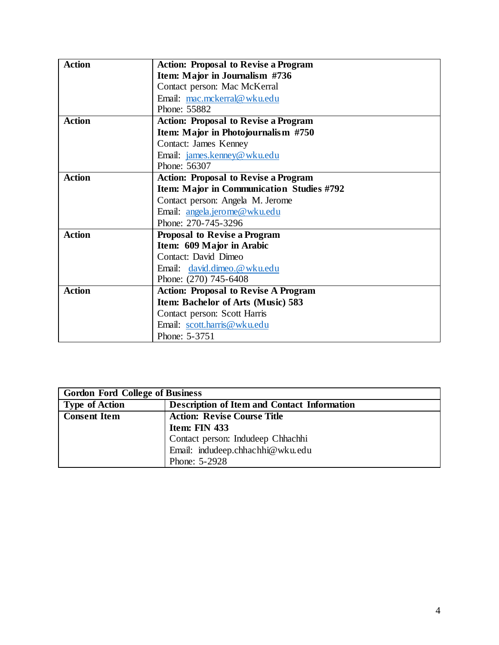| <b>Action</b> | <b>Action: Proposal to Revise a Program</b> |
|---------------|---------------------------------------------|
|               | Item: Major in Journalism #736              |
|               | Contact person: Mac McKerral                |
|               | Email: mac.mckerral@wku.edu                 |
|               | Phone: 55882                                |
| <b>Action</b> | <b>Action: Proposal to Revise a Program</b> |
|               | Item: Major in Photojournalism #750         |
|               | <b>Contact: James Kenney</b>                |
|               | Email: james.kenney@wku.edu                 |
|               | Phone: 56307                                |
| <b>Action</b> | <b>Action: Proposal to Revise a Program</b> |
|               | Item: Major in Communication Studies #792   |
|               | Contact person: Angela M. Jerome            |
|               | Email: angela.jerome@wku.edu                |
|               | Phone: 270-745-3296                         |
| <b>Action</b> | <b>Proposal to Revise a Program</b>         |
|               | Item: 609 Major in Arabic                   |
|               | Contact: David Dimeo                        |
|               | Email: david.dimeo.@wku.edu                 |
|               | Phone: (270) 745-6408                       |
| <b>Action</b> | <b>Action: Proposal to Revise A Program</b> |
|               | Item: Bachelor of Arts (Music) 583          |
|               | Contact person: Scott Harris                |
|               | Email: scott.harris@wku.edu                 |
|               | Phone: 5-3751                               |

| <b>Gordon Ford College of Business</b> |                                                    |  |
|----------------------------------------|----------------------------------------------------|--|
| <b>Type of Action</b>                  | <b>Description of Item and Contact Information</b> |  |
| <b>Consent Item</b>                    | <b>Action: Revise Course Title</b>                 |  |
|                                        | Item: FIN 433                                      |  |
|                                        | Contact person: Indudeep Chhachhi                  |  |
|                                        | Email: indudeep.chhachhi@wku.edu                   |  |
|                                        | Phone: 5-2928                                      |  |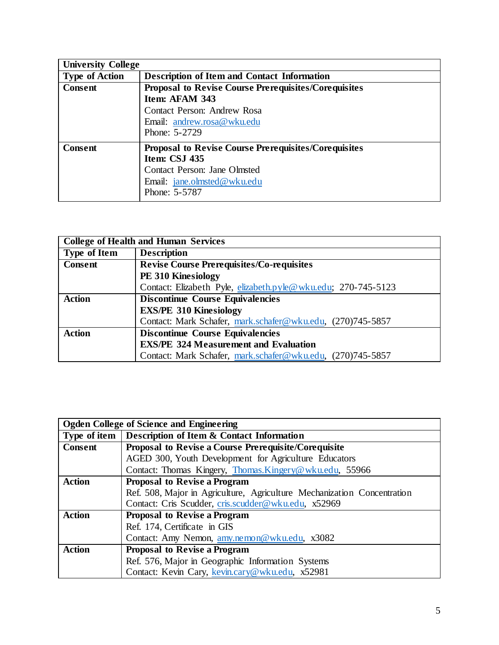| <b>University College</b> |                                                             |  |  |
|---------------------------|-------------------------------------------------------------|--|--|
| <b>Type of Action</b>     | <b>Description of Item and Contact Information</b>          |  |  |
| Consent                   | <b>Proposal to Revise Course Prerequisites/Corequisites</b> |  |  |
| Item: AFAM 343            |                                                             |  |  |
|                           | Contact Person: Andrew Rosa                                 |  |  |
|                           | Email: andrew.rosa@wku.edu                                  |  |  |
|                           | Phone: 5-2729                                               |  |  |
| Consent                   | <b>Proposal to Revise Course Prerequisites/Corequisites</b> |  |  |
|                           | Item: CSJ 435                                               |  |  |
|                           | Contact Person: Jane Olmsted                                |  |  |
|                           | Email: jane.olmsted@wku.edu                                 |  |  |
|                           | Phone: 5-5787                                               |  |  |

| <b>College of Health and Human Services</b> |                                                               |  |
|---------------------------------------------|---------------------------------------------------------------|--|
| <b>Type of Item</b>                         | <b>Description</b>                                            |  |
| <b>Consent</b>                              | <b>Revise Course Prerequisites/Co-requisites</b>              |  |
|                                             | PE 310 Kinesiology                                            |  |
|                                             | Contact: Elizabeth Pyle, elizabeth.pyle@wku.edu; 270-745-5123 |  |
| <b>Action</b>                               | <b>Discontinue Course Equivalencies</b>                       |  |
|                                             | <b>EXS/PE 310 Kinesiology</b>                                 |  |
|                                             | Contact: Mark Schafer, mark.schafer@wku.edu, (270)745-5857    |  |
| <b>Action</b>                               | <b>Discontinue Course Equivalencies</b>                       |  |
|                                             | <b>EXS/PE 324 Measurement and Evaluation</b>                  |  |
|                                             | Contact: Mark Schafer, mark.schafer@wku.edu, (270)745-5857    |  |

| <b>Ogden College of Science and Engineering</b> |                                                                         |  |
|-------------------------------------------------|-------------------------------------------------------------------------|--|
| Type of item                                    | Description of Item & Contact Information                               |  |
| <b>Consent</b>                                  | Proposal to Revise a Course Prerequisite/Corequisite                    |  |
|                                                 | AGED 300, Youth Development for Agriculture Educators                   |  |
|                                                 | Contact: Thomas Kingery, Thomas.Kingery@wku.edu, 55966                  |  |
| <b>Action</b>                                   | <b>Proposal to Revise a Program</b>                                     |  |
|                                                 | Ref. 508, Major in Agriculture, Agriculture Mechanization Concentration |  |
|                                                 | Contact: Cris Scudder, cris.scudder@wku.edu, x52969                     |  |
| <b>Action</b>                                   | <b>Proposal to Revise a Program</b>                                     |  |
|                                                 | Ref. 174, Certificate in GIS                                            |  |
|                                                 | Contact: Amy Nemon, amy.nemon@wku.edu, x3082                            |  |
| <b>Action</b>                                   | <b>Proposal to Revise a Program</b>                                     |  |
|                                                 | Ref. 576, Major in Geographic Information Systems                       |  |
|                                                 | Contact: Kevin Cary, kevin.cary@wku.edu, x52981                         |  |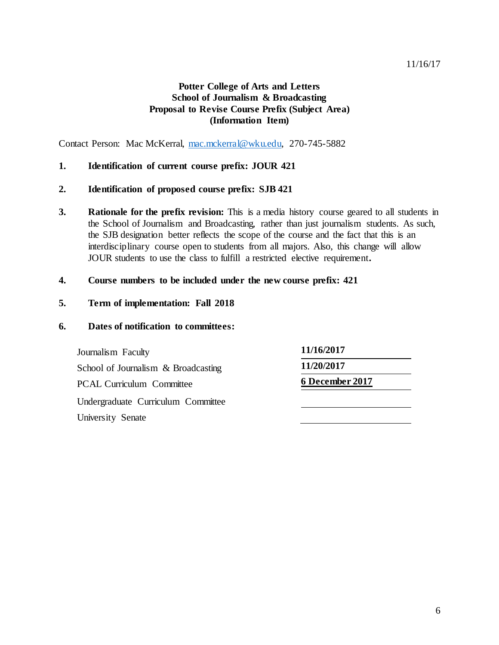# **Potter College of Arts and Letters School of Journalism & Broadcasting Proposal to Revise Course Prefix (Subject Area) (Information Item)**

Contact Person: Mac McKerral, [mac.mckerral@wku.edu,](mailto:mac.mckerral@wku.edu) 270-745-5882

## **1. Identification of current course prefix: JOUR 421**

## **2. Identification of proposed course prefix: SJB 421**

**3. Rationale for the prefix revision:** This is a media history course geared to all students in the School of Journalism and Broadcasting, rather than just journalism students. As such, the SJB designation better reflects the scope of the course and the fact that this is an interdisciplinary course open to students from all majors. Also, this change will allow JOUR students to use the class to fulfill a restricted elective requirement**.**

## **4. Course numbers to be included under the new course prefix: 421**

## **5. Term of implementation: Fall 2018**

## **6. Dates of notification to committees:**

Journalism Faculty School of Journalism & Broadcasting **PCAL Curriculum Committee** Undergraduate Curriculum Committee University Senate

| 11/20/2017      |
|-----------------|
| 6 December 2017 |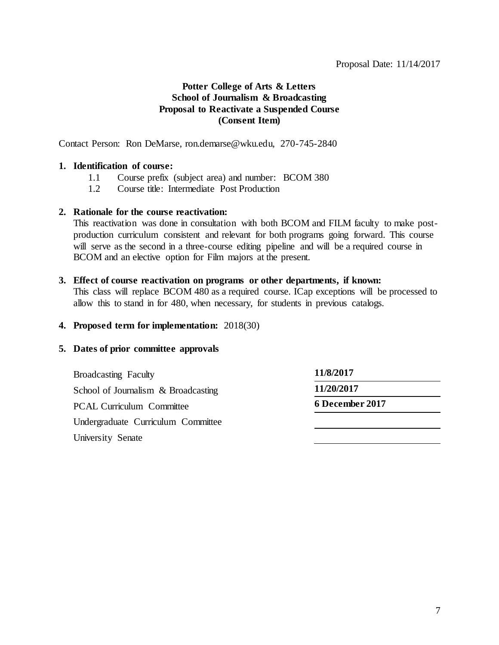# **Potter College of Arts & Letters School of Journalism & Broadcasting Proposal to Reactivate a Suspended Course (Consent Item)**

Contact Person: Ron DeMarse, ron.demarse@wku.edu, 270-745-2840

## **1. Identification of course:**

- 1.1 Course prefix (subject area) and number: BCOM 380
- 1.2 Course title: Intermediate Post Production

#### **2. Rationale for the course reactivation:**

This reactivation was done in consultation with both BCOM and FILM faculty to make postproduction curriculum consistent and relevant for both programs going forward. This course will serve as the second in a three-course editing pipeline and will be a required course in BCOM and an elective option for Film majors at the present.

#### **3. Effect of course reactivation on programs or other departments, if known:**

This class will replace BCOM 480 as a required course. ICap exceptions will be processed to allow this to stand in for 480, when necessary, for students in previous catalogs.

#### **4. Proposed term for implementation:** 2018(30)

## **5. Dates of prior committee approvals**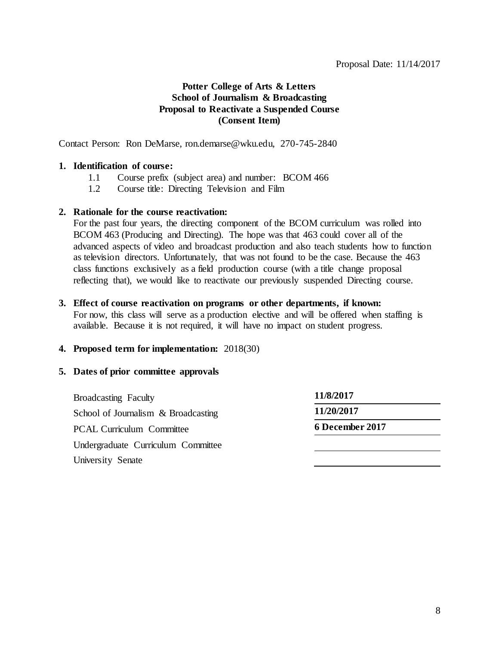# **Potter College of Arts & Letters School of Journalism & Broadcasting Proposal to Reactivate a Suspended Course (Consent Item)**

Contact Person: Ron DeMarse, ron.demarse@wku.edu, 270-745-2840

## **1. Identification of course:**

- 1.1 Course prefix (subject area) and number: BCOM 466
- 1.2 Course title: Directing Television and Film

## **2. Rationale for the course reactivation:**

For the past four years, the directing component of the BCOM curriculum was rolled into BCOM 463 (Producing and Directing). The hope was that 463 could cover all of the advanced aspects of video and broadcast production and also teach students how to function as television directors. Unfortunately, that was not found to be the case. Because the 463 class functions exclusively as a field production course (with a title change proposal reflecting that), we would like to reactivate our previously suspended Directing course.

**3. Effect of course reactivation on programs or other departments, if known:** For now, this class will serve as a production elective and will be offered when staffing is available. Because it is not required, it will have no impact on student progress.

# **4. Proposed term for implementation:** 2018(30)

## **5. Dates of prior committee approvals**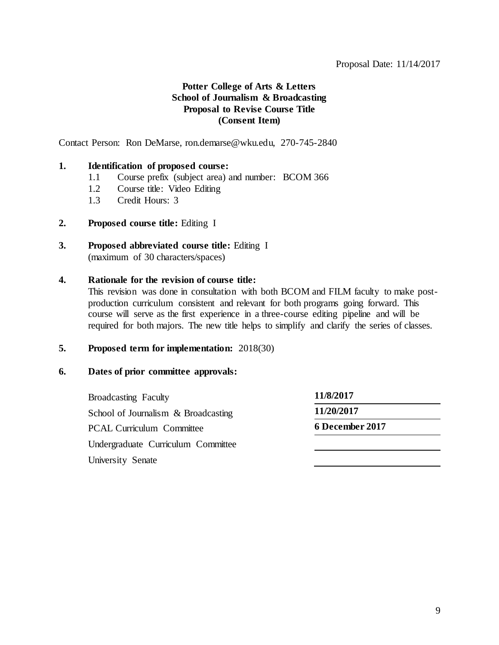# **Potter College of Arts & Letters School of Journalism & Broadcasting Proposal to Revise Course Title (Consent Item)**

Contact Person: Ron DeMarse, ron.demarse@wku.edu, 270-745-2840

## **1. Identification of proposed course:**

- 1.1 Course prefix (subject area) and number: BCOM 366
- 1.2 Course title: Video Editing
- 1.3 Credit Hours: 3
- **2. Proposed course title:** Editing I
- **3. Proposed abbreviated course title:** Editing I (maximum of 30 characters/spaces)

## **4. Rationale for the revision of course title:**

This revision was done in consultation with both BCOM and FILM faculty to make postproduction curriculum consistent and relevant for both programs going forward. This course will serve as the first experience in a three-course editing pipeline and will be required for both majors. The new title helps to simplify and clarify the series of classes.

#### **5. Proposed term for implementation:** 2018(30)

#### **6. Dates of prior committee approvals:**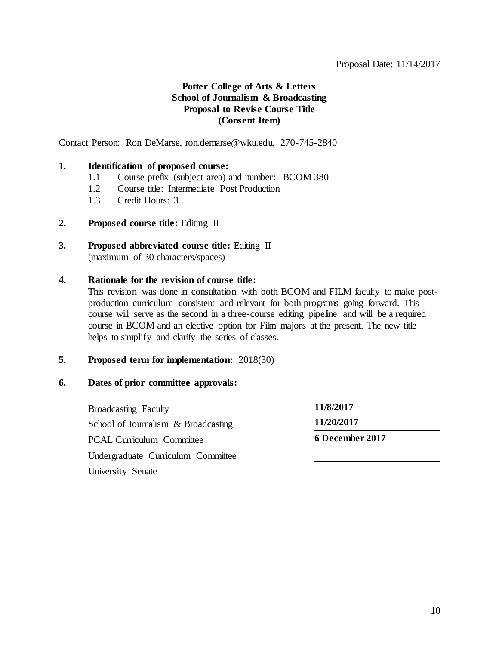# **Potter College of Arts & Letters School of Journalism & Broadcasting Proposal to Revise Course Title (Consent Item)**

Contact Person: Ron DeMarse, ron.demarse@wku.edu, 270-745-2840

#### **1. Identification of proposed course:**

- 1.1 Course prefix (subject area) and number: BCOM 380
- 1.2 Course title: Intermediate Post Production
- 1.3 Credit Hours: 3
- **2. Proposed course title:** Editing II
- **3. Proposed abbreviated course title:** Editing II (maximum of 30 characters/spaces)

## **4. Rationale for the revision of course title:**

This revision was done in consultation with both BCOM and FILM faculty to make postproduction curriculum consistent and relevant for both programs going forward. This course will serve as the second in a three-course editing pipeline and will be a required course in BCOM and an elective option for Film majors at the present. The new title helps to simplify and clarify the series of classes.

#### **5. Proposed term for implementation:** 2018(30)

#### **6. Dates of prior committee approvals:**

Broadcasting Faculty **11/8/2017** School of Journalism & Broadcasting **11/20/2017** PCAL Curriculum Committee **6 December 2017** Undergraduate Curriculum Committee University Senate

10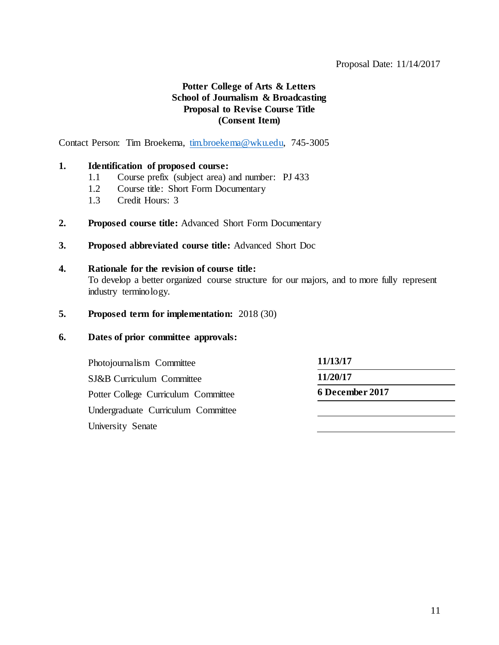# **Potter College of Arts & Letters School of Journalism & Broadcasting Proposal to Revise Course Title (Consent Item)**

Contact Person: Tim Broekema, [tim.broekema@wku.edu,](mailto:tim.broekema@wku.edu) 745-3005

#### **1. Identification of proposed course:**

- 1.1 Course prefix (subject area) and number: PJ 433
- 1.2 Course title: Short Form Documentary
- 1.3 Credit Hours: 3
- **2. Proposed course title:** Advanced Short Form Documentary
- **3. Proposed abbreviated course title:** Advanced Short Doc
- **4. Rationale for the revision of course title:** To develop a better organized course structure for our majors, and to more fully represent industry terminology.
- **5. Proposed term for implementation:** 2018 (30)

## **6. Dates of prior committee approvals:**

Photojournalism Committee **11/13/17** SJ&B Curriculum Committee **11/20/17** Potter College Curriculum Committee **6 December 2017** Undergraduate Curriculum Committee University Senate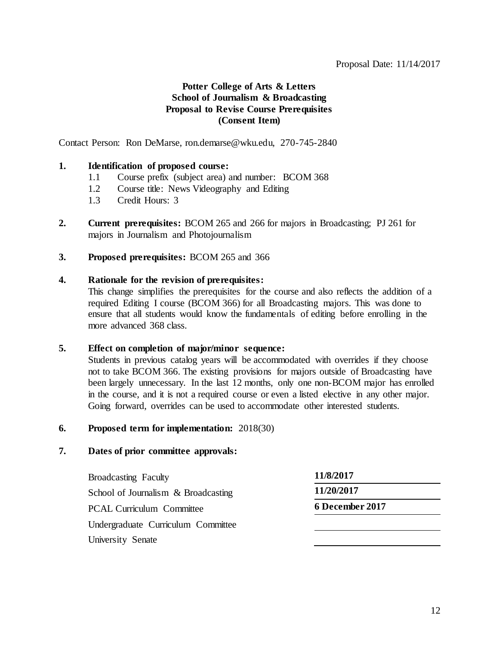# **Potter College of Arts & Letters School of Journalism & Broadcasting Proposal to Revise Course Prerequisites (Consent Item)**

Contact Person: Ron DeMarse, ron.demarse@wku.edu, 270-745-2840

# **1. Identification of proposed course:**

- 1.1 Course prefix (subject area) and number: BCOM 368
- 1.2 Course title: News Videography and Editing
- 1.3 Credit Hours: 3
- **2. Current prerequisites:** BCOM 265 and 266 for majors in Broadcasting; PJ 261 for majors in Journalism and Photojournalism
- **3. Proposed prerequisites:** BCOM 265 and 366

# **4. Rationale for the revision of prerequisites:**

This change simplifies the prerequisites for the course and also reflects the addition of a required Editing I course (BCOM 366) for all Broadcasting majors. This was done to ensure that all students would know the fundamentals of editing before enrolling in the more advanced 368 class.

## **5. Effect on completion of major/minor sequence:**

Students in previous catalog years will be accommodated with overrides if they choose not to take BCOM 366. The existing provisions for majors outside of Broadcasting have been largely unnecessary. In the last 12 months, only one non-BCOM major has enrolled in the course, and it is not a required course or even a listed elective in any other major. Going forward, overrides can be used to accommodate other interested students.

## **6. Proposed term for implementation:** 2018(30)

## **7. Dates of prior committee approvals:**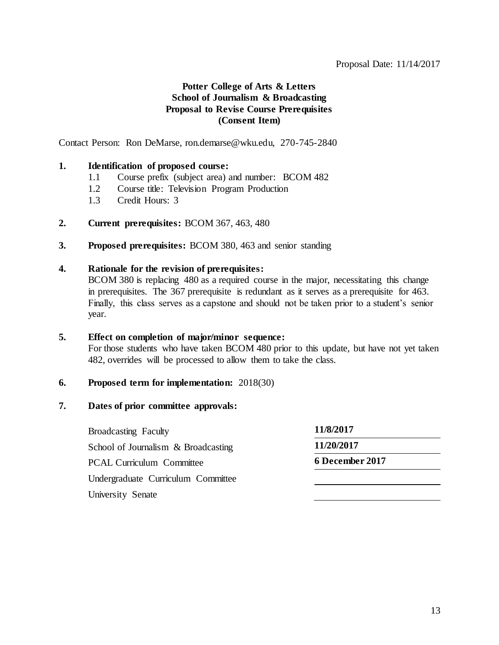# **Potter College of Arts & Letters School of Journalism & Broadcasting Proposal to Revise Course Prerequisites (Consent Item)**

Contact Person: Ron DeMarse, ron.demarse@wku.edu, 270-745-2840

## **1. Identification of proposed course:**

- 1.1 Course prefix (subject area) and number: BCOM 482
- 1.2 Course title: Television Program Production
- 1.3 Credit Hours: 3
- **2. Current prerequisites:** BCOM 367, 463, 480
- **3. Proposed prerequisites:** BCOM 380, 463 and senior standing
- **4. Rationale for the revision of prerequisites:**

BCOM 380 is replacing 480 as a required course in the major, necessitating this change in prerequisites. The 367 prerequisite is redundant as it serves as a prerequisite for 463. Finally, this class serves as a capstone and should not be taken prior to a student's senior year.

#### **5. Effect on completion of major/minor sequence:**

For those students who have taken BCOM 480 prior to this update, but have not yet taken 482, overrides will be processed to allow them to take the class.

#### **6. Proposed term for implementation:** 2018(30)

## **7. Dates of prior committee approvals:**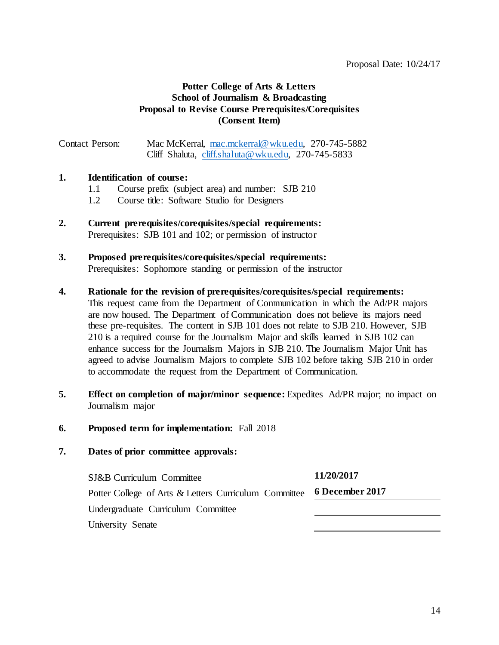# **Potter College of Arts & Letters School of Journalism & Broadcasting Proposal to Revise Course Prerequisites/Corequisites (Consent Item)**

Contact Person: Mac McKerral, [mac.mckerral@wku.edu,](mailto:mac.mckerral@wku.edu) 270-745-5882 Cliff Shaluta, [cliff.shaluta@wku.edu,](mailto:cliff.shaluta@wku.edu) 270-745-5833

## **1. Identification of course:**

- 1.1 Course prefix (subject area) and number: SJB 210
- 1.2 Course title: Software Studio for Designers
- **2. Current prerequisites/corequisites/special requirements:** Prerequisites: SJB 101 and 102; or permission of instructor

# **3. Proposed prerequisites/corequisites/special requirements:**  Prerequisites: Sophomore standing or permission of the instructor

- **4. Rationale for the revision of prerequisites/corequisites/special requirements:** This request came from the Department of Communication in which the Ad/PR majors are now housed. The Department of Communication does not believe its majors need these pre-requisites. The content in SJB 101 does not relate to SJB 210. However, SJB 210 is a required course for the Journalism Major and skills learned in SJB 102 can enhance success for the Journalism Majors in SJB 210. The Journalism Major Unit has agreed to advise Journalism Majors to complete SJB 102 before taking SJB 210 in order to accommodate the request from the Department of Communication.
- **5. Effect on completion of major/minor sequence:** Expedites Ad/PR major; no impact on Journalism major
- **6. Proposed term for implementation:** Fall 2018

## **7. Dates of prior committee approvals:**

| <b>SJ&amp;B Curriculum Committee</b>                  | 11/20/2017             |
|-------------------------------------------------------|------------------------|
| Potter College of Arts & Letters Curriculum Committee | <b>6 December 2017</b> |
| Undergraduate Curriculum Committee                    |                        |
| University Senate                                     |                        |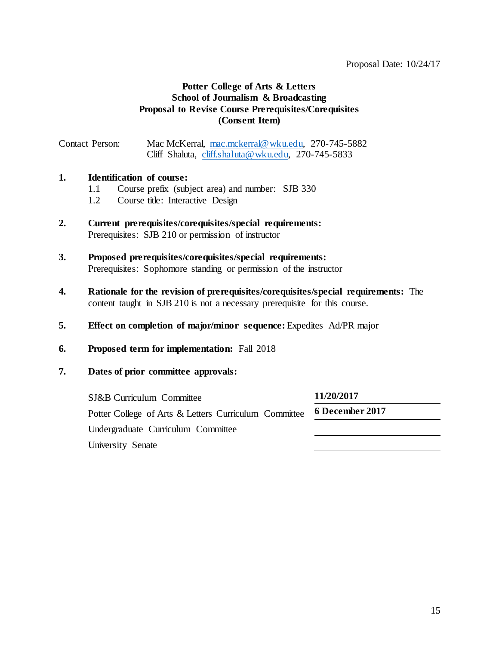# **Potter College of Arts & Letters School of Journalism & Broadcasting Proposal to Revise Course Prerequisites/Corequisites (Consent Item)**

Contact Person: Mac McKerral, [mac.mckerral@wku.edu,](mailto:mac.mckerral@wku.edu) 270-745-5882 Cliff Shaluta, [cliff.shaluta@wku.edu,](mailto:cliff.shaluta@wku.edu) 270-745-5833

#### **1. Identification of course:**

- 1.1 Course prefix (subject area) and number: SJB 330
- 1.2 Course title: Interactive Design
- **2. Current prerequisites/corequisites/special requirements:** Prerequisites: SJB 210 or permission of instructor
- **3. Proposed prerequisites/corequisites/special requirements:**  Prerequisites: Sophomore standing or permission of the instructor
- **4. Rationale for the revision of prerequisites/corequisites/special requirements:** The content taught in SJB 210 is not a necessary prerequisite for this course.
- **5. Effect on completion of major/minor sequence:** Expedites Ad/PR major
- **6. Proposed term for implementation:** Fall 2018

#### **7. Dates of prior committee approvals:**

| SJ&B Curriculum Committee                             | 11/20/2017             |
|-------------------------------------------------------|------------------------|
| Potter College of Arts & Letters Curriculum Committee | <b>6 December 2017</b> |
| Undergraduate Curriculum Committee                    |                        |
| University Senate                                     |                        |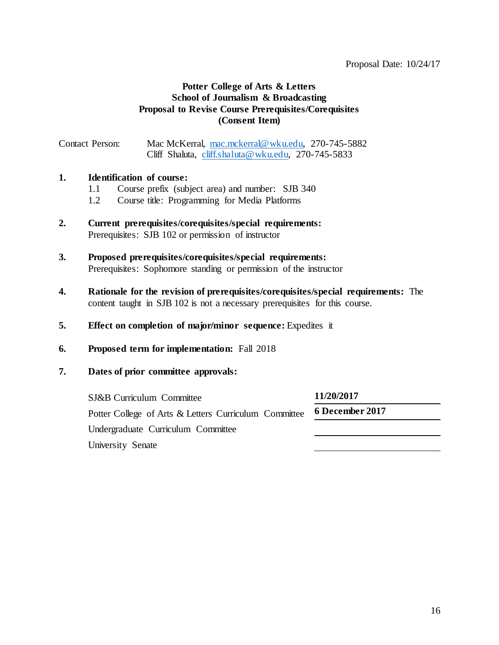# **Potter College of Arts & Letters School of Journalism & Broadcasting Proposal to Revise Course Prerequisites/Corequisites (Consent Item)**

Contact Person: Mac McKerral, [mac.mckerral@wku.edu,](mailto:mac.mckerral@wku.edu) 270-745-5882 Cliff Shaluta, [cliff.shaluta@wku.edu,](mailto:cliff.shaluta@wku.edu) 270-745-5833

#### **1. Identification of course:**

- 1.1 Course prefix (subject area) and number: SJB 340
- 1.2 Course title: Programming for Media Platforms
- **2. Current prerequisites/corequisites/special requirements:** Prerequisites: SJB 102 or permission of instructor
- **3. Proposed prerequisites/corequisites/special requirements:**  Prerequisites: Sophomore standing or permission of the instructor
- **4. Rationale for the revision of prerequisites/corequisites/special requirements:** The content taught in SJB 102 is not a necessary prerequisites for this course.
- **5. Effect on completion of major/minor sequence:** Expedites it
- **6. Proposed term for implementation:** Fall 2018
- **7. Dates of prior committee approvals:**

| SJ&B Curriculum Committee                             | 11/20/2017             |
|-------------------------------------------------------|------------------------|
| Potter College of Arts & Letters Curriculum Committee | <b>6 December 2017</b> |
| Undergraduate Curriculum Committee                    |                        |
| University Senate                                     |                        |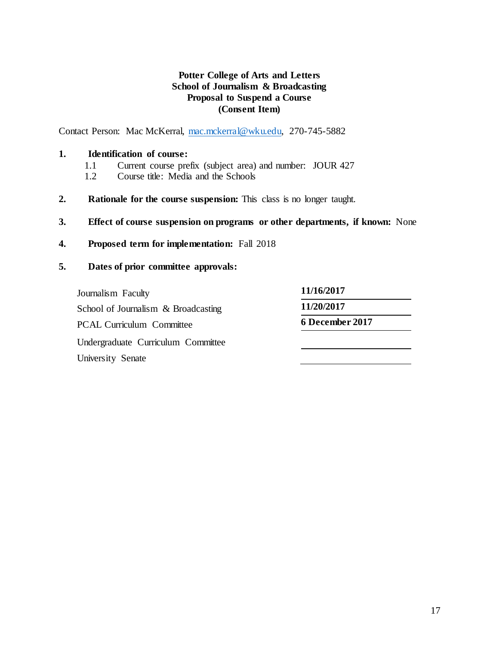# **Potter College of Arts and Letters School of Journalism & Broadcasting Proposal to Suspend a Course (Consent Item)**

Contact Person: Mac McKerral, [mac.mckerral@wku.edu,](mailto:mac.mckerral@wku.edu) 270-745-5882

## **1. Identification of course:**

- 1.1 Current course prefix (subject area) and number: JOUR 427<br>1.2 Course title: Media and the Schools
- Course title: Media and the Schools
- **2. Rationale for the course suspension:** This class is no longer taught.
- **3. Effect of course suspension on programs or other departments, if known:** None
- **4. Proposed term for implementation:** Fall 2018

## **5. Dates of prior committee approvals:**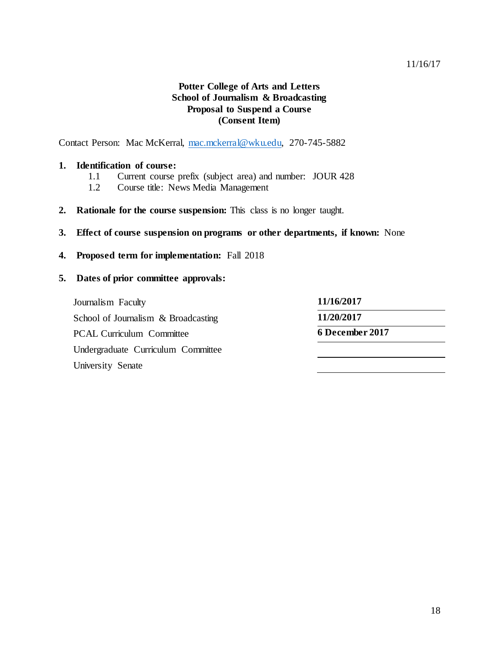#### 11/16/17

# **Potter College of Arts and Letters School of Journalism & Broadcasting Proposal to Suspend a Course (Consent Item)**

Contact Person: Mac McKerral, [mac.mckerral@wku.edu,](mailto:mac.mckerral@wku.edu) 270-745-5882

#### **1. Identification of course:**

- 1.1 Current course prefix (subject area) and number: JOUR 428
- 1.2 Course title: News Media Management
- **2. Rationale for the course suspension:** This class is no longer taught.

#### **3. Effect of course suspension on programs or other departments, if known:** None

**4. Proposed term for implementation:** Fall 2018

#### **5. Dates of prior committee approvals:**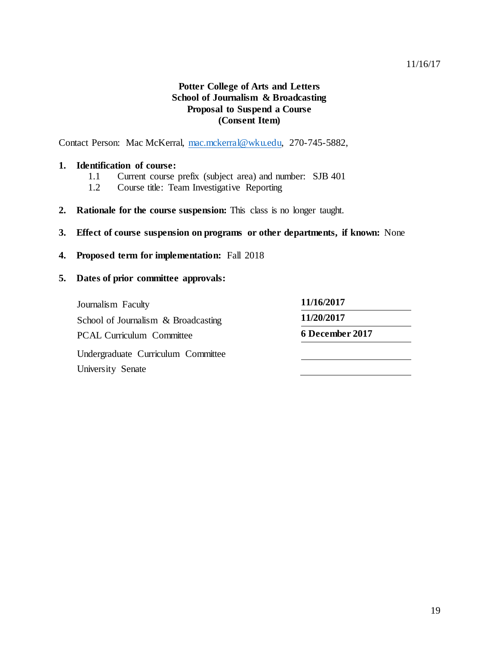#### 11/16/17

# **Potter College of Arts and Letters School of Journalism & Broadcasting Proposal to Suspend a Course (Consent Item)**

Contact Person: Mac McKerral, [mac.mckerral@wku.edu,](mailto:mac.mckerral@wku.edu) 270-745-5882,

## **1. Identification of course:**

- 1.1 Current course prefix (subject area) and number: SJB 401
- 1.2 Course title: Team Investigative Reporting
- **2. Rationale for the course suspension:** This class is no longer taught.
- **3. Effect of course suspension on programs or other departments, if known:** None
- **4. Proposed term for implementation:** Fall 2018

#### **5. Dates of prior committee approvals:**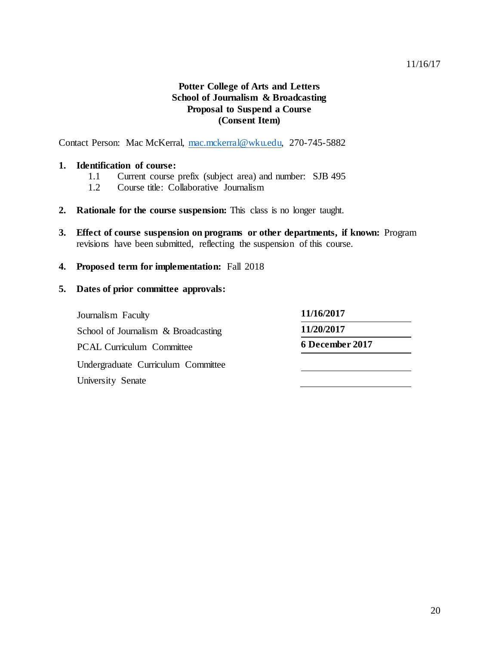#### 11/16/17

# **Potter College of Arts and Letters School of Journalism & Broadcasting Proposal to Suspend a Course (Consent Item)**

Contact Person: Mac McKerral, [mac.mckerral@wku.edu,](mailto:mac.mckerral@wku.edu) 270-745-5882

#### **1. Identification of course:**

- 1.1 Current course prefix (subject area) and number: SJB 495
- 1.2 Course title: Collaborative Journalism
- **2. Rationale for the course suspension:** This class is no longer taught.
- **3. Effect of course suspension on programs or other departments, if known:** Program revisions have been submitted, reflecting the suspension of this course.
- **4. Proposed term for implementation:** Fall 2018

#### **5. Dates of prior committee approvals:**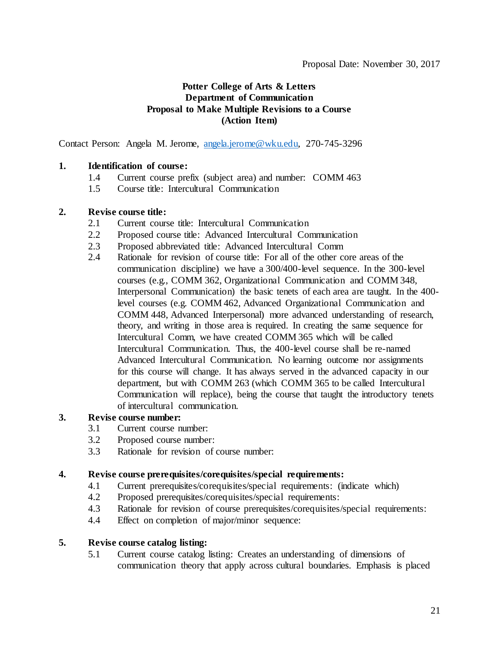# **Potter College of Arts & Letters Department of Communication Proposal to Make Multiple Revisions to a Course (Action Item)**

Contact Person: Angela M. Jerome, [angela.jerome@wku.edu,](mailto:angela.jerome@wku.edu) 270-745-3296

## **1. Identification of course:**

- 1.4 Current course prefix (subject area) and number: COMM 463
- 1.5 Course title: Intercultural Communication

#### **2. Revise course title:**

- 2.1 Current course title: Intercultural Communication
- 2.2 Proposed course title: Advanced Intercultural Communication
- 2.3 Proposed abbreviated title: Advanced Intercultural Comm
- 2.4 Rationale for revision of course title: For all of the other core areas of the communication discipline) we have a 300/400-level sequence. In the 300-level courses (e.g., COMM 362, Organizational Communication and COMM 348, Interpersonal Communication) the basic tenets of each area are taught. In the 400 level courses (e.g. COMM 462, Advanced Organizational Communication and COMM 448, Advanced Interpersonal) more advanced understanding of research, theory, and writing in those area is required. In creating the same sequence for Intercultural Comm, we have created COMM 365 which will be called Intercultural Communication. Thus, the 400-level course shall be re-named Advanced Intercultural Communication. No learning outcome nor assignments for this course will change. It has always served in the advanced capacity in our department, but with COMM 263 (which COMM 365 to be called Intercultural Communication will replace), being the course that taught the introductory tenets of intercultural communication.

# **3. Revise course number:**

- 3.1 Current course number:
- 3.2 Proposed course number:
- 3.3 Rationale for revision of course number:

#### **4. Revise course prerequisites/corequisites/special requirements:**

- 4.1 Current prerequisites/corequisites/special requirements: (indicate which)
- 4.2 Proposed prerequisites/corequisites/special requirements:
- 4.3 Rationale for revision of course prerequisites/corequisites/special requirements:
- 4.4 Effect on completion of major/minor sequence:

## **5. Revise course catalog listing:**

5.1 Current course catalog listing: Creates an understanding of dimensions of communication theory that apply across cultural boundaries. Emphasis is placed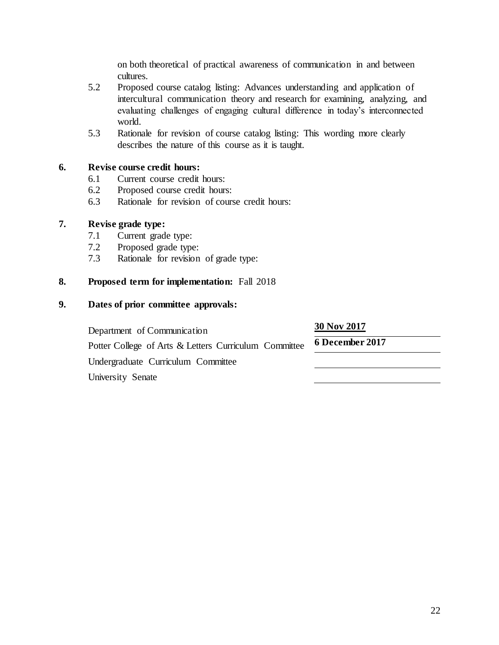on both theoretical of practical awareness of communication in and between cultures.

- 5.2 Proposed course catalog listing: Advances understanding and application of intercultural communication theory and research for examining, analyzing, and evaluating challenges of engaging cultural difference in today's interconnected world.
- 5.3 Rationale for revision of course catalog listing: This wording more clearly describes the nature of this course as it is taught.

# **6. Revise course credit hours:**

- 6.1 Current course credit hours:
- 6.2 Proposed course credit hours:
- 6.3 Rationale for revision of course credit hours:

## **7. Revise grade type:**

- 7.1 Current grade type:
- 7.2 Proposed grade type:
- 7.3 Rationale for revision of grade type:

## **8. Proposed term for implementation:** Fall 2018

## **9. Dates of prior committee approvals:**

Department of Communication **30 Nov 2017** Potter College of Arts & Letters Curriculum Committee **6 December 2017** Undergraduate Curriculum Committee University Senate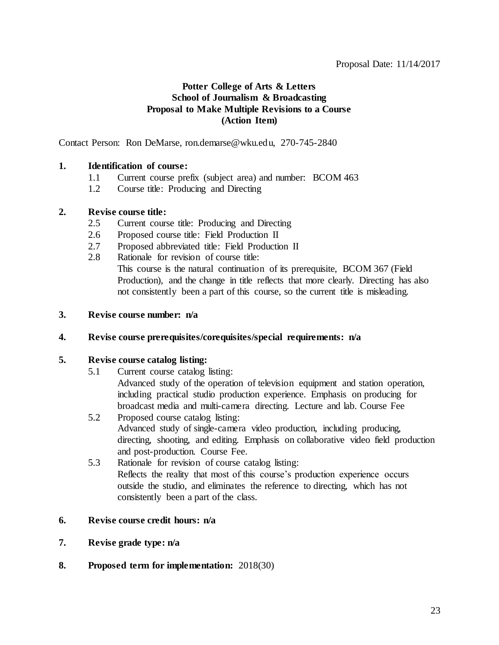# **Potter College of Arts & Letters School of Journalism & Broadcasting Proposal to Make Multiple Revisions to a Course (Action Item)**

Contact Person: Ron DeMarse, ron.demarse@wku.edu, 270-745-2840

## **1. Identification of course:**

- 1.1 Current course prefix (subject area) and number: BCOM 463
- 1.2 Course title: Producing and Directing

#### **2. Revise course title:**

- 2.5 Current course title: Producing and Directing
- 2.6 Proposed course title: Field Production II
- 2.7 Proposed abbreviated title: Field Production II
- 2.8 Rationale for revision of course title:

This course is the natural continuation of its prerequisite, BCOM 367 (Field Production), and the change in title reflects that more clearly. Directing has also not consistently been a part of this course, so the current title is misleading.

#### **3. Revise course number: n/a**

#### **4. Revise course prerequisites/corequisites/special requirements: n/a**

#### **5. Revise course catalog listing:**

- 5.1 Current course catalog listing: Advanced study of the operation of television equipment and station operation, including practical studio production experience. Emphasis on producing for broadcast media and multi-camera directing. Lecture and lab. Course Fee
- 5.2 Proposed course catalog listing: Advanced study of single-camera video production, including producing, directing, shooting, and editing. Emphasis on collaborative video field production and post-production. Course Fee.
- 5.3 Rationale for revision of course catalog listing: Reflects the reality that most of this course's production experience occurs outside the studio, and eliminates the reference to directing, which has not consistently been a part of the class.

#### **6. Revise course credit hours: n/a**

- **7. Revise grade type: n/a**
- **8. Proposed term for implementation:** 2018(30)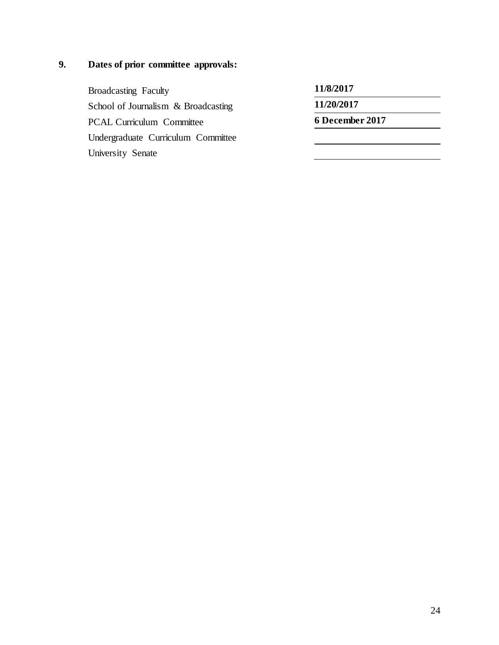# **9. Dates of prior committee approvals:**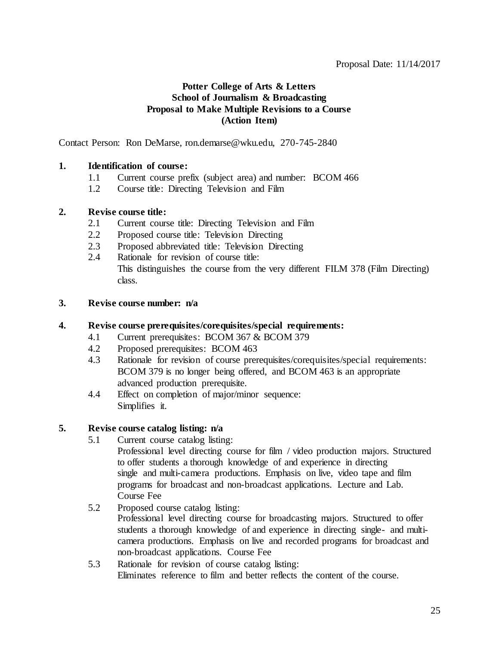# **Potter College of Arts & Letters School of Journalism & Broadcasting Proposal to Make Multiple Revisions to a Course (Action Item)**

Contact Person: Ron DeMarse, ron.demarse@wku.edu, 270-745-2840

## **1. Identification of course:**

- 1.1 Current course prefix (subject area) and number: BCOM 466
- 1.2 Course title: Directing Television and Film

## **2. Revise course title:**

- 2.1 Current course title: Directing Television and Film
- 2.2 Proposed course title: Television Directing
- 2.3 Proposed abbreviated title: Television Directing
- 2.4 Rationale for revision of course title: This distinguishes the course from the very different FILM 378 (Film Directing) class.

## **3. Revise course number: n/a**

## **4. Revise course prerequisites/corequisites/special requirements:**

- 4.1 Current prerequisites: BCOM 367 & BCOM 379
- 4.2 Proposed prerequisites: BCOM 463
- 4.3 Rationale for revision of course prerequisites/corequisites/special requirements: BCOM 379 is no longer being offered, and BCOM 463 is an appropriate advanced production prerequisite.
- 4.4 Effect on completion of major/minor sequence: Simplifies it.

# **5. Revise course catalog listing: n/a**

- 5.1 Current course catalog listing:
	- Professional level directing course for film / video production majors. Structured to offer students a thorough knowledge of and experience in directing single and multi-camera productions. Emphasis on live, video tape and film programs for broadcast and non-broadcast applications. Lecture and Lab. Course Fee

## 5.2 Proposed course catalog listing:

Professional level directing course for broadcasting majors. Structured to offer students a thorough knowledge of and experience in directing single- and multicamera productions. Emphasis on live and recorded programs for broadcast and non-broadcast applications. Course Fee

5.3 Rationale for revision of course catalog listing: Eliminates reference to film and better reflects the content of the course.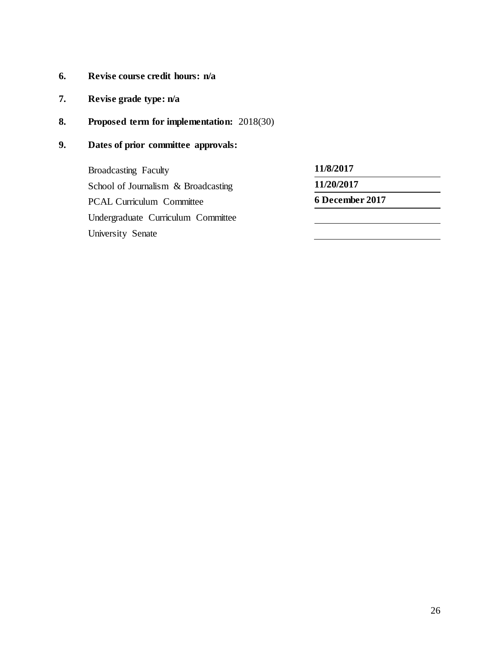- **6. Revise course credit hours: n/a**
- **7. Revise grade type: n/a**
- **8. Proposed term for implementation:** 2018(30)

# **9. Dates of prior committee approvals:**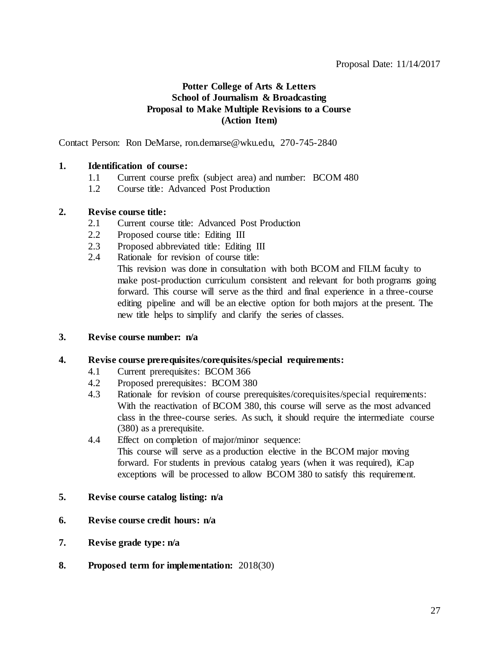# **Potter College of Arts & Letters School of Journalism & Broadcasting Proposal to Make Multiple Revisions to a Course (Action Item)**

Contact Person: Ron DeMarse, ron.demarse@wku.edu, 270-745-2840

## **1. Identification of course:**

- 1.1 Current course prefix (subject area) and number: BCOM 480
- 1.2 Course title: Advanced Post Production

#### **2. Revise course title:**

- 2.1 Current course title: Advanced Post Production
- 2.2 Proposed course title: Editing III
- 2.3 Proposed abbreviated title: Editing III
- 2.4 Rationale for revision of course title:
	- This revision was done in consultation with both BCOM and FILM faculty to make post-production curriculum consistent and relevant for both programs going forward. This course will serve as the third and final experience in a three-course editing pipeline and will be an elective option for both majors at the present. The new title helps to simplify and clarify the series of classes.

#### **3. Revise course number: n/a**

## **4. Revise course prerequisites/corequisites/special requirements:**

- 4.1 Current prerequisites: BCOM 366
- 4.2 Proposed prerequisites: BCOM 380
- 4.3 Rationale for revision of course prerequisites/corequisites/special requirements: With the reactivation of BCOM 380, this course will serve as the most advanced class in the three-course series. As such, it should require the intermediate course (380) as a prerequisite.
- 4.4 Effect on completion of major/minor sequence: This course will serve as a production elective in the BCOM major moving forward. For students in previous catalog years (when it was required), iCap exceptions will be processed to allow BCOM 380 to satisfy this requirement.

## **5. Revise course catalog listing: n/a**

- **6. Revise course credit hours: n/a**
- **7. Revise grade type: n/a**
- **8. Proposed term for implementation:** 2018(30)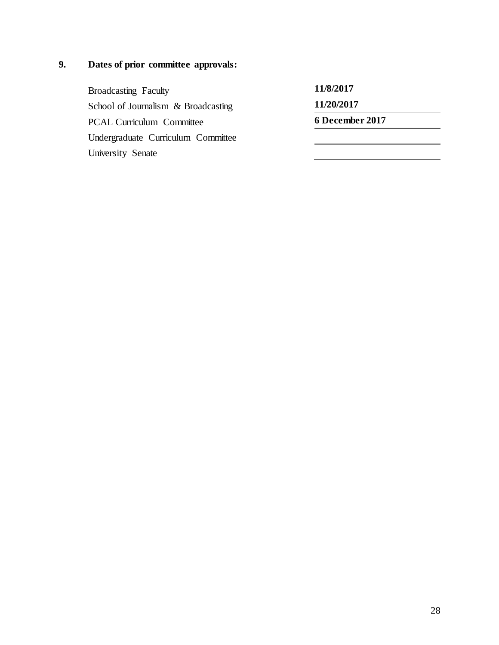# **9. Dates of prior committee approvals:**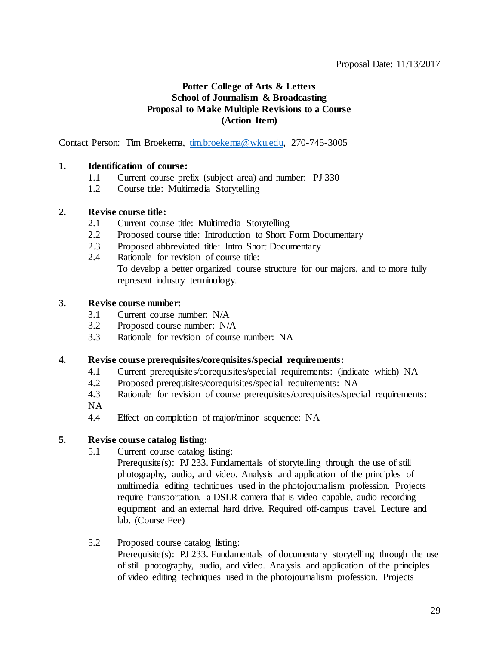# **Potter College of Arts & Letters School of Journalism & Broadcasting Proposal to Make Multiple Revisions to a Course (Action Item)**

Contact Person: Tim Broekema, [tim.broekema@wku.edu,](mailto:tim.broekema@wku.edu) 270-745-3005

## **1. Identification of course:**

- 1.1 Current course prefix (subject area) and number: PJ 330
- 1.2 Course title: Multimedia Storytelling

## **2. Revise course title:**

- 2.1 Current course title: Multimedia Storytelling
- 2.2 Proposed course title: Introduction to Short Form Documentary
- 2.3 Proposed abbreviated title: Intro Short Documentary
- 2.4 Rationale for revision of course title: To develop a better organized course structure for our majors, and to more fully represent industry terminology.

## **3. Revise course number:**

- 3.1 Current course number: N/A
- 3.2 Proposed course number: N/A
- 3.3 Rationale for revision of course number: NA

## **4. Revise course prerequisites/corequisites/special requirements:**

- 4.1 Current prerequisites/corequisites/special requirements: (indicate which) NA
- 4.2 Proposed prerequisites/corequisites/special requirements: NA
- 4.3 Rationale for revision of course prerequisites/corequisites/special requirements: NA
- 
- 4.4 Effect on completion of major/minor sequence: NA

# **5. Revise course catalog listing:**

5.1 Current course catalog listing:

Prerequisite(s): PJ 233. Fundamentals of storytelling through the use of still photography, audio, and video. Analysis and application of the principles of multimedia editing techniques used in the photojournalism profession. Projects require transportation, a DSLR camera that is video capable, audio recording equipment and an external hard drive. Required off-campus travel. Lecture and lab. (Course Fee)

5.2 Proposed course catalog listing:

Prerequisite(s): PJ 233. Fundamentals of documentary storytelling through the use of still photography, audio, and video. Analysis and application of the principles of video editing techniques used in the photojournalism profession. Projects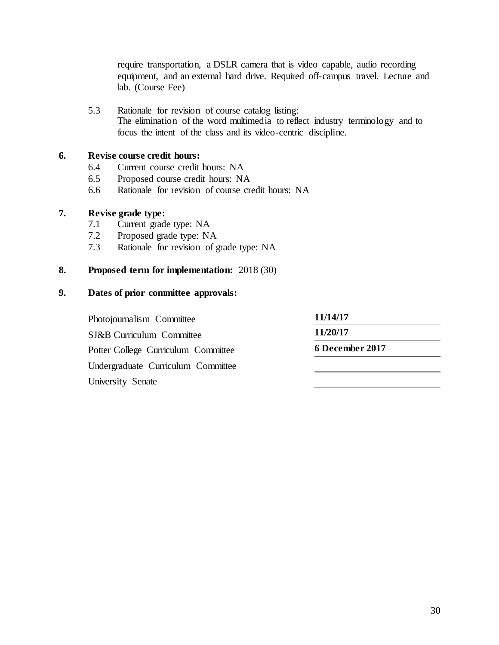require transportation, a DSLR camera that is video capable, audio recording equipment, and an external hard drive. Required off-campus travel. Lecture and lab. (Course Fee)

5.3 Rationale for revision of course catalog listing: The elimination of the word multimedia to reflect industry terminology and to focus the intent of the class and its video-centric discipline.

## **6. Revise course credit hours:**

- 6.4 Current course credit hours: NA
- 6.5 Proposed course credit hours: NA
- 6.6 Rationale for revision of course credit hours: NA

#### **7. Revise grade type:**

- 7.1 Current grade type: NA
- 7.2 Proposed grade type: NA
- 7.3 Rationale for revision of grade type: NA

#### **8. Proposed term for implementation:** 2018 (30)

## **9. Dates of prior committee approvals:**

Photojournalism Committee **11/14/17** SJ&B Curriculum Committee **11/20/17** Potter College Curriculum Committee **6 December 2017** Undergraduate Curriculum Committee University Senate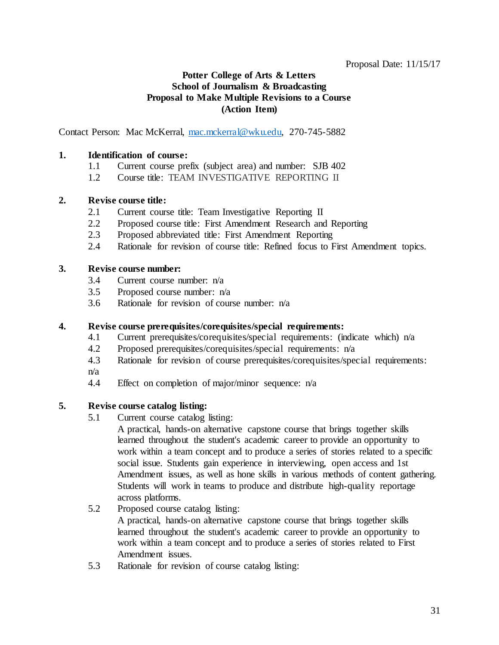# **Potter College of Arts & Letters School of Journalism & Broadcasting Proposal to Make Multiple Revisions to a Course (Action Item)**

Contact Person: Mac McKerral, [mac.mckerral@wku.edu,](mailto:mac.mckerral@wku.edu) 270-745-5882

## **1. Identification of course:**

- 1.1 Current course prefix (subject area) and number: SJB 402
- 1.2 Course title: TEAM INVESTIGATIVE REPORTING II

## **2. Revise course title:**

- 2.1 Current course title: Team Investigative Reporting II
- 2.2 Proposed course title: First Amendment Research and Reporting
- 2.3 Proposed abbreviated title: First Amendment Reporting
- 2.4 Rationale for revision of course title: Refined focus to First Amendment topics.

## **3. Revise course number:**

- 3.4 Current course number: n/a
- 3.5 Proposed course number: n/a
- 3.6 Rationale for revision of course number: n/a

## **4. Revise course prerequisites/corequisites/special requirements:**

- 4.1 Current prerequisites/corequisites/special requirements: (indicate which) n/a
- 4.2 Proposed prerequisites/corequisites/special requirements: n/a
- 4.3 Rationale for revision of course prerequisites/corequisites/special requirements:
- n/a
- 4.4 Effect on completion of major/minor sequence: n/a

## **5. Revise course catalog listing:**

5.1 Current course catalog listing:

A practical, hands-on alternative capstone course that brings together skills learned throughout the student's academic career to provide an opportunity to work within a team concept and to produce a series of stories related to a specific social issue. Students gain experience in interviewing, open access and 1st Amendment issues, as well as hone skills in various methods of content gathering. Students will work in teams to produce and distribute high-quality reportage across platforms.

# 5.2 Proposed course catalog listing:

A practical, hands-on alternative capstone course that brings together skills learned throughout the student's academic career to provide an opportunity to work within a team concept and to produce a series of stories related to First Amendment issues.

5.3 Rationale for revision of course catalog listing: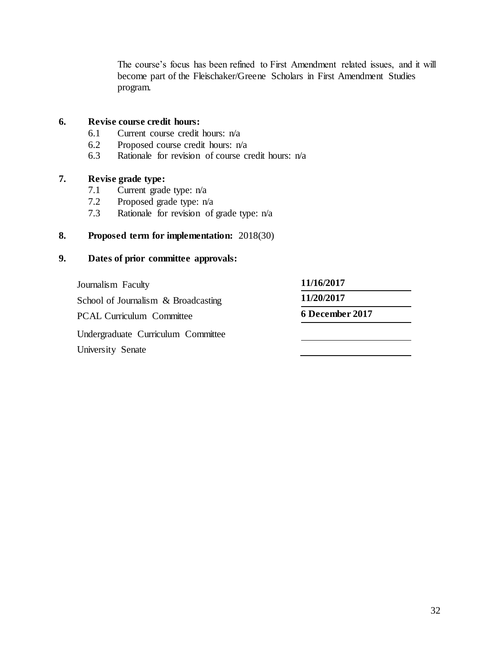The course's focus has been refined to First Amendment related issues, and it will become part of the Fleischaker/Greene Scholars in First Amendment Studies program.

## **6. Revise course credit hours:**

- 6.1 Current course credit hours: n/a
- 6.2 Proposed course credit hours: n/a
- 6.3 Rationale for revision of course credit hours: n/a

## **7. Revise grade type:**

- 7.1 Current grade type: n/a
- 7.2 Proposed grade type: n/a
- 7.3 Rationale for revision of grade type: n/a

## **8. Proposed term for implementation:** 2018(30)

## **9. Dates of prior committee approvals:**

Journalism Faculty **11/16/2017** School of Journalism & Broadcasting **11/20/2017** PCAL Curriculum Committee **6 December 2017** Undergraduate Curriculum Committee

University Senate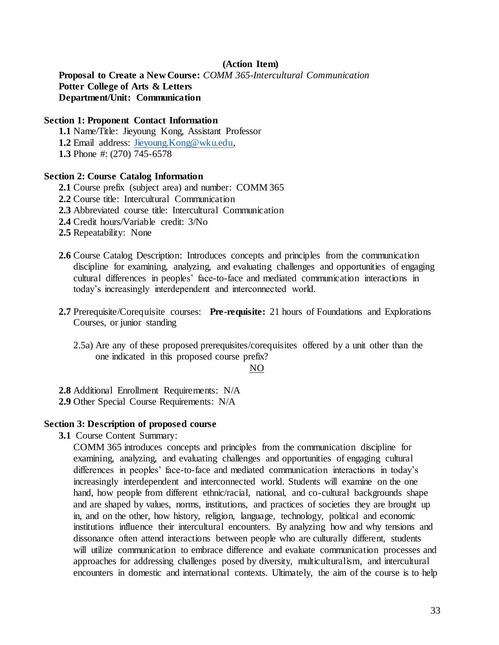#### **(Action Item)**

**Proposal to Create a New Course:** *COMM 365-Intercultural Communication* **Potter College of Arts & Letters Department/Unit: Communication**

#### **Section 1: Proponent Contact Information**

**1.1** Name/Title: Jieyoung Kong, Assistant Professor **1.2** Email address: [Jieyoung.Kong@wku.edu,](mailto:Jieyoung.Kong@wku.edu)  **1.3** Phone #: (270) 745-6578

#### **Section 2: Course Catalog Information**

**2.1** Course prefix (subject area) and number: COMM 365 **2.2** Course title: Intercultural Communication

**2.3** Abbreviated course title: Intercultural Communication

- **2.4** Credit hours/Variable credit: 3/No
- **2.5** Repeatability: None
- **2.6** Course Catalog Description: Introduces concepts and principles from the communication discipline for examining, analyzing, and evaluating challenges and opportunities of engaging cultural differences in peoples' face-to-face and mediated communication interactions in today's increasingly interdependent and interconnected world.
- **2.7** Prerequisite/Corequisite courses: **Pre-requisite:** 21 hours of Foundations and Explorations Courses, or junior standing
	- 2.5a) Are any of these proposed prerequisites/corequisites offered by a unit other than the one indicated in this proposed course prefix?

#### NO

**2.8** Additional Enrollment Requirements: N/A

**2.9** Other Special Course Requirements: N/A

#### **Section 3: Description of proposed course**

**3.1** Course Content Summary:

COMM 365 introduces concepts and principles from the communication discipline for examining, analyzing, and evaluating challenges and opportunities of engaging cultural differences in peoples' face-to-face and mediated communication interactions in today's increasingly interdependent and interconnected world. Students will examine on the one hand, how people from different ethnic/racial, national, and co-cultural backgrounds shape and are shaped by values, norms, institutions, and practices of societies they are brought up in, and on the other, how history, religion, language, technology, political and economic institutions influence their intercultural encounters. By analyzing how and why tensions and dissonance often attend interactions between people who are culturally different, students will utilize communication to embrace difference and evaluate communication processes and approaches for addressing challenges posed by diversity, multiculturalism, and intercultural encounters in domestic and international contexts. Ultimately, the aim of the course is to help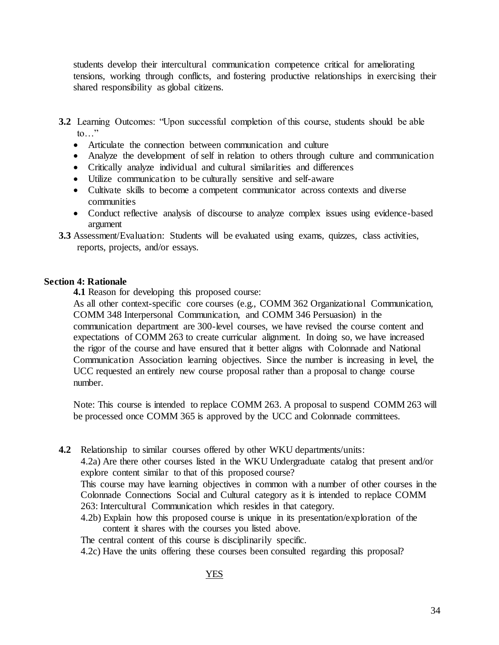students develop their intercultural communication competence critical for ameliorating tensions, working through conflicts, and fostering productive relationships in exercising their shared responsibility as global citizens.

- **3.2** Learning Outcomes: "Upon successful completion of this course, students should be able  $\frac{1}{10}$   $\frac{1}{2}$ 
	- Articulate the connection between communication and culture
	- Analyze the development of self in relation to others through culture and communication
	- Critically analyze individual and cultural similarities and differences
	- Utilize communication to be culturally sensitive and self-aware
	- Cultivate skills to become a competent communicator across contexts and diverse communities
	- Conduct reflective analysis of discourse to analyze complex issues using evidence-based argument
- **3.3** Assessment/Evaluation: Students will be evaluated using exams, quizzes, class activities, reports, projects, and/or essays.

## **Section 4: Rationale**

**4.1** Reason for developing this proposed course:

As all other context-specific core courses (e.g., COMM 362 Organizational Communication, COMM 348 Interpersonal Communication, and COMM 346 Persuasion) in the communication department are 300-level courses, we have revised the course content and expectations of COMM 263 to create curricular alignment. In doing so, we have increased the rigor of the course and have ensured that it better aligns with Colonnade and National Communication Association learning objectives. Since the number is increasing in level, the UCC requested an entirely new course proposal rather than a proposal to change course number.

Note: This course is intended to replace COMM 263. A proposal to suspend COMM 263 will be processed once COMM 365 is approved by the UCC and Colonnade committees.

**4.2** Relationship to similar courses offered by other WKU departments/units:

4.2a) Are there other courses listed in the WKU Undergraduate catalog that present and/or explore content similar to that of this proposed course?

This course may have learning objectives in common with a number of other courses in the Colonnade Connections Social and Cultural category as it is intended to replace COMM 263: Intercultural Communication which resides in that category.

4.2b) Explain how this proposed course is unique in its presentation/exploration of the content it shares with the courses you listed above.

The central content of this course is disciplinarily specific.

4.2c) Have the units offering these courses been consulted regarding this proposal?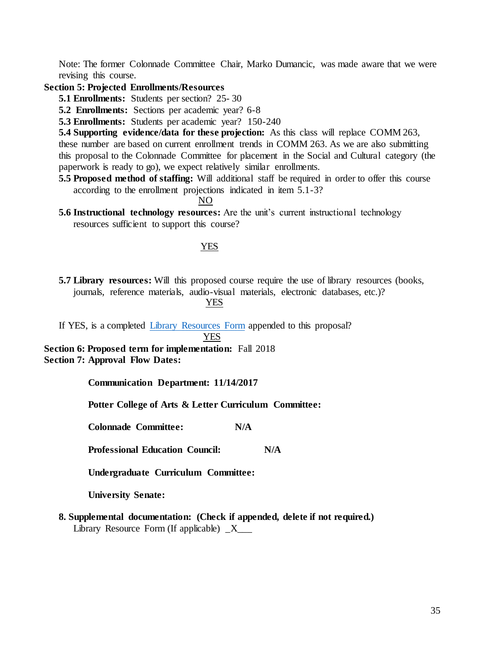Note: The former Colonnade Committee Chair, Marko Dumancic, was made aware that we were revising this course.

# **Section 5: Projected Enrollments/Resources**

**5.1 Enrollments:** Students per section? 25- 30

**5.2 Enrollments:** Sections per academic year? 6-8

**5.3 Enrollments:** Students per academic year? 150-240

**5.4 Supporting evidence/data for these projection:** As this class will replace COMM 263, these number are based on current enrollment trends in COMM 263. As we are also submitting this proposal to the Colonnade Committee for placement in the Social and Cultural category (the paperwork is ready to go), we expect relatively similar enrollments.

**5.5 Proposed method of staffing:** Will additional staff be required in order to offer this course according to the enrollment projections indicated in item 5.1-3?

NO

**5.6 Instructional technology resources:** Are the unit's current instructional technology resources sufficient to support this course?

## YES

**5.7 Library resources:** Will this proposed course require the use of library resources (books, journals, reference materials, audio-visual materials, electronic databases, etc.)?

YES

If YES, is a completed [Library Resources Form](https://www.wku.edu/library/forms.php) appended to this proposal?

YES

**Section 6: Proposed term for implementation:** Fall 2018 **Section 7: Approval Flow Dates:** 

**Communication Department: 11/14/2017**

**Potter College of Arts & Letter Curriculum Committee:**

**Colonnade Committee: N/A**

**Professional Education Council: N/A**

**Undergraduate Curriculum Committee:**

**University Senate:**

**8. Supplemental documentation: (Check if appended, delete if not required.)** Library Resource Form (If applicable)  $X$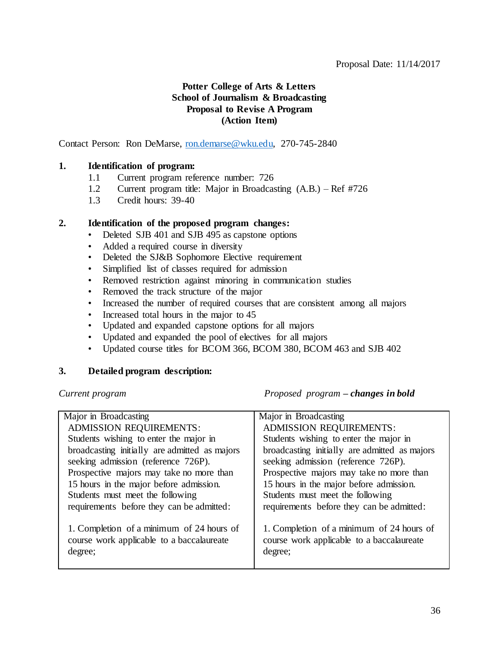# **Potter College of Arts & Letters School of Journalism & Broadcasting Proposal to Revise A Program (Action Item)**

Contact Person: Ron DeMarse, [ron.demarse@wku.edu,](mailto:ron.demarse@wku.edu) 270-745-2840

## **1. Identification of program:**

- 1.1 Current program reference number: 726
- 1.2 Current program title: Major in Broadcasting (A.B.) Ref #726
- 1.3 Credit hours: 39-40

#### **2. Identification of the proposed program changes:**

- Deleted SJB 401 and SJB 495 as capstone options
- Added a required course in diversity
- Deleted the SJ&B Sophomore Elective requirement
- Simplified list of classes required for admission
- Removed restriction against minoring in communication studies
- Removed the track structure of the major
- Increased the number of required courses that are consistent among all majors
- Increased total hours in the major to 45
- Updated and expanded capstone options for all majors
- Updated and expanded the pool of electives for all majors
- Updated course titles for BCOM 366, BCOM 380, BCOM 463 and SJB 402

#### **3. Detailed program description:**

*Current program Proposed program – changes in bold*

| Major in Broadcasting                         | Major in Broadcasting                         |
|-----------------------------------------------|-----------------------------------------------|
| <b>ADMISSION REQUIREMENTS:</b>                | ADMISSION REQUIREMENTS:                       |
| Students wishing to enter the major in        | Students wishing to enter the major in        |
| broadcasting initially are admitted as majors | broadcasting initially are admitted as majors |
| seeking admission (reference 726P).           | seeking admission (reference 726P).           |
| Prospective majors may take no more than      | Prospective majors may take no more than      |
| 15 hours in the major before admission.       | 15 hours in the major before admission.       |
| Students must meet the following              | Students must meet the following              |
| requirements before they can be admitted:     | requirements before they can be admitted:     |
|                                               |                                               |
| 1. Completion of a minimum of 24 hours of     | 1. Completion of a minimum of 24 hours of     |
| course work applicable to a baccalaureate     | course work applicable to a baccalaureate     |
| degree;                                       | degree;                                       |
|                                               |                                               |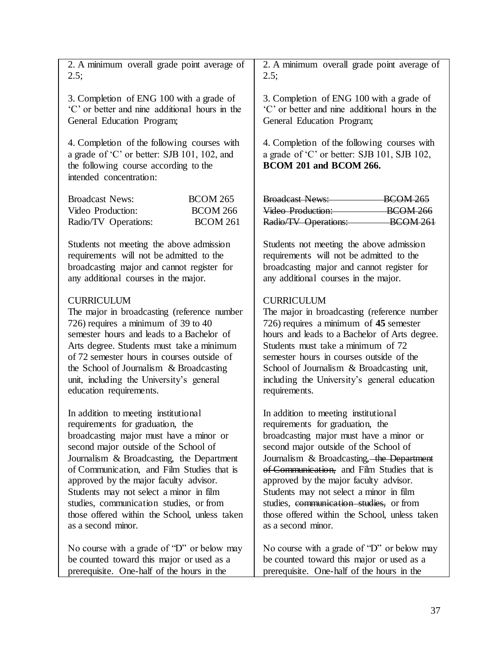2. A minimum overall grade point average of  $2.5$ :

3. Completion of ENG 100 with a grade of 'C' or better and nine additional hours in the General Education Program;

4. Completion of the following courses with a grade of 'C' or better: SJB 101, 102, and the following course according to the intended concentration:

| <b>Broadcast News:</b> | <b>BCOM 265</b> |
|------------------------|-----------------|
| Video Production:      | <b>BCOM 266</b> |
| Radio/TV Operations:   | <b>BCOM 261</b> |

Students not meeting the above admission requirements will not be admitted to the broadcasting major and cannot register for any additional courses in the major.

# **CURRICULUM**

The major in broadcasting (reference number 726) requires a minimum of 39 to 40 semester hours and leads to a Bachelor of Arts degree. Students must take a minimum of 72 semester hours in courses outside of the School of Journalism & Broadcasting unit, including the University's general education requirements.

In addition to meeting institutional requirements for graduation, the broadcasting major must have a minor or second major outside of the School of Journalism & Broadcasting, the Department of Communication, and Film Studies that is approved by the major faculty advisor. Students may not select a minor in film studies, communication studies, or from those offered within the School, unless taken as a second minor.

No course with a grade of "D" or below may be counted toward this major or used as a prerequisite. One-half of the hours in the

2. A minimum overall grade point average of  $2.5$ :

3. Completion of ENG 100 with a grade of 'C' or better and nine additional hours in the General Education Program;

4. Completion of the following courses with a grade of 'C' or better: SJB 101, SJB 102, **BCOM 201 and BCOM 266.**

| <b>Broadcast News:</b> | <b>BCOM 265</b> |
|------------------------|-----------------|
| Video Production:      | <b>BCOM 266</b> |
| Radio/TV Operations:   | <b>BCOM 261</b> |

Students not meeting the above admission requirements will not be admitted to the broadcasting major and cannot register for any additional courses in the major.

# CURRICULUM

The major in broadcasting (reference number 726) requires a minimum of **45** semester hours and leads to a Bachelor of Arts degree. Students must take a minimum of 72 semester hours in courses outside of the School of Journalism & Broadcasting unit, including the University's general education requirements.

In addition to meeting institutional requirements for graduation, the broadcasting major must have a minor or second major outside of the School of Journalism & Broadcasting, the Department of Communication, and Film Studies that is approved by the major faculty advisor. Students may not select a minor in film studies, communication studies, or from those offered within the School, unless taken as a second minor.

No course with a grade of "D" or below may be counted toward this major or used as a prerequisite. One-half of the hours in the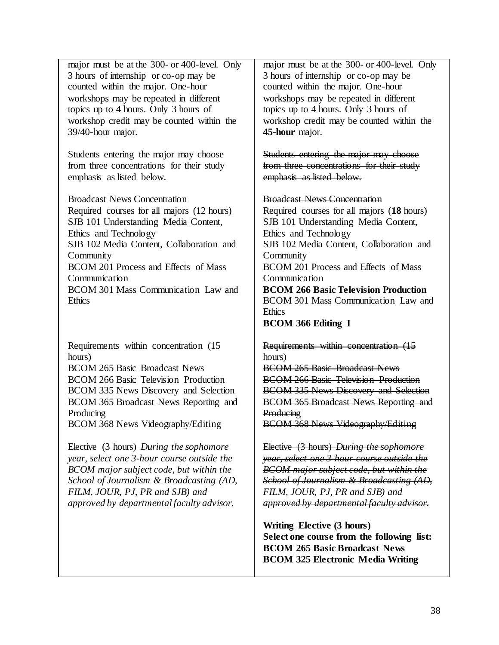major must be at the 300- or 400-level. Only 3 hours of internship or co-op may be counted within the major. One-hour workshops may be repeated in different topics up to 4 hours. Only 3 hours of workshop credit may be counted within the 39/40-hour major.

Students entering the major may choose from three concentrations for their study emphasis as listed below.

Broadcast News Concentration Required courses for all majors (12 hours) SJB 101 Understanding Media Content, Ethics and Technology SJB 102 Media Content, Collaboration and **Community** BCOM 201 Process and Effects of Mass Communication BCOM 301 Mass Communication Law and **Ethics** 

Requirements within concentration (15 hours)

BCOM 265 Basic Broadcast News BCOM 266 Basic Television Production BCOM 335 News Discovery and Selection BCOM 365 Broadcast News Reporting and Producing BCOM 368 News Videography/Editing

Elective (3 hours) *During the sophomore year, select one 3-hour course outside the BCOM major subject code, but within the School of Journalism & Broadcasting (AD, FILM, JOUR, PJ, PR and SJB) and approved by departmental faculty advisor.*

major must be at the 300- or 400-level. Only 3 hours of internship or co-op may be counted within the major. One-hour workshops may be repeated in different topics up to 4 hours. Only 3 hours of workshop credit may be counted within the **45-hour** major.

Students entering the major may choose from three concentrations for their study emphasis as listed below.

## Broadcast News Concentration

Required courses for all majors (**18** hours) SJB 101 Understanding Media Content, Ethics and Technology SJB 102 Media Content, Collaboration and **Community** BCOM 201 Process and Effects of Mass Communication **BCOM 266 Basic Television Production** BCOM 301 Mass Communication Law and **Ethics** 

## **BCOM 366 Editing I**

Requirements within concentration (15 hours) BCOM 265 Basic Broadcast News BCOM 266 Basic Television Production BCOM 335 News Discovery and Selection BCOM 365 Broadcast News Reporting and **Producing** BCOM 368 News Videography/Editing

Elective (3 hours) *During the sophomore year, select one 3-hour course outside the BCOM major subject code, but within the School of Journalism & Broadcasting (AD, FILM, JOUR, PJ, PR and SJB) and approved by departmental faculty advisor.*

**Writing Elective (3 hours) Select one course from the following list: BCOM 265 Basic Broadcast News BCOM 325 Electronic Media Writing**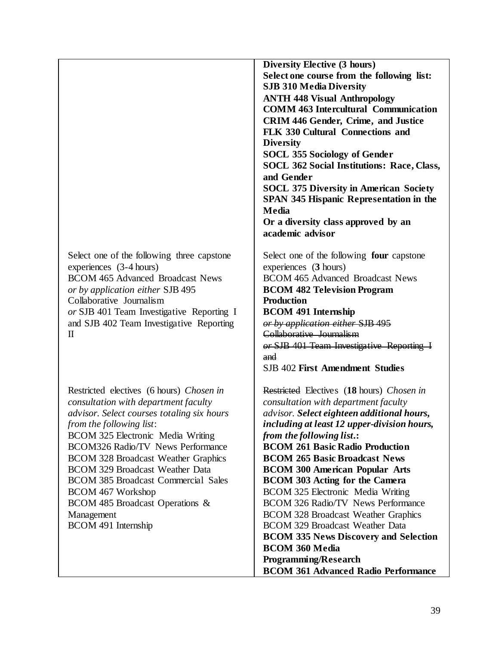| Diversity Elective (3 hours)                  |                                                   |
|-----------------------------------------------|---------------------------------------------------|
|                                               | Select one course from the following list:        |
|                                               | <b>SJB 310 Media Diversity</b>                    |
|                                               | <b>ANTH 448 Visual Anthropology</b>               |
|                                               | <b>COMM 463 Intercultural Communication</b>       |
|                                               | <b>CRIM 446 Gender, Crime, and Justice</b>        |
|                                               | <b>FLK 330 Cultural Connections and</b>           |
| <b>Diversity</b>                              |                                                   |
|                                               | <b>SOCL 355 Sociology of Gender</b>               |
|                                               | <b>SOCL 362 Social Institutions: Race, Class,</b> |
| and Gender                                    |                                                   |
|                                               | <b>SOCL 375 Diversity in American Society</b>     |
|                                               | <b>SPAN 345 Hispanic Representation in the</b>    |
| Media                                         |                                                   |
|                                               | Or a diversity class approved by an               |
|                                               | academic advisor                                  |
|                                               |                                                   |
| Select one of the following three capstone    | Select one of the following four capstone         |
| experiences (3-4 hours)                       | experiences (3 hours)                             |
| <b>BCOM 465 Advanced Broadcast News</b>       | <b>BCOM 465 Advanced Broadcast News</b>           |
| or by application either SJB 495              | <b>BCOM 482 Television Program</b>                |
| Collaborative Journalism<br><b>Production</b> |                                                   |
| or SJB 401 Team Investigative Reporting I     | <b>BCOM 491 Internship</b>                        |
| and SJB 402 Team Investigative Reporting      | or by application either SJB 495                  |
| $\mathbf{I}$                                  | Collaborative Journalism                          |
|                                               | or SJB 401 Team Investigative Reporting I         |
| and                                           |                                                   |
|                                               | <b>SJB 402 First Amendment Studies</b>            |
| Restricted electives (6 hours) Chosen in      | Restricted Electives (18 hours) Chosen in         |
| consultation with department faculty          | consultation with department faculty              |
| advisor. Select courses totaling six hours    | advisor. Select eighteen additional hours,        |
| from the following list:                      | including at least 12 upper-division hours,       |
| BCOM 325 Electronic Media Writing             | from the following list.:                         |
| <b>BCOM326 Radio/TV News Performance</b>      | <b>BCOM 261 Basic Radio Production</b>            |
| <b>BCOM 328 Broadcast Weather Graphics</b>    | <b>BCOM 265 Basic Broadcast News</b>              |
| <b>BCOM 329 Broadcast Weather Data</b>        | <b>BCOM 300 American Popular Arts</b>             |
| <b>BCOM 385 Broadcast Commercial Sales</b>    | <b>BCOM 303 Acting for the Camera</b>             |
| <b>BCOM 467 Workshop</b>                      | BCOM 325 Electronic Media Writing                 |
| BCOM 485 Broadcast Operations &               | <b>BCOM 326 Radio/TV News Performance</b>         |
| Management                                    | <b>BCOM 328 Broadcast Weather Graphics</b>        |
| BCOM 491 Internship                           | <b>BCOM 329 Broadcast Weather Data</b>            |
|                                               | <b>BCOM 335 News Discovery and Selection</b>      |
|                                               | <b>BCOM 360 Media</b>                             |
|                                               | <b>Programming/Research</b>                       |
|                                               | <b>BCOM 361 Advanced Radio Performance</b>        |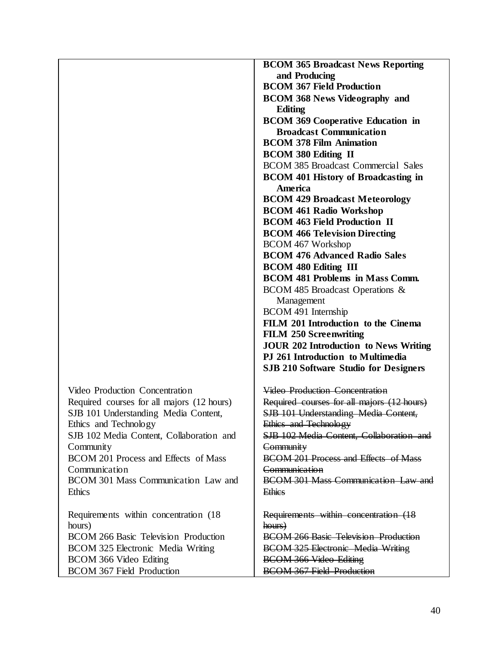|                                                            | <b>BCOM 365 Broadcast News Reporting</b>                   |
|------------------------------------------------------------|------------------------------------------------------------|
|                                                            | and Producing                                              |
|                                                            | <b>BCOM 367 Field Production</b>                           |
|                                                            | <b>BCOM 368 News Videography and</b>                       |
|                                                            | Editing                                                    |
|                                                            | <b>BCOM 369 Cooperative Education in</b>                   |
|                                                            | <b>Broadcast Communication</b>                             |
|                                                            | <b>BCOM 378 Film Animation</b>                             |
|                                                            | <b>BCOM 380 Editing II</b>                                 |
|                                                            | <b>BCOM 385 Broadcast Commercial Sales</b>                 |
|                                                            |                                                            |
|                                                            | <b>BCOM 401 History of Broadcasting in</b><br>America      |
|                                                            |                                                            |
|                                                            | <b>BCOM 429 Broadcast Meteorology</b>                      |
|                                                            | <b>BCOM 461 Radio Workshop</b>                             |
|                                                            | <b>BCOM 463 Field Production II</b>                        |
|                                                            | <b>BCOM 466 Television Directing</b>                       |
|                                                            | <b>BCOM 467 Workshop</b>                                   |
|                                                            | <b>BCOM 476 Advanced Radio Sales</b>                       |
|                                                            | <b>BCOM 480 Editing III</b>                                |
|                                                            | <b>BCOM 481 Problems in Mass Comm.</b>                     |
|                                                            | BCOM 485 Broadcast Operations &                            |
|                                                            | Management                                                 |
|                                                            | BCOM 491 Internship                                        |
|                                                            | FILM 201 Introduction to the Cinema                        |
|                                                            | <b>FILM 250 Screenwriting</b>                              |
|                                                            | <b>JOUR 202 Introduction to News Writing</b>               |
|                                                            | PJ 261 Introduction to Multimedia                          |
|                                                            | <b>SJB 210 Software Studio for Designers</b>               |
|                                                            |                                                            |
| Video Production Concentration                             | Video Production Concentration                             |
| Required courses for all majors (12 hours)                 | Required courses for all majors (12 hours)                 |
| SJB 101 Understanding Media Content,                       | SJB 101 Understanding Media Content,                       |
| Ethics and Technology                                      | Ethics and Technology                                      |
| SJB 102 Media Content, Collaboration and                   | SJB 102 Media Content, Collaboration and                   |
| Community                                                  | Community                                                  |
| BCOM 201 Process and Effects of Mass                       | <b>BCOM 201 Process and Effects of Mass</b>                |
| Communication                                              | Communication                                              |
| BCOM 301 Mass Communication Law and                        | <b>BCOM 301 Mass Communication Law and</b>                 |
| Ethics                                                     | <b>Ethics</b>                                              |
|                                                            |                                                            |
| Requirements within concentration (18)                     | Requirements within concentration (18                      |
| hours)                                                     | hours)                                                     |
| <b>BCOM 266 Basic Television Production</b>                | <b>BCOM 266 Basic Television Production</b>                |
|                                                            |                                                            |
| BCOM 325 Electronic Media Writing                          | <b>BCOM 325 Electronic Media Writing</b>                   |
| BCOM 366 Video Editing<br><b>BCOM 367 Field Production</b> | BCOM 366 Video Editing<br><b>BCOM 367 Field Production</b> |
|                                                            |                                                            |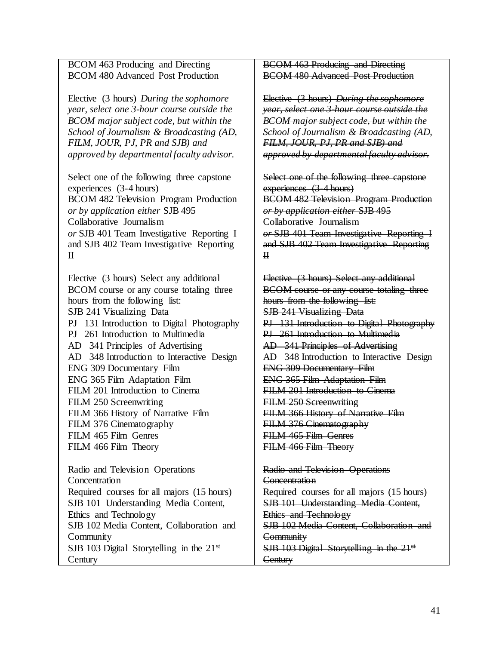BCOM 463 Producing and Directing BCOM 480 Advanced Post Production

Elective (3 hours) *During the sophomore year, select one 3-hour course outside the BCOM major subject code, but within the School of Journalism & Broadcasting (AD, FILM, JOUR, PJ, PR and SJB) and approved by departmental faculty advisor.*

Select one of the following three capstone experiences (3-4 hours) BCOM 482 Television Program Production *or by application either* SJB 495 Collaborative Journalism *or* SJB 401 Team Investigative Reporting I and SJB 402 Team Investigative Reporting II

Elective (3 hours) Select any additional BCOM course or any course totaling three hours from the following list: SJB 241 Visualizing Data PJ 131 Introduction to Digital Photography PJ 261 Introduction to Multimedia AD 341 Principles of Advertising AD 348 Introduction to Interactive Design ENG 309 Documentary Film ENG 365 Film Adaptation Film FILM 201 Introduction to Cinema FILM 250 Screenwriting FILM 366 History of Narrative Film FILM 376 Cinematography FILM 465 Film Genres FILM 466 Film Theory Radio and Television Operations

**Concentration** Required courses for all majors (15 hours) SJB 101 Understanding Media Content, Ethics and Technology SJB 102 Media Content, Collaboration and **Community** SJB 103 Digital Storytelling in the  $21<sup>st</sup>$ **Century** 

BCOM 463 Producing and Directing BCOM 480 Advanced Post Production

Elective (3 hours) *During the sophomore year, select one 3-hour course outside the BCOM major subject code, but within the School of Journalism & Broadcasting (AD, FILM, JOUR, PJ, PR and SJB) and approved by departmental faculty advisor.*

Select one of the following three capstone experiences (3-4 hours) BCOM 482 Television Program Production *or by application either* SJB 495 Collaborative Journalism *or* SJB 401 Team Investigative Reporting I and SJB 402 Team Investigative Reporting II

Elective (3 hours) Select any additional BCOM course or any course totaling three hours from the following list: SJB 241 Visualizing Data PJ 131 Introduction to Digital Photography PJ 261 Introduction to Multimedia AD 341 Principles of Advertising AD 348 Introduction to Interactive Design ENG 309 Documentary Film ENG 365 Film Adaptation Film FILM 201 Introduction to Cinema FILM 250 Screenwriting FILM 366 History of Narrative Film FILM 376 Cinematography FILM 465 Film Genres FILM 466 Film Theory

Radio and Television Operations **Concentration** Required courses for all majors (15 hours) SJB 101 Understanding Media Content, Ethics and Technology SJB 102 Media Content, Collaboration and **Community**  $SJB$  103 Digital Storytelling in the  $21<sup>st</sup>$ **Century**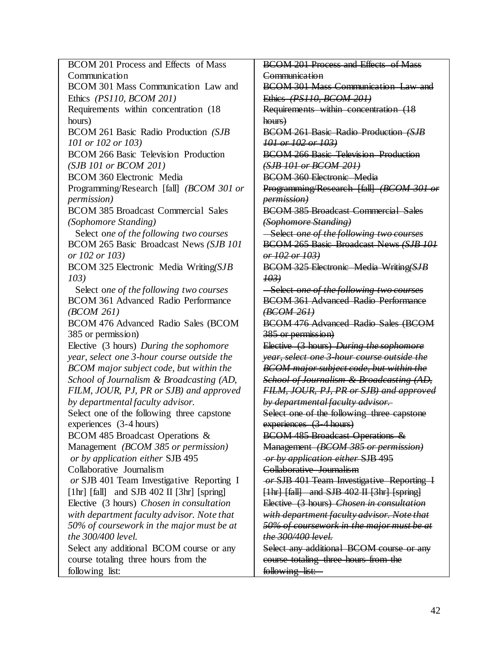BCOM 201 Process and Effects of Mass Communication BCOM 301 Mass Communication Law and Ethics *(PS110, BCOM 201)* Requirements within concentration (18 hours) BCOM 261 Basic Radio Production *(SJB 101 or 102 or 103)* BCOM 266 Basic Television Production *(SJB 101 or BCOM 201)* BCOM 360 Electronic Media Programming/Research [fall] *(BCOM 301 or permission)* BCOM 385 Broadcast Commercial Sales *(Sophomore Standing)* Select o*ne of the following two courses* BCOM 265 Basic Broadcast News *(SJB 101 or 102 or 103)* BCOM 325 Electronic Media Writing*(SJB 103)* Select o*ne of the following two courses* BCOM 361 Advanced Radio Performance *(BCOM 261)* BCOM 476 Advanced Radio Sales (BCOM 385 or permission) Elective (3 hours) *During the sophomore year, select one 3-hour course outside the BCOM major subject code, but within the School of Journalism & Broadcasting (AD, FILM, JOUR, PJ, PR or SJB) and approved by departmental faculty advisor.* Select one of the following three capstone experiences (3-4 hours) BCOM 485 Broadcast Operations & Management *(BCOM 385 or permission) or by application either* SJB 495 Collaborative Journalism *or* SJB 401 Team Investigative Reporting I [1hr] [fall] and SJB 402 II [3hr] [spring] Elective (3 hours) *Chosen in consultation with department faculty advisor. Note that 50% of coursework in the major must be at the 300/400 level.* Select any additional BCOM course or any course totaling three hours from the following list:

BCOM 201 Process and Effects of Mass **Communication** BCOM 301 Mass Communication Law and Ethics *(PS110, BCOM 201)* Requirements within concentration (18 hours) BCOM 261 Basic Radio Production *(SJB 101 or 102 or 103)* BCOM 266 Basic Television Production *(SJB 101 or BCOM 201)* BCOM 360 Electronic Media Programming/Research [fall] *(BCOM 301 or permission)* BCOM 385 Broadcast Commercial Sales *(Sophomore Standing)* Select o*ne of the following two courses* BCOM 265 Basic Broadcast News *(SJB 101 or 102 or 103)* BCOM 325 Electronic Media Writing*(SJB 103)* Select o*ne of the following two courses* BCOM 361 Advanced Radio Performance *(BCOM 261)* BCOM 476 Advanced Radio Sales (BCOM 385 or permission) Elective (3 hours) *During the sophomore year, select one 3-hour course outside the BCOM major subject code, but within the School of Journalism & Broadcasting (AD, FILM, JOUR, PJ, PR or SJB) and approved by departmental faculty advisor.* Select one of the following three capstone experiences (3-4 hours) BCOM 485 Broadcast Operations & Management *(BCOM 385 or permission) or by application either* SJB 495 Collaborative Journalism *or* SJB 401 Team Investigative Reporting I  $[1hr]$   $[fall]$  and  $SJB$  402 II  $[3hr]$   $[spring]$ Elective (3 hours) *Chosen in consultation with department faculty advisor. Note that 50% of coursework in the major must be at the 300/400 level.* Select any additional BCOM course or any course totaling three hours from the following list: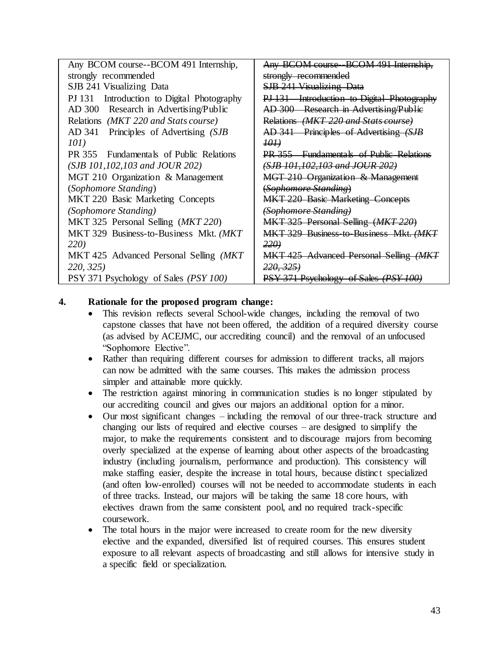| Any BCOM course--BCOM 491 Internship,                | Any BCOM course BCOM 491 Internship,           |
|------------------------------------------------------|------------------------------------------------|
| strongly recommended                                 | strongly recommended                           |
| SJB 241 Visualizing Data                             | <b>SJB 241 Visualizing Data</b>                |
| <b>PJ</b> 131<br>Introduction to Digital Photography | PJ 131 Introduction to Digital Photography     |
| AD 300 Research in Advertising/Public                | AD 300 Research in Advertising/Public          |
| Relations (MKT 220 and Stats course)                 | Relations (MKT 220 and Stats course)           |
| AD 341 Principles of Advertising (SJB                | AD 341 Principles of Advertising (SJB          |
| <i>101</i> )                                         | 40H                                            |
| <b>PR</b> 355 Fundamentals of Public Relations       | <b>PR</b> 355 Fundamentals of Public Relations |
| $(SJB 101, 102, 103$ and $JOUR 202)$                 | (SJB 101,102,103 and JOUR 202)                 |
| MGT 210 Organization & Management                    | MGT 210 Organization & Management              |
| <i>(Sophomore Standing)</i>                          | (Sophomore Standing)                           |
| <b>MKT 220 Basic Marketing Concepts</b>              | <b>MKT 220 Basic Marketing Concepts</b>        |
| <i>(Sophomore Standing)</i>                          | (Sophomore Standing)                           |
| MKT 325 Personal Selling (MKT 220)                   | MKT 325 Personal Selling (MKT 220)             |
| MKT 329 Business-to-Business Mkt. (MKT)              | MKT 329 Business to Business Mkt. (MKT         |
| <b>220</b>                                           | 22O)                                           |
| MKT 425 Advanced Personal Selling <i>(MKT</i> )      | MKT 425 Advanced Personal Selling (MKT         |
| 220, 325)                                            | <del>220, 325)</del>                           |
| PSY 371 Psychology of Sales ( <i>PSY 100</i> )       | PSY 371 Psychology of Sales (PSY 100)          |

# **4. Rationale for the proposed program change:**

- This revision reflects several School-wide changes, including the removal of two capstone classes that have not been offered, the addition of a required diversity course (as advised by ACEJMC, our accrediting council) and the removal of an unfocused "Sophomore Elective".
- Rather than requiring different courses for admission to different tracks, all majors can now be admitted with the same courses. This makes the admission process simpler and attainable more quickly.
- The restriction against minoring in communication studies is no longer stipulated by our accrediting council and gives our majors an additional option for a minor.
- Our most significant changes including the removal of our three-track structure and changing our lists of required and elective courses – are designed to simplify the major, to make the requirements consistent and to discourage majors from becoming overly specialized at the expense of learning about other aspects of the broadcasting industry (including journalism, performance and production). This consistency will make staffing easier, despite the increase in total hours, because distinct specialized (and often low-enrolled) courses will not be needed to accommodate students in each of three tracks. Instead, our majors will be taking the same 18 core hours, with electives drawn from the same consistent pool, and no required track-specific coursework.
- The total hours in the major were increased to create room for the new diversity elective and the expanded, diversified list of required courses. This ensures student exposure to all relevant aspects of broadcasting and still allows for intensive study in a specific field or specialization.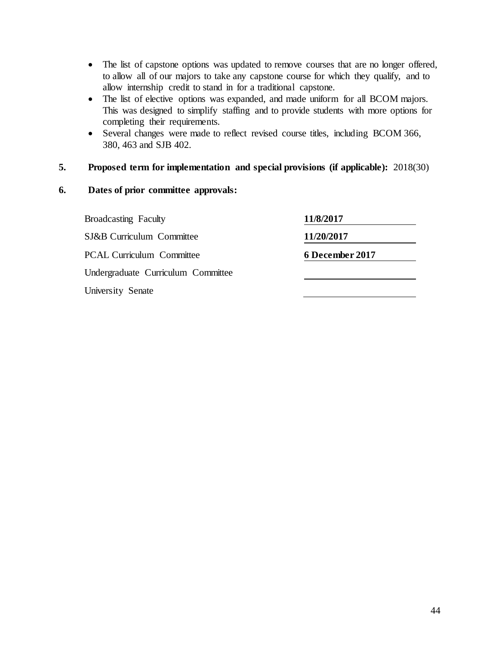- The list of capstone options was updated to remove courses that are no longer offered, to allow all of our majors to take any capstone course for which they qualify, and to allow internship credit to stand in for a traditional capstone.
- The list of elective options was expanded, and made uniform for all BCOM majors. This was designed to simplify staffing and to provide students with more options for completing their requirements.
- Several changes were made to reflect revised course titles, including BCOM 366, 380, 463 and SJB 402.

# **5. Proposed term for implementation and special provisions (if applicable):** 2018(30)

| <b>Broadcasting Faculty</b>        | 11/8/2017       |
|------------------------------------|-----------------|
| SJ&B Curriculum Committee          | 11/20/2017      |
| <b>PCAL Curriculum Committee</b>   | 6 December 2017 |
| Undergraduate Curriculum Committee |                 |
| University Senate                  |                 |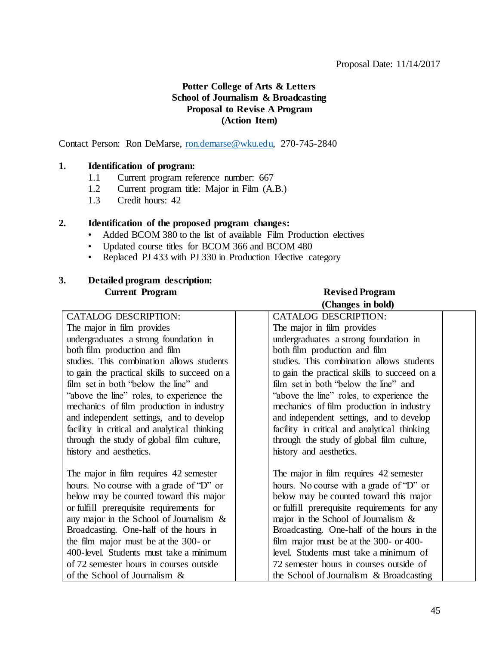#### Proposal Date: 11/14/2017

# **Potter College of Arts & Letters School of Journalism & Broadcasting Proposal to Revise A Program (Action Item)**

Contact Person: Ron DeMarse, [ron.demarse@wku.edu,](mailto:ron.demarse@wku.edu) 270-745-2840

# **1. Identification of program:**

- 1.1 Current program reference number: 667
- 1.2 Current program title: Major in Film (A.B.)
- 1.3 Credit hours: 42

# **2. Identification of the proposed program changes:**

- Added BCOM 380 to the list of available Film Production electives
- Updated course titles for BCOM 366 and BCOM 480
- Replaced PJ 433 with PJ 330 in Production Elective category

| 3. | Detailed program description: |
|----|-------------------------------|
|    | <b>Current Program</b>        |

# **Current Program Revised Program (Changes in bold)**

| <b>CATALOG DESCRIPTION:</b>                  | <b>CATALOG DESCRIPTION:</b>                  |
|----------------------------------------------|----------------------------------------------|
| The major in film provides                   | The major in film provides                   |
| undergraduates a strong foundation in        | undergraduates a strong foundation in        |
| both film production and film                | both film production and film                |
| studies. This combination allows students    | studies. This combination allows students    |
| to gain the practical skills to succeed on a | to gain the practical skills to succeed on a |
| film set in both "below the line" and        | film set in both "below the line" and        |
| "above the line" roles, to experience the    | "above the line" roles, to experience the    |
| mechanics of film production in industry     | mechanics of film production in industry     |
| and independent settings, and to develop     | and independent settings, and to develop     |
| facility in critical and analytical thinking | facility in critical and analytical thinking |
| through the study of global film culture,    | through the study of global film culture,    |
| history and aesthetics.                      | history and aesthetics.                      |
|                                              |                                              |
| The major in film requires 42 semester       | The major in film requires 42 semester       |
| hours. No course with a grade of "D" or      | hours. No course with a grade of "D" or      |
| below may be counted toward this major       | below may be counted toward this major       |
| or fulfill prerequisite requirements for     | or fulfill prerequisite requirements for any |
| any major in the School of Journalism $\&$   | major in the School of Journalism $\&$       |
| Broadcasting. One-half of the hours in       | Broadcasting. One-half of the hours in the   |
| the film major must be at the 300- or        | film major must be at the $300-$ or $400-$   |
| 400-level. Students must take a minimum      | level. Students must take a minimum of       |
| of 72 semester hours in courses outside      | 72 semester hours in courses outside of      |
| of the School of Journalism &                | the School of Journalism & Broadcasting      |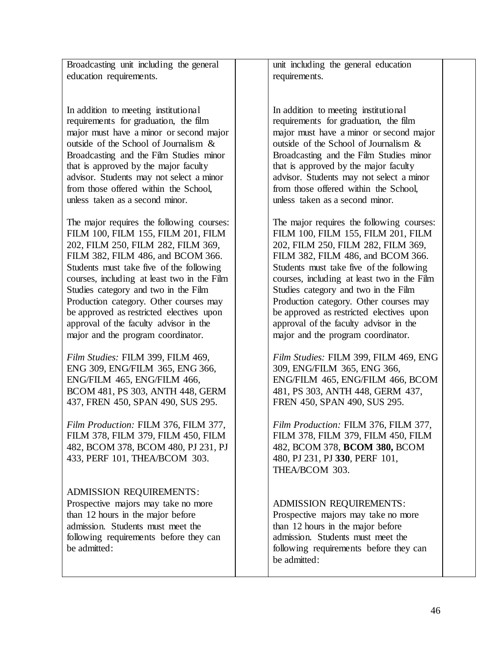Broadcasting unit including the general education requirements.

In addition to meeting institutional requirements for graduation, the film major must have a minor or second major outside of the School of Journalism & Broadcasting and the Film Studies minor that is approved by the major faculty advisor. Students may not select a minor from those offered within the School, unless taken as a second minor.

The major requires the following courses: FILM 100, FILM 155, FILM 201, FILM 202, FILM 250, FILM 282, FILM 369, FILM 382, FILM 486, and BCOM 366. Students must take five of the following courses, including at least two in the Film Studies category and two in the Film Production category. Other courses may be approved as restricted electives upon approval of the faculty advisor in the major and the program coordinator.

*Film Studies:* FILM 399, FILM 469, ENG 309, ENG/FILM 365, ENG 366, ENG/FILM 465, ENG/FILM 466, BCOM 481, PS 303, ANTH 448, GERM 437, FREN 450, SPAN 490, SUS 295.

*Film Production:* FILM 376, FILM 377, FILM 378, FILM 379, FILM 450, FILM 482, BCOM 378, BCOM 480, PJ 231, PJ 433, PERF 101, THEA/BCOM 303.

# ADMISSION REQUIREMENTS:

Prospective majors may take no more than 12 hours in the major before admission. Students must meet the following requirements before they can be admitted:

unit including the general education requirements.

In addition to meeting institutional requirements for graduation, the film major must have a minor or second major outside of the School of Journalism & Broadcasting and the Film Studies minor that is approved by the major faculty advisor. Students may not select a minor from those offered within the School, unless taken as a second minor.

The major requires the following courses: FILM 100, FILM 155, FILM 201, FILM 202, FILM 250, FILM 282, FILM 369, FILM 382, FILM 486, and BCOM 366. Students must take five of the following courses, including at least two in the Film Studies category and two in the Film Production category. Other courses may be approved as restricted electives upon approval of the faculty advisor in the major and the program coordinator.

*Film Studies:* FILM 399, FILM 469, ENG 309, ENG/FILM 365, ENG 366, ENG/FILM 465, ENG/FILM 466, BCOM 481, PS 303, ANTH 448, GERM 437, FREN 450, SPAN 490, SUS 295.

*Film Production:* FILM 376, FILM 377, FILM 378, FILM 379, FILM 450, FILM 482, BCOM 378, **BCOM 380,** BCOM 480, PJ 231, PJ **330**, PERF 101, THEA/BCOM 303.

# ADMISSION REQUIREMENTS:

Prospective majors may take no more than 12 hours in the major before admission. Students must meet the following requirements before they can be admitted: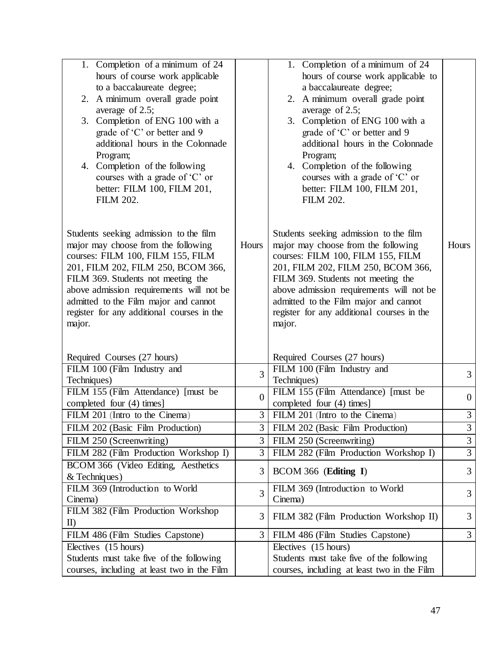| 1. Completion of a minimum of 24                                                        |                | 1. Completion of a minimum of 24                                                        |                |
|-----------------------------------------------------------------------------------------|----------------|-----------------------------------------------------------------------------------------|----------------|
| hours of course work applicable                                                         |                | hours of course work applicable to                                                      |                |
| to a baccalaureate degree;                                                              |                | a baccalaureate degree;                                                                 |                |
| 2. A minimum overall grade point                                                        |                | 2. A minimum overall grade point                                                        |                |
| average of 2.5;                                                                         |                | average of 2.5;                                                                         |                |
| 3. Completion of ENG 100 with a                                                         |                | 3. Completion of ENG 100 with a                                                         |                |
| grade of 'C' or better and 9                                                            |                | grade of 'C' or better and 9                                                            |                |
| additional hours in the Colonnade                                                       |                | additional hours in the Colonnade                                                       |                |
| Program;                                                                                |                | Program;                                                                                |                |
| 4. Completion of the following                                                          |                | 4. Completion of the following                                                          |                |
| courses with a grade of 'C' or                                                          |                | courses with a grade of 'C' or                                                          |                |
| better: FILM 100, FILM 201,                                                             |                | better: FILM 100, FILM 201,                                                             |                |
| <b>FILM 202.</b>                                                                        |                | <b>FILM 202.</b>                                                                        |                |
|                                                                                         |                |                                                                                         |                |
| Students seeking admission to the film                                                  |                | Students seeking admission to the film                                                  |                |
| major may choose from the following                                                     | Hours          | major may choose from the following                                                     | Hours          |
| courses: FILM 100, FILM 155, FILM                                                       |                | courses: FILM 100, FILM 155, FILM                                                       |                |
| 201, FILM 202, FILM 250, BCOM 366,                                                      |                | 201, FILM 202, FILM 250, BCOM 366,                                                      |                |
| FILM 369. Students not meeting the                                                      |                | FILM 369. Students not meeting the                                                      |                |
| above admission requirements will not be                                                |                | above admission requirements will not be                                                |                |
| admitted to the Film major and cannot                                                   |                | admitted to the Film major and cannot                                                   |                |
| register for any additional courses in the                                              |                | register for any additional courses in the                                              |                |
| major.                                                                                  |                | major.                                                                                  |                |
|                                                                                         |                |                                                                                         |                |
|                                                                                         |                |                                                                                         |                |
| Required Courses (27 hours)                                                             |                | Required Courses (27 hours)                                                             |                |
| FILM 100 (Film Industry and                                                             | 3              | FILM 100 (Film Industry and                                                             | $\overline{3}$ |
| Techniques)<br>FILM 155 (Film Attendance) [must be                                      |                | Techniques)<br>FILM 155 (Film Attendance) [must be                                      |                |
| completed four (4) times]                                                               | $\theta$       | completed four (4) times]                                                               | $\overline{0}$ |
| FILM 201 (Intro to the Cinema)                                                          | $\overline{3}$ | FILM 201 (Intro to the Cinema)                                                          | $\overline{3}$ |
| FILM 202 (Basic Film Production)                                                        | 3              | FILM 202 (Basic Film Production)                                                        | 3              |
| FILM 250 (Screenwriting)                                                                | 3              | FILM 250 (Screenwriting)                                                                | 3              |
| FILM 282 (Film Production Workshop I)                                                   | 3              | FILM 282 (Film Production Workshop I)                                                   | $\overline{3}$ |
| BCOM 366 (Video Editing, Aesthetics                                                     |                |                                                                                         |                |
| $&$ Techniques)                                                                         | 3              | BCOM 366 (Editing I)                                                                    | 3              |
| FILM 369 (Introduction to World                                                         | 3              | FILM 369 (Introduction to World                                                         | 3              |
| Cinema)                                                                                 |                | Cinema)                                                                                 |                |
| FILM 382 (Film Production Workshop                                                      | 3              | FILM 382 (Film Production Workshop II)                                                  | 3              |
| $\mathbf{I}$                                                                            |                |                                                                                         |                |
| FILM 486 (Film Studies Capstone)                                                        | 3              | FILM 486 (Film Studies Capstone)                                                        | 3              |
| Electives (15 hours)                                                                    |                | Electives (15 hours)                                                                    |                |
| Students must take five of the following<br>courses, including at least two in the Film |                | Students must take five of the following<br>courses, including at least two in the Film |                |
|                                                                                         |                |                                                                                         |                |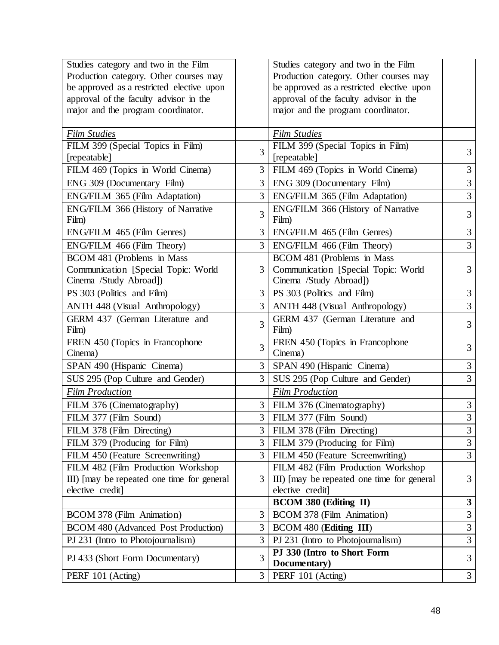| Studies category and two in the Film       |                | Studies category and two in the Film       |                |
|--------------------------------------------|----------------|--------------------------------------------|----------------|
| Production category. Other courses may     |                | Production category. Other courses may     |                |
| be approved as a restricted elective upon  |                | be approved as a restricted elective upon  |                |
| approval of the faculty advisor in the     |                | approval of the faculty advisor in the     |                |
| major and the program coordinator.         |                | major and the program coordinator.         |                |
|                                            |                |                                            |                |
| <b>Film Studies</b>                        |                | <b>Film Studies</b>                        |                |
| FILM 399 (Special Topics in Film)          | 3              | FILM 399 (Special Topics in Film)          | 3              |
| [repeatable]                               |                | [repeatable]                               |                |
| FILM 469 (Topics in World Cinema)          | 3              | FILM 469 (Topics in World Cinema)          | 3              |
| ENG 309 (Documentary Film)                 | 3              | ENG 309 (Documentary Film)                 | $\mathfrak{Z}$ |
| ENG/FILM 365 (Film Adaptation)             | $\overline{3}$ | ENG/FILM 365 (Film Adaptation)             | $\overline{3}$ |
| ENG/FILM 366 (History of Narrative         | 3              | ENG/FILM 366 (History of Narrative         | 3              |
| Film)                                      |                | Film)                                      |                |
| ENG/FILM 465 (Film Genres)                 | 3              | ENG/FILM 465 (Film Genres)                 | $\mathfrak{Z}$ |
| ENG/FILM 466 (Film Theory)                 | 3              | ENG/FILM 466 (Film Theory)                 | 3              |
| BCOM 481 (Problems in Mass                 |                | BCOM 481 (Problems in Mass                 |                |
| Communication [Special Topic: World        | 3              | Communication [Special Topic: World        | 3              |
| Cinema /Study Abroad])                     |                | Cinema /Study Abroad])                     |                |
| PS 303 (Politics and Film)                 | 3              | PS 303 (Politics and Film)                 | 3              |
| <b>ANTH 448 (Visual Anthropology)</b>      | $\overline{3}$ | ANTH 448 (Visual Anthropology)             | $\overline{3}$ |
| GERM 437 (German Literature and            | 3              | GERM 437 (German Literature and            | 3              |
| Film)                                      |                | Film)                                      |                |
| FREN 450 (Topics in Francophone            | 3              | FREN 450 (Topics in Francophone            | 3              |
| Cinema)                                    |                | Cinema)                                    |                |
| SPAN 490 (Hispanic Cinema)                 | 3              | SPAN 490 (Hispanic Cinema)                 | 3              |
| SUS 295 (Pop Culture and Gender)           | 3              | SUS 295 (Pop Culture and Gender)           | $\overline{3}$ |
| <b>Film Production</b>                     |                | <b>Film Production</b>                     |                |
| FILM 376 (Cinemato graphy)                 | 3              | FILM 376 (Cinemato graphy)                 | 3              |
| FILM 377 (Film Sound)                      | 3              | FILM 377 (Film Sound)                      | $\overline{3}$ |
| FILM 378 (Film Directing)                  | 3              | FILM 378 (Film Directing)                  | 3              |
| FILM 379 (Producing for Film)              | 3              | FILM 379 (Producing for Film)              | 3              |
| FILM 450 (Feature Screenwriting)           | 3              | FILM 450 (Feature Screenwriting)           | 3              |
| FILM 482 (Film Production Workshop         |                | FILM 482 (Film Production Workshop         |                |
| III) [may be repeated one time for general | 3              | III) [may be repeated one time for general | 3              |
| elective credit]                           |                | elective credit]                           |                |
|                                            |                | <b>BCOM 380 (Editing II)</b>               | $\mathbf{3}$   |
| BCOM 378 (Film Animation)                  | 3              | BCOM 378 (Film Animation)                  | 3              |
| <b>BCOM 480 (Advanced Post Production)</b> | 3              | <b>BCOM 480 (Editing III)</b>              | 3              |
| PJ 231 (Intro to Photojournalism)          | $\overline{3}$ | PJ 231 (Intro to Photojournalism)          | $\overline{3}$ |
|                                            | 3              | PJ 330 (Intro to Short Form                | 3              |
| PJ 433 (Short Form Documentary)            |                | Documentary)                               |                |
| PERF 101 (Acting)                          | 3              | PERF 101 (Acting)                          | $\overline{3}$ |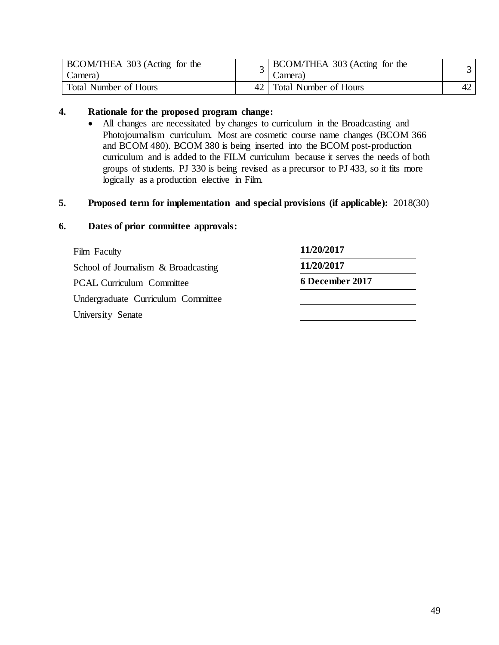| <b>BCOM/THEA 303 (Acting for the</b><br>Camera) | $\alpha$ BCOM/THEA 303 (Acting for the<br>Camera) |  |
|-------------------------------------------------|---------------------------------------------------|--|
| Total Number of Hours                           | 42 Total Number of Hours                          |  |

# **4. Rationale for the proposed program change:**

 All changes are necessitated by changes to curriculum in the Broadcasting and Photojournalism curriculum. Most are cosmetic course name changes (BCOM 366 and BCOM 480). BCOM 380 is being inserted into the BCOM post-production curriculum and is added to the FILM curriculum because it serves the needs of both groups of students. PJ 330 is being revised as a precursor to PJ 433, so it fits more logically as a production elective in Film.

# **5. Proposed term for implementation and special provisions (if applicable):** 2018(30)

| Film Faculty                        | 11/20/2017      |
|-------------------------------------|-----------------|
| School of Journalism & Broadcasting | 11/20/2017      |
| <b>PCAL Curriculum Committee</b>    | 6 December 2017 |
| Undergraduate Curriculum Committee  |                 |
| University Senate                   |                 |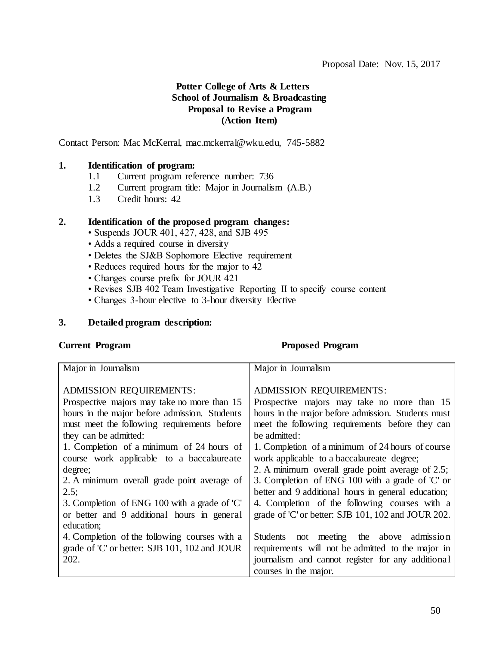# **Potter College of Arts & Letters School of Journalism & Broadcasting Proposal to Revise a Program (Action Item)**

Contact Person: Mac McKerral, mac.mckerral@wku.edu, 745-5882

# **1. Identification of program:**

- 1.1 Current program reference number: 736
- 1.2 Current program title: Major in Journalism (A.B.)
- 1.3 Credit hours: 42

# **2. Identification of the proposed program changes:**

- Suspends JOUR 401, 427, 428, and SJB 495
- Adds a required course in diversity
- Deletes the SJ&B Sophomore Elective requirement
- Reduces required hours for the major to 42
- Changes course prefix for JOUR 421
- Revises SJB 402 Team Investigative Reporting II to specify course content
- Changes 3-hour elective to 3-hour diversity Elective

# **3. Detailed program description:**

## **Current Program Proposed Program**

| Major in Journalism                           | Major in Journalism                                 |
|-----------------------------------------------|-----------------------------------------------------|
| <b>ADMISSION REQUIREMENTS:</b>                | <b>ADMISSION REQUIREMENTS:</b>                      |
| Prospective majors may take no more than 15   | Prospective majors may take no more than 15         |
| hours in the major before admission. Students | hours in the major before admission. Students must  |
| must meet the following requirements before   | meet the following requirements before they can     |
| they can be admitted:                         | be admitted:                                        |
| 1. Completion of a minimum of 24 hours of     | 1. Completion of a minimum of 24 hours of course    |
| course work applicable to a baccalaureate     | work applicable to a baccalaureate degree;          |
| degree;                                       | 2. A minimum overall grade point average of 2.5;    |
| 2. A minimum overall grade point average of   | 3. Completion of ENG 100 with a grade of 'C' or     |
| 2.5;                                          | better and 9 additional hours in general education; |
| 3. Completion of ENG 100 with a grade of 'C'  | 4. Completion of the following courses with a       |
| or better and 9 additional hours in general   | grade of 'C' or better: SJB 101, 102 and JOUR 202.  |
| education;                                    |                                                     |
| 4. Completion of the following courses with a | Students not meeting the above admission            |
| grade of 'C' or better: SJB 101, 102 and JOUR | requirements will not be admitted to the major in   |
| 202.                                          | journalism and cannot register for any additional   |
|                                               | courses in the major.                               |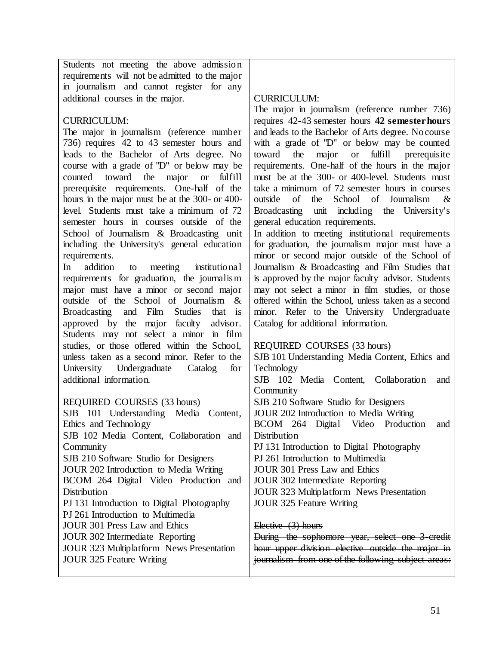Students not meeting the above admission requirements will not be admitted to the major in journalism and cannot register for any additional courses in the major.

# CURRICULUM:

The major in journalism (reference number 736) requires 42 to 43 semester hours and leads to the Bachelor of Arts degree. No course with a grade of "D" or below may be counted toward the major or fulfill prerequisite requirements. One-half of the hours in the major must be at the 300- or 400 level. Students must take a minimum of 72 semester hours in courses outside of the School of Journalism & Broadcasting unit including the University's general education requirements.

In addition to meeting institutional requirements for graduation, the journalism major must have a minor or second major outside of the School of Journalism & Broadcasting and Film Studies that is approved by the major faculty advisor. Students may not select a minor in film studies, or those offered within the School, unless taken as a second minor. Refer to the University Undergraduate Catalog for additional information.

REQUIRED COURSES (33 hours)

SJB 101 Understanding Media Content, Ethics and Technology SJB 102 Media Content, Collaboration and **Community** SJB 210 Software Studio for Designers JOUR 202 Introduction to Media Writing BCOM 264 Digital Video Production and **Distribution** PJ 131 Introduction to Digital Photography PJ 261 Introduction to Multimedia JOUR 301 Press Law and Ethics JOUR 302 Intermediate Reporting JOUR 323 Multiplatform News Presentation JOUR 325 Feature Writing

# CURRICULUM:

The major in journalism (reference number 736) requires 42-43 semester hours **42 semester hour**s and leads to the Bachelor of Arts degree. No course with a grade of "D" or below may be counted toward the major or fulfill prerequisite requirements. One-half of the hours in the major must be at the 300- or 400-level. Students must take a minimum of 72 semester hours in courses outside of the School of Journalism & Broadcasting unit including the University's general education requirements.

In addition to meeting institutional requirements for graduation, the journalism major must have a minor or second major outside of the School of Journalism & Broadcasting and Film Studies that is approved by the major faculty advisor. Students may not select a minor in film studies, or those offered within the School, unless taken as a second minor. Refer to the University Undergraduate Catalog for additional information.

## REQUIRED COURSES (33 hours)

SJB 101 Understanding Media Content, Ethics and Technology SJB 102 Media Content, Collaboration and **Community** SJB 210 Software Studio for Designers JOUR 202 Introduction to Media Writing BCOM 264 Digital Video Production and **Distribution** PJ 131 Introduction to Digital Photography PJ 261 Introduction to Multimedia JOUR 301 Press Law and Ethics JOUR 302 Intermediate Reporting JOUR 323 Multiplatform News Presentation JOUR 325 Feature Writing Elective (3) hours During the sophomore year, select one 3-credit hour upper division elective outside the major in

journalism from one of the following subject areas: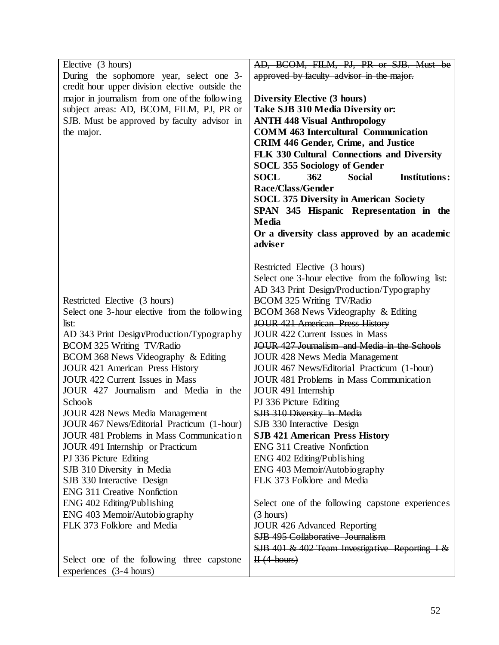| Elective (3 hours)                              | AD, BCOM, FILM, PJ, PR or SJB. Must be                      |
|-------------------------------------------------|-------------------------------------------------------------|
| During the sophomore year, select one 3-        | approved by faculty advisor in the major.                   |
| credit hour upper division elective outside the |                                                             |
| major in journalism from one of the following   | Diversity Elective (3 hours)                                |
| subject areas: AD, BCOM, FILM, PJ, PR or        | Take SJB 310 Media Diversity or:                            |
| SJB. Must be approved by faculty advisor in     | <b>ANTH 448 Visual Anthropology</b>                         |
| the major.                                      | <b>COMM 463 Intercultural Communication</b>                 |
|                                                 | CRIM 446 Gender, Crime, and Justice                         |
|                                                 | FLK 330 Cultural Connections and Diversity                  |
|                                                 | <b>SOCL 355 Sociology of Gender</b>                         |
|                                                 | <b>SOCL</b><br>362<br><b>Institutions:</b><br><b>Social</b> |
|                                                 | Race/Class/Gender                                           |
|                                                 | <b>SOCL 375 Diversity in American Society</b>               |
|                                                 | SPAN 345 Hispanic Representation in the                     |
|                                                 | Media                                                       |
|                                                 | Or a diversity class approved by an academic                |
|                                                 | adviser                                                     |
|                                                 |                                                             |
|                                                 | Restricted Elective (3 hours)                               |
|                                                 | Select one 3-hour elective from the following list:         |
|                                                 | AD 343 Print Design/Production/Typography                   |
| Restricted Elective (3 hours)                   | BCOM 325 Writing TV/Radio                                   |
| Select one 3-hour elective from the following   | BCOM 368 News Videography & Editing                         |
| list:                                           | <b>JOUR 421 American Press History</b>                      |
| AD 343 Print Design/Production/Typography       | JOUR 422 Current Issues in Mass                             |
| BCOM 325 Writing TV/Radio                       | JOUR 427 Journalism and Media in the Schools                |
| BCOM 368 News Videography & Editing             | JOUR 428 News Media Management                              |
| <b>JOUR 421 American Press History</b>          | JOUR 467 News/Editorial Practicum (1-hour)                  |
| JOUR 422 Current Issues in Mass                 | JOUR 481 Problems in Mass Communication                     |
| JOUR 427 Journalism and Media in the            | JOUR 491 Internship                                         |
| Schools                                         | PJ 336 Picture Editing                                      |
| JOUR 428 News Media Management                  | SJB 310 Diversity in Media                                  |
| JOUR 467 News/Editorial Practicum (1-hour)      | SJB 330 Interactive Design                                  |
| JOUR 481 Problems in Mass Communication         | <b>SJB 421 American Press History</b>                       |
| JOUR 491 Internship or Practicum                | <b>ENG 311 Creative Nonfiction</b>                          |
| PJ 336 Picture Editing                          | ENG 402 Editing/Publishing                                  |
| SJB 310 Diversity in Media                      | ENG 403 Memoir/Autobiography                                |
| SJB 330 Interactive Design                      | FLK 373 Folklore and Media                                  |
| <b>ENG 311 Creative Nonfiction</b>              |                                                             |
| ENG 402 Editing/Publishing                      | Select one of the following capstone experiences            |
| ENG 403 Memoir/Autobiography                    | (3 hours)                                                   |
| FLK 373 Folklore and Media                      | <b>JOUR 426 Advanced Reporting</b>                          |
|                                                 | SJB 495 Collaborative Journalism                            |
|                                                 | SJB 401 & 402 Team Investigative Reporting I $&$            |
| Select one of the following three capstone      | $H(4$ -hours)                                               |
| experiences (3-4 hours)                         |                                                             |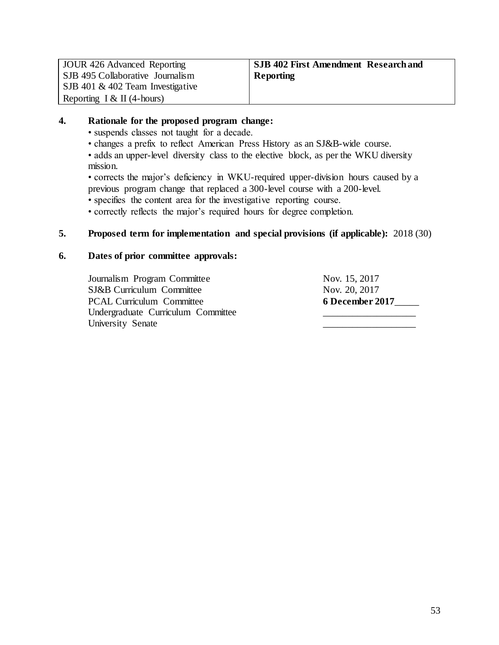JOUR 426 Advanced Reporting SJB 495 Collaborative Journalism SJB 401 & 402 Team Investigative Reporting I & II (4-hours)

# **4. Rationale for the proposed program change:**

• suspends classes not taught for a decade.

• changes a prefix to reflect American Press History as an SJ&B-wide course.

• adds an upper-level diversity class to the elective block, as per the WKU diversity mission.

• corrects the major's deficiency in WKU-required upper-division hours caused by a previous program change that replaced a 300-level course with a 200-level.

• specifies the content area for the investigative reporting course.

• correctly reflects the major's required hours for degree completion.

# **5. Proposed term for implementation and special provisions (if applicable):** 2018 (30)

## **6. Dates of prior committee approvals:**

Journalism Program Committee Nov. 15, 2017 SJ&B Curriculum Committee Nov. 20, 2017 PCAL Curriculum Committee **6 December 2017** Undergraduate Curriculum Committee University Senate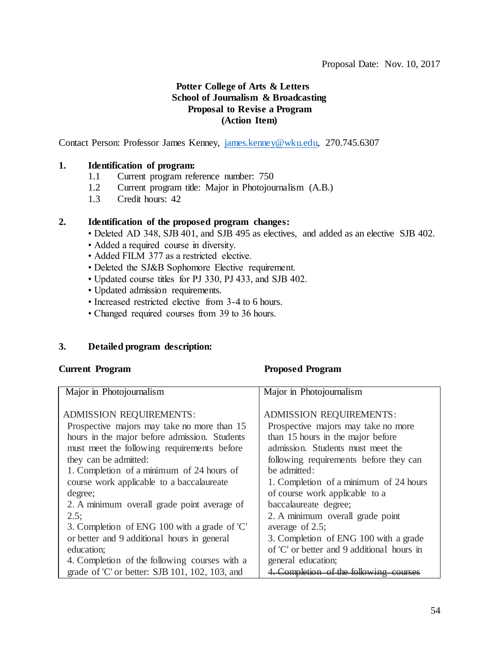# **Potter College of Arts & Letters School of Journalism & Broadcasting Proposal to Revise a Program (Action Item)**

Contact Person: Professor James Kenney, [james.kenney@wku.edu,](mailto:james.kenney@wku.edu) 270.745.6307

# **1. Identification of program:**

- 1.1 Current program reference number: 750
- 1.2 Current program title: Major in Photojournalism (A.B.)
- 1.3 Credit hours: 42

# **2. Identification of the proposed program changes:**

- Deleted AD 348, SJB 401, and SJB 495 as electives, and added as an elective SJB 402.
- Added a required course in diversity.
- Added FILM 377 as a restricted elective.
- Deleted the SJ&B Sophomore Elective requirement.
- Updated course titles for PJ 330, PJ 433, and SJB 402.
- Updated admission requirements.
- Increased restricted elective from 3-4 to 6 hours.
- Changed required courses from 39 to 36 hours.

# **3. Detailed program description:**

# **Current Program Proposed Program**

| Major in Photojournalism                       | Major in Photojournalism                   |
|------------------------------------------------|--------------------------------------------|
| ADMISSION REQUIREMENTS:                        | <b>ADMISSION REQUIREMENTS:</b>             |
| Prospective majors may take no more than 15    | Prospective majors may take no more        |
| hours in the major before admission. Students  | than 15 hours in the major before          |
| must meet the following requirements before    | admission. Students must meet the          |
| they can be admitted:                          | following requirements before they can     |
| 1. Completion of a minimum of 24 hours of      | be admitted:                               |
| course work applicable to a baccalaureate      | 1. Completion of a minimum of 24 hours     |
| degree;                                        | of course work applicable to a             |
| 2. A minimum overall grade point average of    | baccalaureate degree;                      |
| $2.5$ ;                                        | 2. A minimum overall grade point           |
| 3. Completion of ENG 100 with a grade of 'C'   | average of 2.5;                            |
| or better and 9 additional hours in general    | 3. Completion of ENG 100 with a grade      |
| education;                                     | of 'C' or better and 9 additional hours in |
| 4. Completion of the following courses with a  | general education;                         |
| grade of 'C' or better: SJB 101, 102, 103, and | Completion of the following cours          |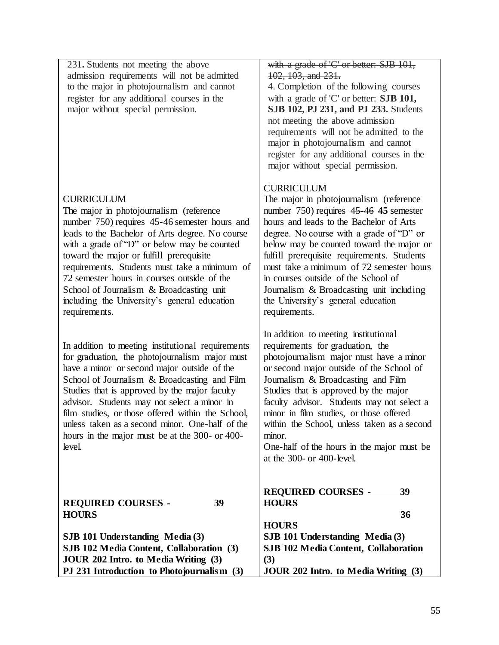231**.** Students not meeting the above admission requirements will not be admitted to the major in photojournalism and cannot register for any additional courses in the major without special permission.

## **CURRICULUM**

The major in photojournalism (reference number 750) requires 45-46 semester hours and leads to the Bachelor of Arts degree. No course with a grade of "D" or below may be counted toward the major or fulfill prerequisite requirements. Students must take a minimum of 72 semester hours in courses outside of the School of Journalism & Broadcasting unit including the University's general education requirements.

In addition to meeting institutional requirements for graduation, the photojournalism major must have a minor or second major outside of the School of Journalism & Broadcasting and Film Studies that is approved by the major faculty advisor. Students may not select a minor in film studies, or those offered within the School, unless taken as a second minor. One-half of the hours in the major must be at the 300- or 400 level.

with a grade of 'C' or better: SJB 101, 102, 103, and 231**.**  4. Completion of the following courses

with a grade of 'C' or better: **SJB 101, SJB 102, PJ 231, and PJ 233.** Students not meeting the above admission requirements will not be admitted to the major in photojournalism and cannot register for any additional courses in the major without special permission.

# **CURRICULUM**

The major in photojournalism (reference number 750) requires 45-46 **45** semester hours and leads to the Bachelor of Arts degree. No course with a grade of "D" or below may be counted toward the major or fulfill prerequisite requirements. Students must take a minimum of 72 semester hours in courses outside of the School of Journalism & Broadcasting unit including the University's general education requirements.

In addition to meeting institutional requirements for graduation, the photojournalism major must have a minor or second major outside of the School of Journalism & Broadcasting and Film Studies that is approved by the major faculty advisor. Students may not select a minor in film studies, or those offered within the School, unless taken as a second minor.

One-half of the hours in the major must be at the 300- or 400-level.

| <b>REQUIRED COURSES -</b>                  | 39 | <b>REQUIRED COURSES</b> - 39<br><b>HOURS</b> |  |
|--------------------------------------------|----|----------------------------------------------|--|
| <b>HOURS</b>                               |    | 36                                           |  |
|                                            |    | <b>HOURS</b>                                 |  |
| SJB 101 Understanding Media (3)            |    | SJB 101 Understanding Media (3)              |  |
| SJB 102 Media Content, Collaboration (3)   |    | SJB 102 Media Content, Collaboration         |  |
| JOUR 202 Intro. to Media Writing (3)       |    | (3)                                          |  |
| PJ 231 Introduction to Photojournalism (3) |    | JOUR 202 Intro. to Media Writing (3)         |  |
|                                            |    |                                              |  |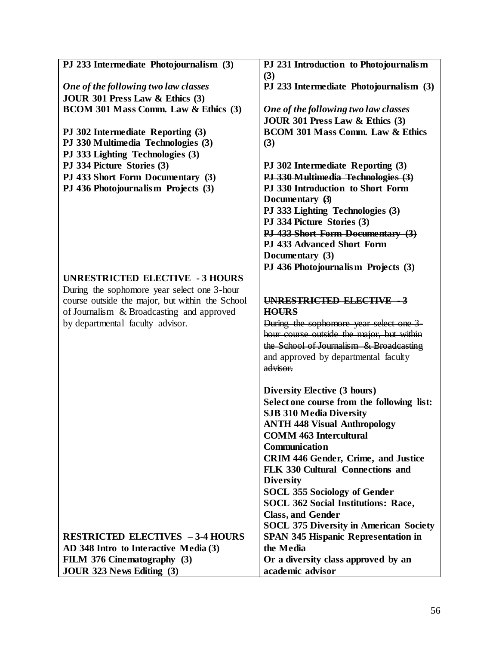| PJ 233 Intermediate Photojournalism (3)                                                      | PJ 231 Introduction to Photojournalism         |
|----------------------------------------------------------------------------------------------|------------------------------------------------|
|                                                                                              | (3)                                            |
| One of the following two law classes<br>JOUR 301 Press Law & Ethics (3)                      | PJ 233 Intermediate Photojournalism (3)        |
| BCOM 301 Mass Comm. Law & Ethics (3)                                                         | One of the following two law classes           |
|                                                                                              | JOUR 301 Press Law & Ethics (3)                |
| PJ 302 Intermediate Reporting (3)                                                            | <b>BCOM 301 Mass Comm. Law &amp; Ethics</b>    |
| PJ 330 Multimedia Technologies (3)                                                           | (3)                                            |
| PJ 333 Lighting Technologies (3)                                                             |                                                |
| PJ 334 Picture Stories (3)                                                                   | PJ 302 Intermediate Reporting (3)              |
| PJ 433 Short Form Documentary (3)                                                            | PJ 330 Multimedia Technologies (3)             |
| PJ 436 Photojournalism Projects (3)                                                          | PJ 330 Introduction to Short Form              |
|                                                                                              | Documentary (3)                                |
|                                                                                              | PJ 333 Lighting Technologies (3)               |
|                                                                                              | PJ 334 Picture Stories (3)                     |
|                                                                                              | PJ 433 Short Form Documentary (3)              |
|                                                                                              | <b>PJ 433 Advanced Short Form</b>              |
|                                                                                              | Documentary (3)                                |
|                                                                                              | PJ 436 Photojournalism Projects (3)            |
| <b>UNRESTRICTED ELECTIVE - 3 HOURS</b>                                                       |                                                |
| During the sophomore year select one 3-hour                                                  | UNRESTRICTED ELECTIVE - 3                      |
| course outside the major, but within the School<br>of Journalism & Broadcasting and approved | <b>HOURS</b>                                   |
| by departmental faculty advisor.                                                             | During the sophomore year select one 3-        |
|                                                                                              | hour course outside the major, but within      |
|                                                                                              | the School of Journalism & Broadcasting        |
|                                                                                              | and approved by departmental faculty           |
|                                                                                              | advisor.                                       |
|                                                                                              |                                                |
|                                                                                              | <b>Diversity Elective (3 hours)</b>            |
|                                                                                              | Select one course from the following list:     |
|                                                                                              | <b>SJB 310 Media Diversity</b>                 |
|                                                                                              | <b>ANTH 448 Visual Anthropology</b>            |
|                                                                                              | <b>COMM 463 Intercultural</b><br>Communication |
|                                                                                              | <b>CRIM 446 Gender, Crime, and Justice</b>     |
|                                                                                              | <b>FLK 330 Cultural Connections and</b>        |
|                                                                                              | <b>Diversity</b>                               |
|                                                                                              | <b>SOCL 355 Sociology of Gender</b>            |
|                                                                                              | SOCL 362 Social Institutions: Race,            |
|                                                                                              | <b>Class, and Gender</b>                       |
|                                                                                              | <b>SOCL 375 Diversity in American Society</b>  |
| <b>RESTRICTED ELECTIVES - 3-4 HOURS</b>                                                      | <b>SPAN 345 Hispanic Representation in</b>     |
| AD 348 Intro to Interactive Media (3)                                                        | the Media                                      |
| FILM 376 Cinematography (3)                                                                  | Or a diversity class approved by an            |
| JOUR 323 News Editing (3)                                                                    | academic advisor                               |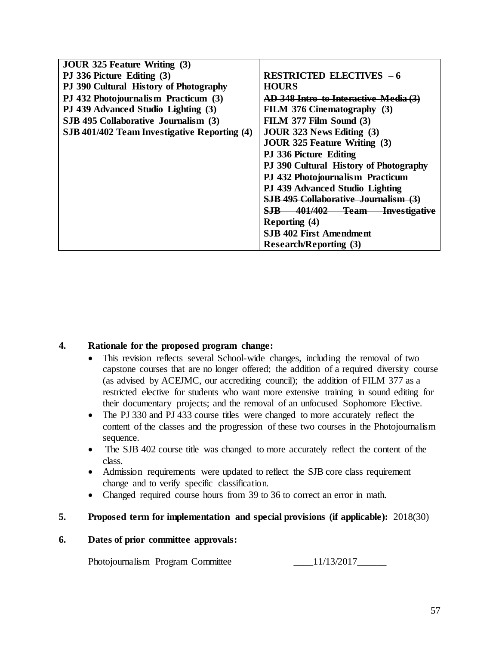| <b>JOUR 325 Feature Writing (3)</b>          |                                        |
|----------------------------------------------|----------------------------------------|
| PJ 336 Picture Editing (3)                   | <b>RESTRICTED ELECTIVES - 6</b>        |
| PJ 390 Cultural History of Photography       | <b>HOURS</b>                           |
| PJ 432 Photojournalism Practicum (3)         | AD 348 Intro to Interactive Media (3)  |
| PJ 439 Advanced Studio Lighting (3)          | FILM 376 Cinematography (3)            |
| SJB 495 Collaborative Journalism (3)         | FILM 377 Film Sound (3)                |
| SJB 401/402 Team Investigative Reporting (4) | JOUR 323 News Editing (3)              |
|                                              | <b>JOUR 325 Feature Writing (3)</b>    |
|                                              | PJ 336 Picture Editing                 |
|                                              | PJ 390 Cultural History of Photography |
|                                              | PJ 432 Photojournalism Practicum       |
|                                              | <b>PJ 439 Advanced Studio Lighting</b> |
|                                              | SJB 495 Collaborative Journalism (3)   |
|                                              | SJB 401/402 Team Investigative         |
|                                              | Reporting (4)                          |
|                                              | <b>SJB 402 First Amendment</b>         |
|                                              | <b>Research/Reporting (3)</b>          |

## **4. Rationale for the proposed program change:**

- This revision reflects several School-wide changes, including the removal of two capstone courses that are no longer offered; the addition of a required diversity course (as advised by ACEJMC, our accrediting council); the addition of FILM 377 as a restricted elective for students who want more extensive training in sound editing for their documentary projects; and the removal of an unfocused Sophomore Elective.
- The PJ 330 and PJ 433 course titles were changed to more accurately reflect the content of the classes and the progression of these two courses in the Photojournalism sequence.
- The SJB 402 course title was changed to more accurately reflect the content of the class.
- Admission requirements were updated to reflect the SJB core class requirement change and to verify specific classification.
- Changed required course hours from 39 to 36 to correct an error in math.

# **5. Proposed term for implementation and special provisions (if applicable):** 2018(30)

#### **6. Dates of prior committee approvals:**

Photojournalism Program Committee \_\_\_\_11/13/2017\_\_\_\_\_\_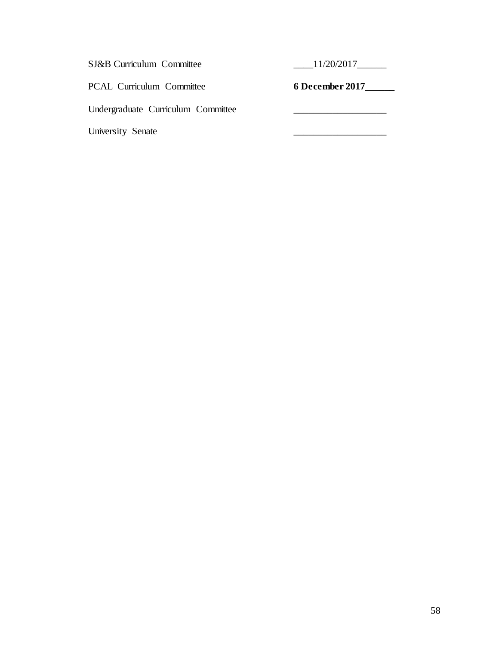SJ&B Curriculum Committee \_\_\_\_11/20/2017\_\_\_\_\_\_

PCAL Curriculum Committee **6 December 2017\_\_\_\_** 

Undergraduate Curriculum Committee \_\_\_\_\_\_\_\_\_\_\_\_\_\_\_\_\_\_\_

University Senate \_\_\_\_\_\_\_\_\_\_\_\_\_\_\_\_\_\_\_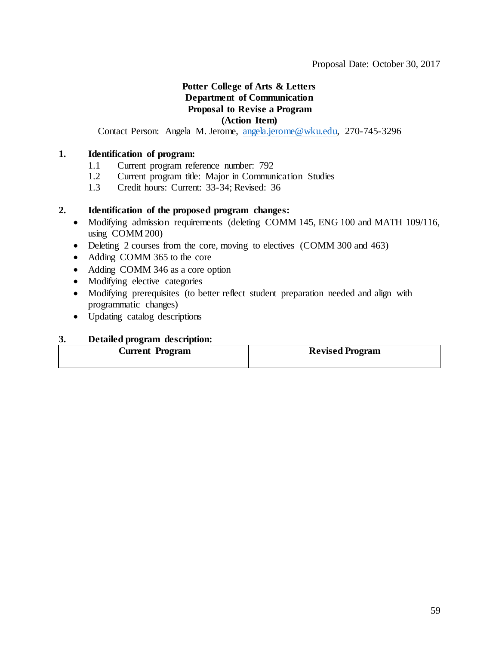## **Potter College of Arts & Letters Department of Communication Proposal to Revise a Program (Action Item)**

Contact Person: Angela M. Jerome, [angela.jerome@wku.edu,](mailto:angela.jerome@wku.edu) 270-745-3296

## **1. Identification of program:**

- 1.1 Current program reference number: 792<br>1.2 Current program title: Maior in Commun
- Current program title: Major in Communication Studies
- 1.3 Credit hours: Current: 33-34; Revised: 36

#### **2. Identification of the proposed program changes:**

- Modifying admission requirements (deleting COMM 145, ENG 100 and MATH 109/116, using COMM 200)
- Deleting 2 courses from the core, moving to electives (COMM 300 and 463)
- Adding COMM 365 to the core
- Adding COMM 346 as a core option
- Modifying elective categories
- Modifying prerequisites (to better reflect student preparation needed and align with programmatic changes)
- Updating catalog descriptions

#### **3. Detailed program description:**

**Current Program Revised Program**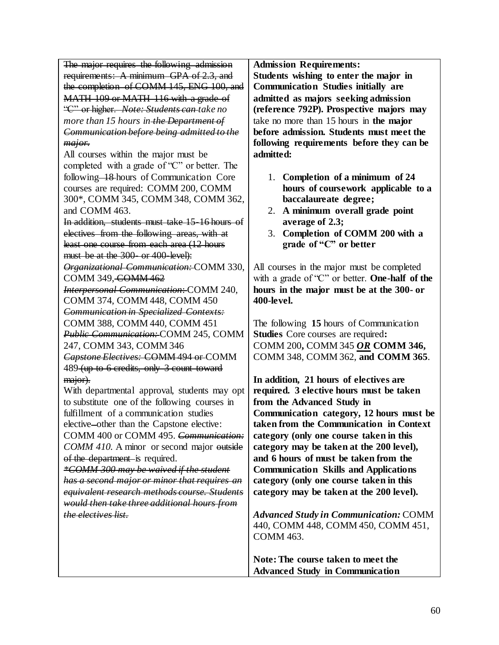The major requires the following admission requirements: A minimum GPA of 2.3, and the completion of COMM 145, ENG 100, and MATH 109 or MATH 116 with a grade of "C" or higher. *Note: Students can take no more than 15 hours in the Department of Communication before being admitted to the major.*

All courses within the major must be completed with a grade of "C" or better. The following 18 hours of Communication Core courses are required: COMM 200, COMM 300\*, COMM 345, COMM 348, COMM 362, and COMM 463.

In addition, students must take 15-16 hours of electives from the following areas, with at least one course from each area (12 hours must be at the 300 or 400 level):

*Organizational Communication:* COMM 330, COMM 349, COMM 462

*Interpersonal Communication*: COMM 240, COMM 374, COMM 448, COMM 450 *Communication in Specialized Contexts:* COMM 388, COMM 440, COMM 451 *Public Communication:* COMM 245, COMM 247, COMM 343, COMM 346 *Capstone Electives:* COMM 494 or COMM 489 (up to 6 credits, only 3 count toward

major).

With departmental approval, students may opt to substitute one of the following courses in fulfillment of a communication studies elective other than the Capstone elective:

COMM 400 or COMM 495. *Communication: COMM 410.* A minor or second major outside of the department is required.

*\*COMM 300 may be waived if the student has a second major or minor that requires an equivalent research methods course. Students would then take three additional hours from the electives list.* 

**Admission Requirements: Students wishing to enter the major in** 

**Communication Studies initially are admitted as majors seeking admission (reference 792P). Prospective majors may**  take no more than 15 hours in **the major before admission. Students must meet the following requirements before they can be admitted:**

- 1. **Completion of a minimum of 24 hours of coursework applicable to a baccalaureate degree;**
- 2. **A minimum overall grade point average of 2.3;**
- 3. **Completion of COMM 200 with a grade of "C" or better**

All courses in the major must be completed with a grade of "C" or better. **One-half of the hours in the major must be at the 300- or 400-level.**

The following **15** hours of Communication **Studies** Core courses are required**:**  COMM 200**,** COMM 345 *OR* **COMM 346,**  COMM 348, COMM 362, **and COMM 365**.

**In addition, 21 hours of electives are required. 3 elective hours must be taken from the Advanced Study in Communication category, 12 hours must be taken from the Communication in Context category (only one course taken in this category may be taken at the 200 level), and 6 hours of must be taken from the Communication Skills and Applications category (only one course taken in this category may be taken at the 200 level).** 

*Advanced Study in Communication:* COMM 440, COMM 448, COMM 450, COMM 451, COMM 463.

**Note: The course taken to meet the Advanced Study in Communication**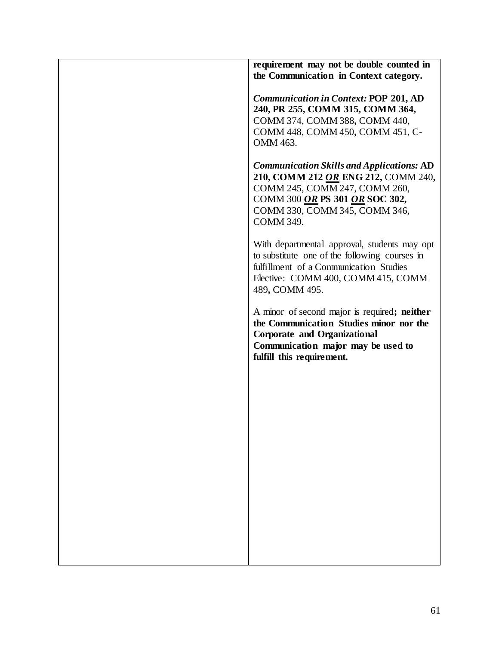| requirement may not be double counted in<br>the Communication in Context category.                                                                                                                              |
|-----------------------------------------------------------------------------------------------------------------------------------------------------------------------------------------------------------------|
| <b>Communication in Context: POP 201, AD</b><br>240, PR 255, COMM 315, COMM 364,<br>COMM 374, COMM 388, COMM 440,<br>COMM 448, COMM 450, COMM 451, C-<br>OMM 463.                                               |
| <b>Communication Skills and Applications: AD</b><br>210, COMM 212 OR ENG 212, COMM 240,<br>COMM 245, COMM 247, COMM 260,<br>COMM 300 OR PS 301 OR SOC 302,<br>COMM 330, COMM 345, COMM 346,<br><b>COMM 349.</b> |
| With departmental approval, students may opt<br>to substitute one of the following courses in<br>fulfillment of a Communication Studies<br>Elective: COMM 400, COMM 415, COMM<br>489, COMM 495.                 |
| A minor of second major is required; neither<br>the Communication Studies minor nor the<br><b>Corporate and Organizational</b><br>Communication major may be used to<br>fulfill this requirement.               |
|                                                                                                                                                                                                                 |
|                                                                                                                                                                                                                 |
|                                                                                                                                                                                                                 |
|                                                                                                                                                                                                                 |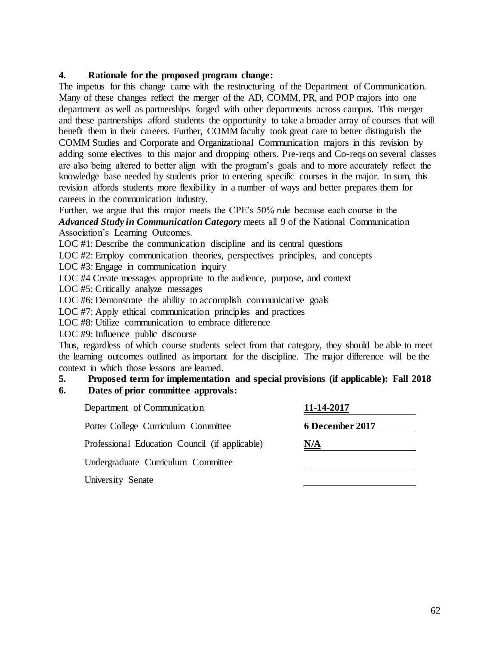# **4. Rationale for the proposed program change:**

The impetus for this change came with the restructuring of the Department of Communication. Many of these changes reflect the merger of the AD, COMM, PR, and POP majors into one department as well as partnerships forged with other departments across campus. This merger and these partnerships afford students the opportunity to take a broader array of courses that will benefit them in their careers. Further, COMM faculty took great care to better distinguish the COMM Studies and Corporate and Organizational Communication majors in this revision by adding some electives to this major and dropping others. Pre-reqs and Co-reqs on several classes are also being altered to better align with the program's goals and to more accurately reflect the knowledge base needed by students prior to entering specific courses in the major. In sum, this revision affords students more flexibility in a number of ways and better prepares them for careers in the communication industry.

Further, we argue that this major meets the CPE's 50% rule because each course in the *Advanced Study in Communication Category* meets all 9 of the National Communication Association's Learning Outcomes.

LOC #1: Describe the communication discipline and its central questions

LOC #2: Employ communication theories, perspectives principles, and concepts

LOC #3: Engage in communication inquiry

LOC #4 Create messages appropriate to the audience, purpose, and context

LOC #5: Critically analyze messages

LOC #6: Demonstrate the ability to accomplish communicative goals

LOC #7: Apply ethical communication principles and practices

LOC #8: Utilize communication to embrace difference

LOC #9: Influence public discourse

Thus, regardless of which course students select from that category, they should be able to meet the learning outcomes outlined as important for the discipline. The major difference will be the context in which those lessons are learned.

## **5. Proposed term for implementation and special provisions (if applicable): Fall 2018**

| Department of Communication                    | 11-14-2017      |
|------------------------------------------------|-----------------|
| Potter College Curriculum Committee            | 6 December 2017 |
| Professional Education Council (if applicable) | N/A             |
| Undergraduate Curriculum Committee             |                 |
| University Senate                              |                 |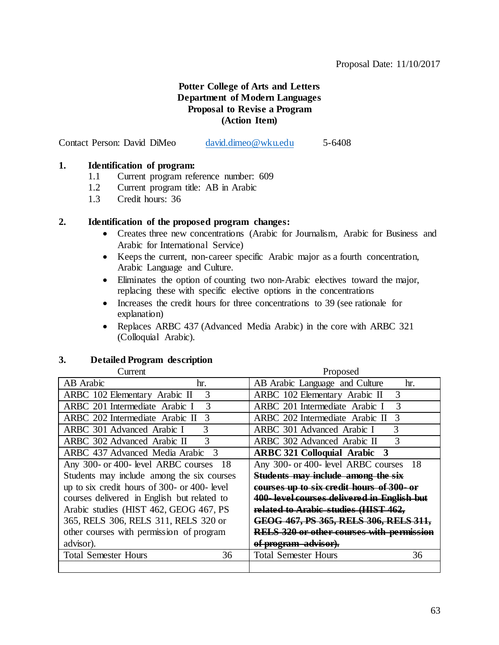# **Potter College of Arts and Letters Department of Modern Languages Proposal to Revise a Program (Action Item)**

Contact Person: David DiMeo [david.dimeo@wku.edu](mailto:david.dimeo@wku.edu) 5-6408

# **1. Identification of program:**

- 1.1 Current program reference number: 609
- 1.2 Current program title: AB in Arabic
- 1.3 Credit hours: 36

# **2. Identification of the proposed program changes:**

- Creates three new concentrations (Arabic for Journalism, Arabic for Business and Arabic for International Service)
- Keeps the current, non-career specific Arabic major as a fourth concentration, Arabic Language and Culture.
- Eliminates the option of counting two non-Arabic electives toward the major, replacing these with specific elective options in the concentrations
- Increases the credit hours for three concentrations to 39 (see rationale for explanation)
- Replaces ARBC 437 (Advanced Media Arabic) in the core with ARBC 321 (Colloquial Arabic).

## **3. Detailed Program description**

| Current                                         | Proposed                                        |
|-------------------------------------------------|-------------------------------------------------|
| AB Arabic<br>hr.                                | AB Arabic Language and Culture<br>hr.           |
| ARBC 102 Elementary Arabic II<br>3              | ARBC 102 Elementary Arabic II<br>$\mathcal{R}$  |
| ARBC 201 Intermediate Arabic I<br>$\mathcal{R}$ | ARBC 201 Intermediate Arabic I<br>$\mathcal{R}$ |
| ARBC 202 Intermediate Arabic II<br>3            | ARBC 202 Intermediate Arabic II<br>3            |
| ARBC 301 Advanced Arabic I<br>3                 | 3<br>ARBC 301 Advanced Arabic I                 |
| $\mathcal{R}$<br>ARBC 302 Advanced Arabic II    | 3<br>ARBC 302 Advanced Arabic II                |
| ARBC 437 Advanced Media Arabic 3                | <b>ARBC 321 Colloquial Arabic 3</b>             |
| Any 300- or 400- level ARBC courses 18          | Any 300- or 400- level ARBC courses 18          |
| Students may include among the six courses      | Students may include among the six              |
| up to six credit hours of 300- or 400- level    | courses up to six credit hours of 300- or       |
| courses delivered in English but related to     | 400-level courses delivered in English but      |
| Arabic studies (HIST 462, GEOG 467, PS          | related to Arabic studies (HIST 462,            |
| 365, RELS 306, RELS 311, RELS 320 or            | GEOG 467, PS 365, RELS 306, RELS 311,           |
| other courses with permission of program        | RELS 320 or other courses with permission       |
| advisor).                                       | of program advisor).                            |
| 36<br><b>Total Semester Hours</b>               | <b>Total Semester Hours</b><br>36               |
|                                                 |                                                 |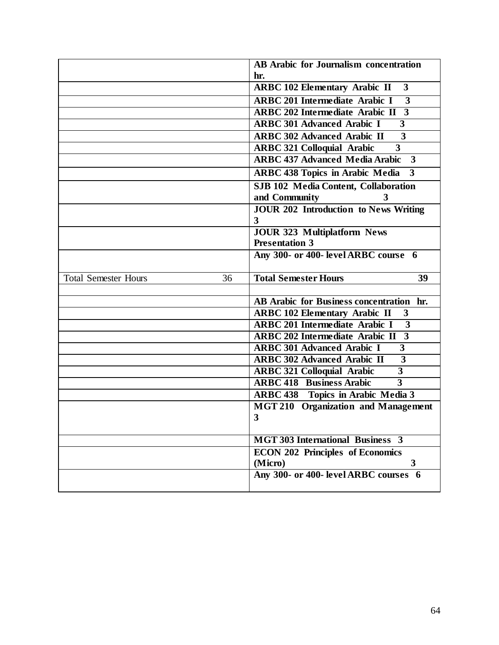|                                   | <b>AB Arabic for Journalism concentration</b>                      |
|-----------------------------------|--------------------------------------------------------------------|
|                                   | hr.                                                                |
|                                   | <b>ARBC 102 Elementary Arabic II</b><br>$\overline{3}$             |
|                                   | <b>ARBC 201 Intermediate Arabic I</b><br>$\overline{3}$            |
|                                   | $\overline{\mathbf{3}}$<br><b>ARBC 202 Intermediate Arabic II</b>  |
|                                   | <b>ARBC 301 Advanced Arabic I</b><br>$\overline{3}$                |
|                                   | 3<br><b>ARBC 302 Advanced Arabic II</b>                            |
|                                   | <b>ARBC 321 Colloquial Arabic</b><br>3                             |
|                                   | <b>ARBC 437 Advanced Media Arabic</b><br>3                         |
|                                   | <b>ARBC 438 Topics in Arabic Media</b><br>3                        |
|                                   | SJB 102 Media Content, Collaboration<br>and Community<br>3         |
|                                   | <b>JOUR 202 Introduction to News Writing</b><br>3                  |
|                                   | <b>JOUR 323 Multiplatform News</b>                                 |
|                                   | <b>Presentation 3</b>                                              |
|                                   | Any 300- or 400- level ARBC course 6                               |
|                                   |                                                                    |
| <b>Total Semester Hours</b><br>36 | <b>Total Semester Hours</b><br>39                                  |
|                                   |                                                                    |
|                                   | AB Arabic for Business concentration hr.                           |
|                                   | <b>ARBC 102 Elementary Arabic II</b><br>3                          |
|                                   | <b>ARBC 201 Intermediate Arabic I</b><br>$\overline{3}$            |
|                                   | $\overline{3}$<br><b>ARBC 202 Intermediate Arabic II</b>           |
|                                   | <b>ARBC 301 Advanced Arabic I</b><br>3                             |
|                                   | $\overline{3}$<br><b>ARBC 302 Advanced Arabic II</b>               |
|                                   | $\overline{3}$<br><b>ARBC 321 Colloquial Arabic</b>                |
|                                   | <b>ARBC 418 Business Arabic</b><br>$\overline{3}$                  |
|                                   | <b>ARBC 438</b> Topics in Arabic Media 3                           |
|                                   | <b>Organization and Management</b><br><b>MGT 210</b><br>3          |
|                                   | <b>MGT 303 International Business 3</b>                            |
|                                   |                                                                    |
|                                   | <b>ECON 202 Principles of Economics</b><br>(Micro)<br>$\mathbf{3}$ |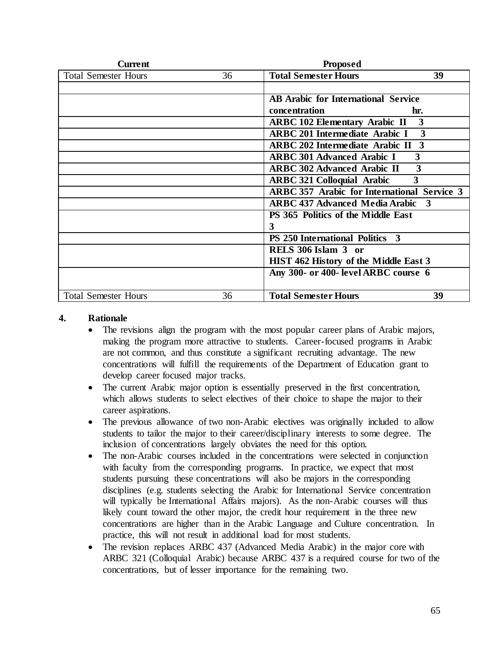| <b>Current</b>              |    | <b>Proposed</b>                                    |  |
|-----------------------------|----|----------------------------------------------------|--|
| <b>Total Semester Hours</b> | 36 | <b>Total Semester Hours</b><br>39                  |  |
|                             |    |                                                    |  |
|                             |    | <b>AB Arabic for International Service</b>         |  |
|                             |    | concentration<br>hr.                               |  |
|                             |    | 3<br><b>ARBC 102 Elementary Arabic II</b>          |  |
|                             |    | 3<br><b>ARBC 201 Intermediate Arabic I</b>         |  |
|                             |    | <b>ARBC 202 Intermediate Arabic II 3</b>           |  |
|                             |    | <b>ARBC 301 Advanced Arabic I</b><br>3             |  |
|                             |    | 3<br><b>ARBC 302 Advanced Arabic II</b>            |  |
|                             |    | 3<br><b>ARBC 321 Colloquial Arabic</b>             |  |
|                             |    | <b>ARBC 357 Arabic for International Service 3</b> |  |
|                             |    | <b>ARBC 437 Advanced Media Arabic 3</b>            |  |
|                             |    | PS 365 Politics of the Middle East                 |  |
|                             |    | 3                                                  |  |
|                             |    | <b>PS</b> 250 International Politics 3             |  |
|                             |    | RELS 306 Islam 3 or                                |  |
|                             |    | <b>HIST 462 History of the Middle East 3</b>       |  |
|                             |    | Any 300- or 400- level ARBC course 6               |  |
|                             |    |                                                    |  |
| <b>Total Semester Hours</b> | 36 | <b>Total Semester Hours</b><br>39                  |  |

## **4. Rationale**

- The revisions align the program with the most popular career plans of Arabic majors, making the program more attractive to students. Career-focused programs in Arabic are not common, and thus constitute a significant recruiting advantage. The new concentrations will fulfill the requirements of the Department of Education grant to develop career focused major tracks.
- The current Arabic major option is essentially preserved in the first concentration, which allows students to select electives of their choice to shape the major to their career aspirations.
- The previous allowance of two non-Arabic electives was originally included to allow students to tailor the major to their career/disciplinary interests to some degree. The inclusion of concentrations largely obviates the need for this option.
- The non-Arabic courses included in the concentrations were selected in conjunction with faculty from the corresponding programs. In practice, we expect that most students pursuing these concentrations will also be majors in the corresponding disciplines (e.g. students selecting the Arabic for International Service concentration will typically be International Affairs majors). As the non-Arabic courses will thus likely count toward the other major, the credit hour requirement in the three new concentrations are higher than in the Arabic Language and Culture concentration. In practice, this will not result in additional load for most students.
- The revision replaces ARBC 437 (Advanced Media Arabic) in the major core with ARBC 321 (Colloquial Arabic) because ARBC 437 is a required course for two of the concentrations, but of lesser importance for the remaining two.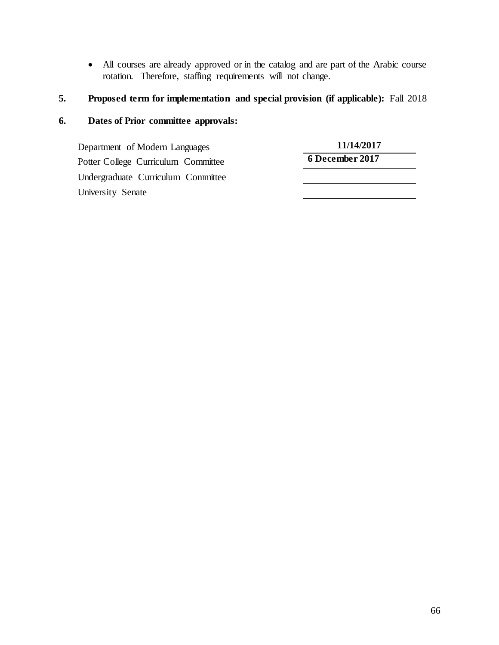All courses are already approved or in the catalog and are part of the Arabic course rotation. Therefore, staffing requirements will not change.

# **5. Proposed term for implementation and special provision (if applicable):** Fall 2018

| Department of Modern Languages      | 11/14/2017      |
|-------------------------------------|-----------------|
| Potter College Curriculum Committee | 6 December 2017 |
| Undergraduate Curriculum Committee  |                 |
| University Senate                   |                 |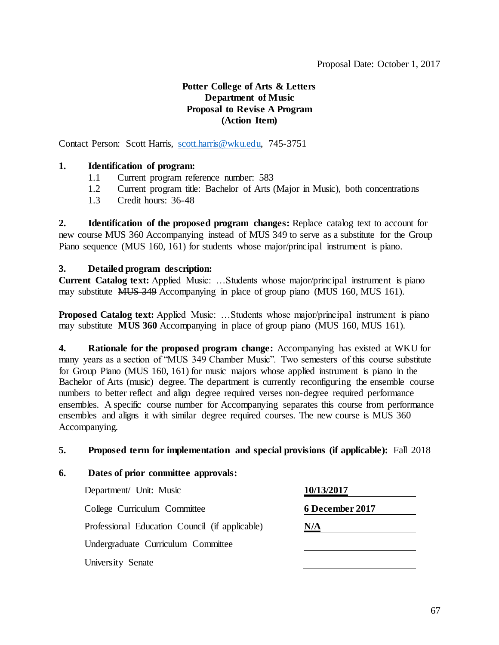# **Potter College of Arts & Letters Department of Music Proposal to Revise A Program (Action Item)**

Contact Person: Scott Harris, [scott.harris@wku.edu,](mailto:scott.harris@wku.edu) 745-3751

# **1. Identification of program:**

- 1.1 Current program reference number: 583
- 1.2 Current program title: Bachelor of Arts (Major in Music), both concentrations
- 1.3 Credit hours: 36-48

**2. Identification of the proposed program changes:** Replace catalog text to account for new course MUS 360 Accompanying instead of MUS 349 to serve as a substitute for the Group Piano sequence (MUS 160, 161) for students whose major/principal instrument is piano.

## **3. Detailed program description:**

**Current Catalog text:** Applied Music: …Students whose major/principal instrument is piano may substitute MUS 349 Accompanying in place of group piano (MUS 160, MUS 161).

**Proposed Catalog text:** Applied Music: ...Students whose major/principal instrument is piano may substitute **MUS 360** Accompanying in place of group piano (MUS 160, MUS 161).

**4. Rationale for the proposed program change:** Accompanying has existed at WKU for many years as a section of "MUS 349 Chamber Music". Two semesters of this course substitute for Group Piano (MUS 160, 161) for music majors whose applied instrument is piano in the Bachelor of Arts (music) degree. The department is currently reconfiguring the ensemble course numbers to better reflect and align degree required verses non-degree required performance ensembles. A specific course number for Accompanying separates this course from performance ensembles and aligns it with similar degree required courses. The new course is MUS 360 Accompanying.

## **5. Proposed term for implementation and special provisions (if applicable):** Fall 2018

| Department/ Unit: Music                        | 10/13/2017      |
|------------------------------------------------|-----------------|
| College Curriculum Committee                   | 6 December 2017 |
| Professional Education Council (if applicable) | N/A             |
| Undergraduate Curriculum Committee             |                 |
| University Senate                              |                 |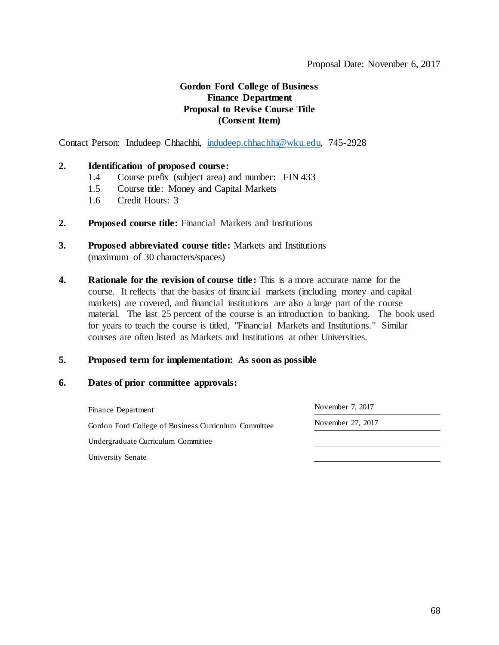# **Gordon Ford College of Business Finance Department Proposal to Revise Course Title (Consent Item)**

Contact Person: Indudeep Chhachhi, [indudeep.chhachhi@wku.edu,](mailto:indudeep.chhachhi@wku.edu) 745-2928

## **2. Identification of proposed course:**

- 1.4 Course prefix (subject area) and number: FIN 433
- 1.5 Course title: Money and Capital Markets
- 1.6 Credit Hours: 3
- **2. Proposed course title:** Financial Markets and Institutions
- **3. Proposed abbreviated course title:** Markets and Institutions (maximum of 30 characters/spaces)
- **4. Rationale for the revision of course title:** This is a more accurate name for the course. It reflects that the basics of financial markets (including money and capital markets) are covered, and financial institutions are also a large part of the course material. The last 25 percent of the course is an introduction to banking. The book used for years to teach the course is titled, "Financial Markets and Institutions." Similar courses are often listed as Markets and Institutions at other Universities.

### **5. Proposed term for implementation: As soon as possible**

| Finance Department                                   | November 7, 2017  |
|------------------------------------------------------|-------------------|
| Gordon Ford College of Business Curriculum Committee | November 27, 2017 |
| Undergraduate Curriculum Committee                   |                   |
| University Senate                                    |                   |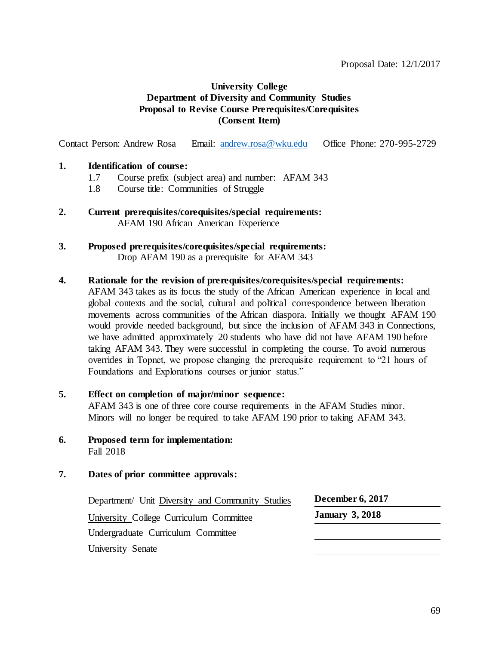# **University College Department of Diversity and Community Studies Proposal to Revise Course Prerequisites/Corequisites (Consent Item)**

Contact Person: Andrew Rosa Email: [andrew.rosa@wku.edu](mailto:andrew.rosa@wku.edu) Office Phone: 270-995-2729

#### **1. Identification of course:**

- 1.7 Course prefix (subject area) and number: AFAM 343
- 1.8 Course title: Communities of Struggle
- **2. Current prerequisites/corequisites/special requirements:**  AFAM 190 African American Experience
- **3. Proposed prerequisites/corequisites/special requirements:** Drop AFAM 190 as a prerequisite for AFAM 343

#### **4. Rationale for the revision of prerequisites/corequisites/special requirements:**

AFAM 343 takes as its focus the study of the African American experience in local and global contexts and the social, cultural and political correspondence between liberation movements across communities of the African diaspora. Initially we thought AFAM 190 would provide needed background, but since the inclusion of AFAM 343 in Connections, we have admitted approximately 20 students who have did not have AFAM 190 before taking AFAM 343. They were successful in completing the course. To avoid numerous overrides in Topnet, we propose changing the prerequisite requirement to "21 hours of Foundations and Explorations courses or junior status."

# **5. Effect on completion of major/minor sequence:** AFAM 343 is one of three core course requirements in the AFAM Studies minor. Minors will no longer be required to take AFAM 190 prior to taking AFAM 343.

**6. Proposed term for implementation:** Fall 2018

| Department/ Unit Diversity and Community Studies | <b>December 6, 2017</b> |
|--------------------------------------------------|-------------------------|
| University College Curriculum Committee          | <b>January 3, 2018</b>  |
| Undergraduate Curriculum Committee               |                         |
| University Senate                                |                         |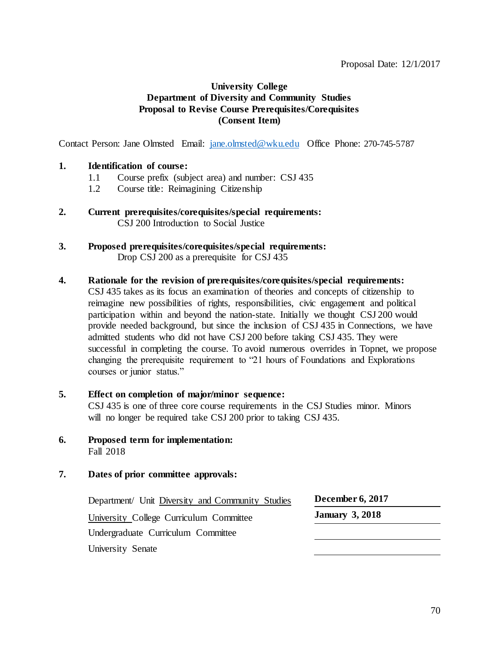# **University College Department of Diversity and Community Studies Proposal to Revise Course Prerequisites/Corequisites (Consent Item)**

Contact Person: Jane Olmsted Email: [jane.olmsted@wku.edu](mailto:jane.olmsted@wku.edu) Office Phone: 270-745-5787

### **1. Identification of course:**

- 1.1 Course prefix (subject area) and number: CSJ 435
- 1.2 Course title: Reimagining Citizenship
- **2. Current prerequisites/corequisites/special requirements:**  CSJ 200 Introduction to Social Justice
- **3. Proposed prerequisites/corequisites/special requirements:** Drop CSJ 200 as a prerequisite for CSJ 435

#### **4. Rationale for the revision of prerequisites/corequisites/special requirements:**

CSJ 435 takes as its focus an examination of theories and concepts of citizenship to reimagine new possibilities of rights, responsibilities, civic engagement and political participation within and beyond the nation-state. Initially we thought CSJ 200 would provide needed background, but since the inclusion of CSJ 435 in Connections, we have admitted students who did not have CSJ 200 before taking CSJ 435. They were successful in completing the course. To avoid numerous overrides in Topnet, we propose changing the prerequisite requirement to "21 hours of Foundations and Explorations courses or junior status."

- **5. Effect on completion of major/minor sequence:** CSJ 435 is one of three core course requirements in the CSJ Studies minor. Minors will no longer be required take CSJ 200 prior to taking CSJ 435.
- **6. Proposed term for implementation:** Fall 2018

| Department/ Unit Diversity and Community Studies | <b>December 6, 2017</b> |
|--------------------------------------------------|-------------------------|
| University College Curriculum Committee          | <b>January 3, 2018</b>  |
| Undergraduate Curriculum Committee               |                         |
| University Senate                                |                         |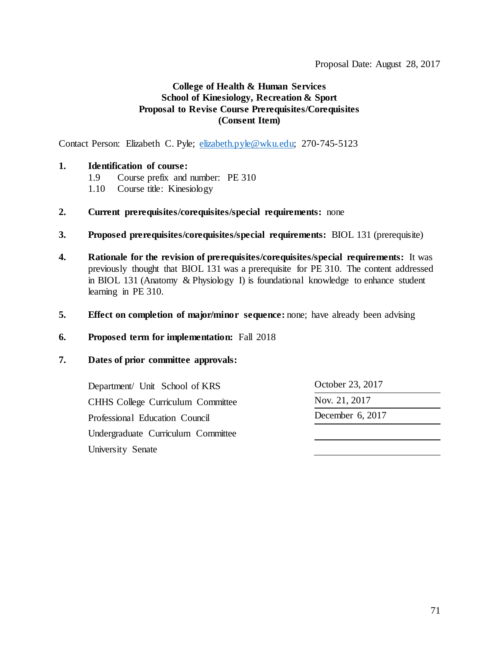# **College of Health & Human Services School of Kinesiology, Recreation & Sport Proposal to Revise Course Prerequisites/Corequisites (Consent Item)**

Contact Person: Elizabeth C. Pyle; [elizabeth.pyle@wku.edu;](mailto:elizabeth.pyle@wku.edu) 270-745-5123

# **1. Identification of course:**

- 1.9 Course prefix and number: PE 310
- 1.10 Course title: Kinesiology
- **2. Current prerequisites/corequisites/special requirements:** none
- **3. Proposed prerequisites/corequisites/special requirements:** BIOL 131 (prerequisite)
- **4. Rationale for the revision of prerequisites/corequisites/special requirements:** It was previously thought that BIOL 131 was a prerequisite for PE 310. The content addressed in BIOL 131 (Anatomy & Physiology I) is foundational knowledge to enhance student learning in PE 310.
- **5. Effect on completion of major/minor sequence:** none; have already been advising

# **6. Proposed term for implementation:** Fall 2018

## **7. Dates of prior committee approvals:**

Department/ Unit School of KRS October 23, 2017 CHHS College Curriculum Committee Nov. 21, 2017 Professional Education Council December 6, 2017 Undergraduate Curriculum Committee University Senate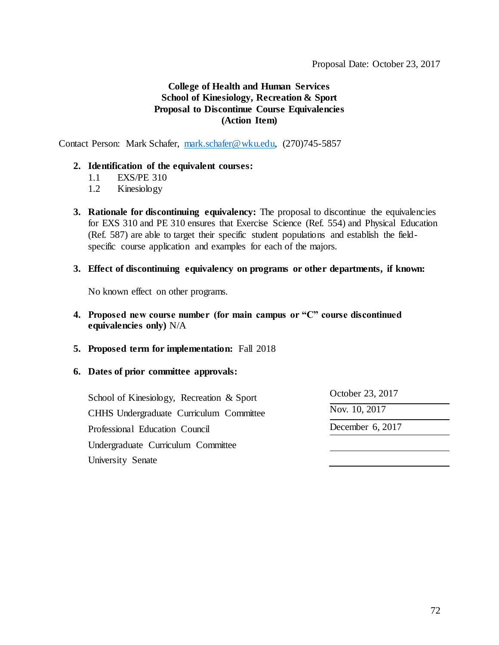# **College of Health and Human Services School of Kinesiology, Recreation & Sport Proposal to Discontinue Course Equivalencies (Action Item)**

Contact Person: Mark Schafer, [mark.schafer@wku.edu,](mailto:mark.schafer@wku.edu) (270)745-5857

## **2. Identification of the equivalent courses:**

- 1.1 EXS/PE 310
- 1.2 Kinesiology
- **3. Rationale for discontinuing equivalency:** The proposal to discontinue the equivalencies for EXS 310 and PE 310 ensures that Exercise Science (Ref. 554) and Physical Education (Ref. 587) are able to target their specific student populations and establish the fieldspecific course application and examples for each of the majors.
- **3. Effect of discontinuing equivalency on programs or other departments, if known:**

No known effect on other programs.

- **4. Proposed new course number (for main campus or "C" course discontinued equivalencies only)** N/A
- **5. Proposed term for implementation:** Fall 2018
- **6. Dates of prior committee approvals:**

School of Kinesiology, Recreation & Sport October 23, 2017 CHHS Undergraduate Curriculum Committee Nov. 10, 2017 Professional Education Council December 6, 2017 Undergraduate Curriculum Committee University Senate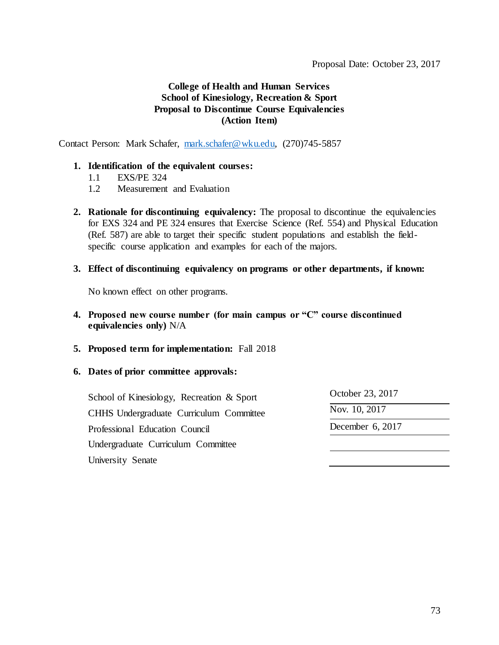# **College of Health and Human Services School of Kinesiology, Recreation & Sport Proposal to Discontinue Course Equivalencies (Action Item)**

Contact Person: Mark Schafer, [mark.schafer@wku.edu,](mailto:mark.schafer@wku.edu) (270)745-5857

### **1. Identification of the equivalent courses:**

- 1.1 EXS/PE 324
- 1.2 Measurement and Evaluation
- **2. Rationale for discontinuing equivalency:** The proposal to discontinue the equivalencies for EXS 324 and PE 324 ensures that Exercise Science (Ref. 554) and Physical Education (Ref. 587) are able to target their specific student populations and establish the fieldspecific course application and examples for each of the majors.
- **3. Effect of discontinuing equivalency on programs or other departments, if known:**

No known effect on other programs.

- **4. Proposed new course number (for main campus or "C" course discontinued equivalencies only)** N/A
- **5. Proposed term for implementation:** Fall 2018
- **6. Dates of prior committee approvals:**

School of Kinesiology, Recreation & Sport October 23, 2017 CHHS Undergraduate Curriculum Committee Nov. 10, 2017 Professional Education Council December 6, 2017 Undergraduate Curriculum Committee University Senate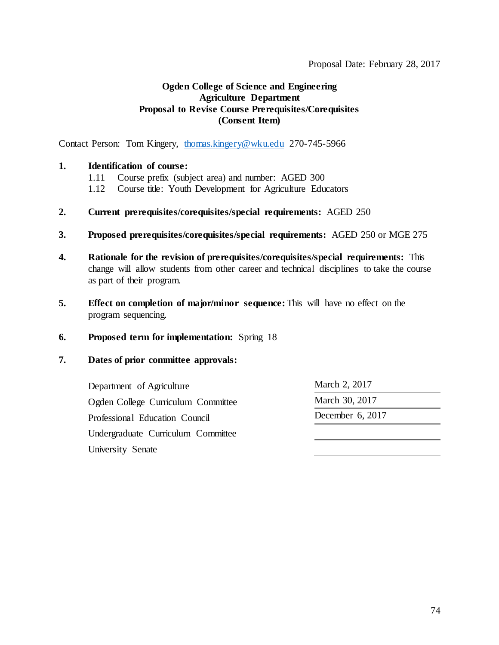# **Ogden College of Science and Engineering Agriculture Department Proposal to Revise Course Prerequisites/Corequisites (Consent Item)**

Contact Person: Tom Kingery, [thomas.kingery@wku.edu](mailto:thomas.kingery@wku.edu) 270-745-5966

## **1. Identification of course:**

- 1.11 Course prefix (subject area) and number: AGED 300
- 1.12 Course title: Youth Development for Agriculture Educators
- **2. Current prerequisites/corequisites/special requirements:** AGED 250
- **3. Proposed prerequisites/corequisites/special requirements:** AGED 250 or MGE 275
- **4. Rationale for the revision of prerequisites/corequisites/special requirements:** This change will allow students from other career and technical disciplines to take the course as part of their program.
- **5. Effect on completion of major/minor sequence:** This will have no effect on the program sequencing.
- **6. Proposed term for implementation:** Spring 18

## **7. Dates of prior committee approvals:**

Department of Agriculture March 2, 2017 Ogden College Curriculum Committee March 30, 2017 Professional Education Council December 6, 2017 Undergraduate Curriculum Committee University Senate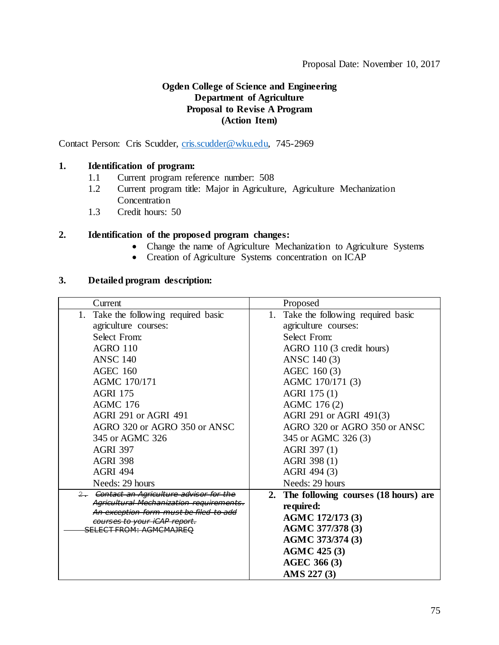# **Ogden College of Science and Engineering Department of Agriculture Proposal to Revise A Program (Action Item)**

Contact Person: Cris Scudder, [cris.scudder@wku.edu,](mailto:cris.scudder@wku.edu) 745-2969

## **1. Identification of program:**

- 1.1 Current program reference number: 508<br>1.2 Current program title: Maior in Agricultu
- 1.2 Current program title: Major in Agriculture, Agriculture Mechanization **Concentration**
- 1.3 Credit hours: 50

## **2. Identification of the proposed program changes:**

- Change the name of Agriculture Mechanization to Agriculture Systems
- Creation of Agriculture Systems concentration on ICAP

## **3. Detailed program description:**

| Current                                                                                                  | Proposed                                |
|----------------------------------------------------------------------------------------------------------|-----------------------------------------|
| 1. Take the following required basic                                                                     | 1. Take the following required basic    |
| agriculture courses:                                                                                     | agriculture courses:                    |
| <b>Select From:</b>                                                                                      | Select From:                            |
| <b>AGRO 110</b>                                                                                          | AGRO 110 (3 credit hours)               |
| <b>ANSC 140</b>                                                                                          | ANSC 140 (3)                            |
| <b>AGEC 160</b>                                                                                          | AGEC 160 (3)                            |
| <b>AGMC 170/171</b>                                                                                      | AGMC 170/171 (3)                        |
| <b>AGRI 175</b>                                                                                          | AGRI 175 (1)                            |
| <b>AGMC 176</b>                                                                                          | AGMC 176 (2)                            |
| AGRI 291 or AGRI 491                                                                                     | AGRI 291 or AGRI 491(3)                 |
| AGRO 320 or AGRO 350 or ANSC                                                                             | AGRO 320 or AGRO 350 or ANSC            |
| 345 or AGMC 326                                                                                          | 345 or AGMC 326 (3)                     |
| <b>AGRI 397</b>                                                                                          | AGRI 397 (1)                            |
| <b>AGRI 398</b>                                                                                          | AGRI 398 (1)                            |
| <b>AGRI 494</b>                                                                                          | AGRI 494 (3)                            |
| Needs: 29 hours                                                                                          | Needs: 29 hours                         |
| 2. Contact an Agriculture advisor for the                                                                | 2. The following courses (18 hours) are |
| Agricultural Mechanization requirements.                                                                 | required:                               |
| An exception form must be filed to add<br>courses to your iCAP report.<br><b>SELECT FROM: AGMCMAJREQ</b> | AGMC 172/173 (3)                        |
|                                                                                                          | AGMC 377/378 (3)                        |
|                                                                                                          | AGMC 373/374 (3)                        |
|                                                                                                          | <b>AGMC 425 (3)</b>                     |
|                                                                                                          | <b>AGEC 366 (3)</b>                     |
|                                                                                                          | AMS 227 (3)                             |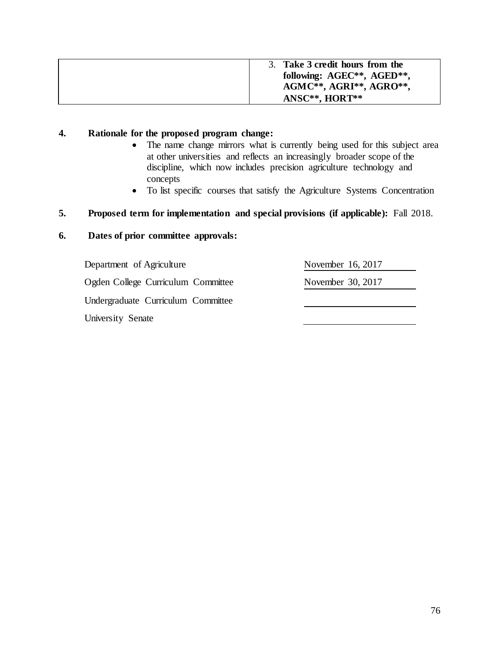| 3. Take 3 credit hours from the |
|---------------------------------|
| following: AGEC**, AGED**,      |
| AGMC**, AGRI**, AGRO**,         |
| $ANSC**$ , HORT**               |

# **4. Rationale for the proposed program change:**

- The name change mirrors what is currently being used for this subject area at other universities and reflects an increasingly broader scope of the discipline, which now includes precision agriculture technology and concepts
- To list specific courses that satisfy the Agriculture Systems Concentration

# **5. Proposed term for implementation and special provisions (if applicable):** Fall 2018.

## **6. Dates of prior committee approvals:**

Department of Agriculture November 16, 2017 Ogden College Curriculum Committee November 30, 2017 Undergraduate Curriculum Committee University Senate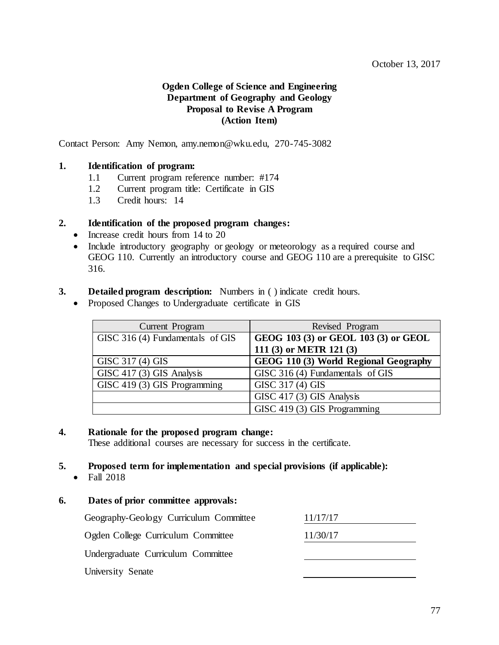# **Ogden College of Science and Engineering Department of Geography and Geology Proposal to Revise A Program (Action Item)**

Contact Person: Amy Nemon, amy.nemon@wku.edu, 270-745-3082

## **1. Identification of program:**

- 1.1 Current program reference number: #174
- 1.2 Current program title: Certificate in GIS
- 1.3 Credit hours: 14

#### **2. Identification of the proposed program changes:**

- Increase credit hours from 14 to 20
- Include introductory geography or geology or meteorology as a required course and GEOG 110. Currently an introductory course and GEOG 110 are a prerequisite to GISC 316.

## **3. Detailed program description:** Numbers in ( ) indicate credit hours.

• Proposed Changes to Undergraduate certificate in GIS

| Current Program                  | Revised Program                       |
|----------------------------------|---------------------------------------|
| GISC 316 (4) Fundamentals of GIS | GEOG 103 (3) or GEOL 103 (3) or GEOL  |
|                                  | 111 (3) or METR 121 (3)               |
| GISC 317 (4) GIS                 | GEOG 110 (3) World Regional Geography |
| GISC 417 (3) GIS Analysis        | GISC 316 (4) Fundamentals of GIS      |
| GISC 419 (3) GIS Programming     | GISC 317 (4) GIS                      |
|                                  | GISC 417 (3) GIS Analysis             |
|                                  | GISC 419 (3) GIS Programming          |

### **4. Rationale for the proposed program change:**

These additional courses are necessary for success in the certificate.

#### **5. Proposed term for implementation and special provisions (if applicable):**

• Fall 2018

## **6. Dates of prior committee approvals:**

| Geography-Geology Curriculum Committee | 11/17/17 |  |
|----------------------------------------|----------|--|
| Ogden College Curriculum Committee     | 11/30/17 |  |
| Undergraduate Curriculum Committee     |          |  |
| University Senate                      |          |  |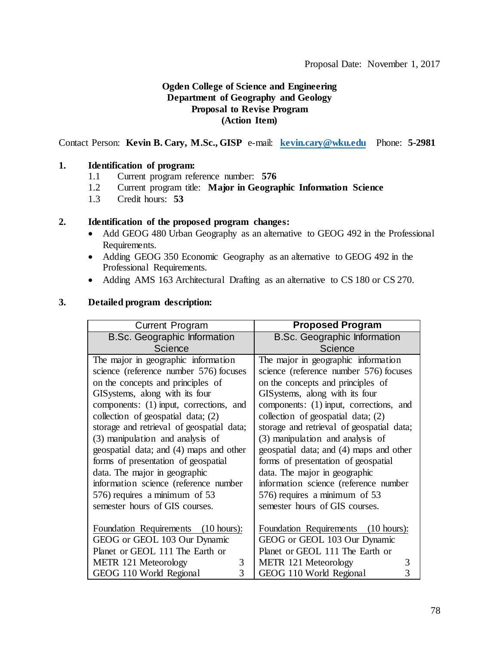# **Ogden College of Science and Engineering Department of Geography and Geology Proposal to Revise Program (Action Item)**

Contact Person: **Kevin B. Cary, M.Sc., GISP** e-mail: **[kevin.cary@wku.edu](mailto:kevin.cary@wku.edu)** Phone: **5-2981**

## **1. Identification of program:**

- 1.1 Current program reference number: **576**
- 1.2 Current program title: **Major in Geographic Information Science**
- 1.3 Credit hours: **53**

## **2. Identification of the proposed program changes:**

- Add GEOG 480 Urban Geography as an alternative to GEOG 492 in the Professional Requirements.
- Adding GEOG 350 Economic Geography as an alternative to GEOG 492 in the Professional Requirements.
- Adding AMS 163 Architectural Drafting as an alternative to CS 180 or CS 270.

| <b>Current Program</b>                    | <b>Proposed Program</b>                   |
|-------------------------------------------|-------------------------------------------|
| <b>B.Sc. Geographic Information</b>       | <b>B.Sc. Geographic Information</b>       |
| Science                                   | Science                                   |
| The major in geographic information       | The major in geographic information       |
| science (reference number 576) focuses    | science (reference number 576) focuses    |
| on the concepts and principles of         | on the concepts and principles of         |
| GISystems, along with its four            | GIS ystems, along with its four           |
| components: (1) input, corrections, and   | components: (1) input, corrections, and   |
| collection of geospatial data; (2)        | collection of geospatial data; (2)        |
| storage and retrieval of geospatial data; | storage and retrieval of geospatial data; |
| (3) manipulation and analysis of          | (3) manipulation and analysis of          |
| geospatial data; and (4) maps and other   | geospatial data; and (4) maps and other   |
| forms of presentation of geospatial       | forms of presentation of geospatial       |
| data. The major in geographic             | data. The major in geographic             |
| information science (reference number     | information science (reference number     |
| 576) requires a minimum of 53             | 576) requires a minimum of 53             |
| semester hours of GIS courses.            | semester hours of GIS courses.            |
| Foundation Requirements (10 hours):       | Foundation Requirements (10 hours):       |
| GEOG or GEOL 103 Our Dynamic              | GEOG or GEOL 103 Our Dynamic              |
| Planet or GEOL 111 The Earth or           | Planet or GEOL 111 The Earth or           |
| METR 121 Meteorology                      | METR 121 Meteorology                      |
| 3                                         | 3                                         |
| GEOG 110 World Regional                   | GEOG 110 World Regional                   |
| 3                                         | 3                                         |

### **3. Detailed program description:**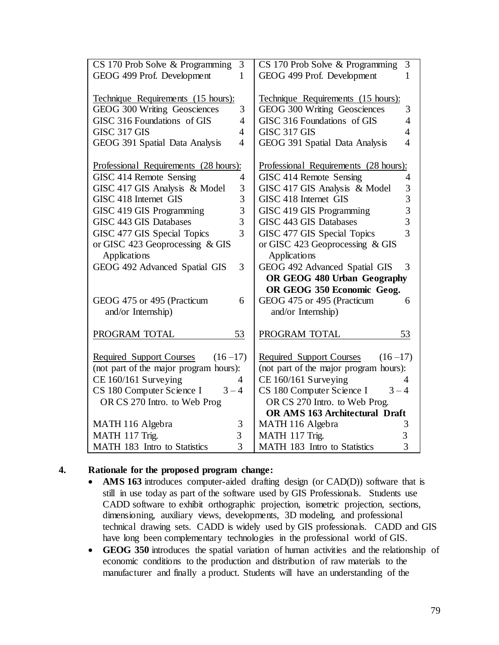| CS 170 Prob Solve & Programming              | 3              | CS 170 Prob Solve & Programming              | 3              |
|----------------------------------------------|----------------|----------------------------------------------|----------------|
| GEOG 499 Prof. Development                   | $\mathbf{1}$   | GEOG 499 Prof. Development                   | 1              |
|                                              |                |                                              |                |
| Technique Requirements (15 hours):           |                | Technique Requirements (15 hours):           |                |
| GEOG 300 Writing Geosciences                 | 3              | GEOG 300 Writing Geosciences                 | 3              |
| GISC 316 Foundations of GIS                  | $\overline{4}$ | GISC 316 Foundations of GIS                  | $\overline{4}$ |
| GISC 317 GIS                                 | $\overline{4}$ | GISC 317 GIS                                 | $\overline{4}$ |
| GEOG 391 Spatial Data Analysis               | $\overline{4}$ | GEOG 391 Spatial Data Analysis               | $\overline{4}$ |
|                                              |                |                                              |                |
| Professional Requirements (28 hours):        |                | Professional Requirements (28 hours):        |                |
| GISC 414 Remote Sensing                      | $\overline{4}$ | GISC 414 Remote Sensing                      | 4              |
| GISC 417 GIS Analysis & Model                | 3              | GISC 417 GIS Analysis & Model                | 3              |
| GISC 418 Internet GIS                        | 3              | GISC 418 Internet GIS                        | 3              |
| GISC 419 GIS Programming                     | $\overline{3}$ | GISC 419 GIS Programming                     | $\overline{3}$ |
| GISC 443 GIS Databases                       | $\overline{3}$ | GISC 443 GIS Databases                       | $\overline{3}$ |
| GISC 477 GIS Special Topics                  | 3              | GISC 477 GIS Special Topics                  | $\overline{3}$ |
| or GISC 423 Geoprocessing & GIS              |                | or GISC 423 Geoprocessing $&$ GIS            |                |
| Applications                                 |                | Applications                                 |                |
| GEOG 492 Advanced Spatial GIS                | 3              | GEOG 492 Advanced Spatial GIS                | 3              |
|                                              |                | OR GEOG 480 Urban Geography                  |                |
|                                              |                | OR GEOG 350 Economic Geog.                   |                |
| GEOG 475 or 495 (Practicum                   | 6              | GEOG 475 or 495 (Practicum                   | 6              |
| and/or Internship)                           |                | and/or Internship)                           |                |
|                                              |                |                                              |                |
| PROGRAM TOTAL                                | 53             | PROGRAM TOTAL                                | 53             |
|                                              |                |                                              |                |
| $(16-17)$<br><b>Required Support Courses</b> |                | <b>Required Support Courses</b><br>$(16-17)$ |                |
| (not part of the major program hours):       |                | (not part of the major program hours):       |                |
| $CE 160/161$ Surveying                       | $\overline{4}$ | CE 160/161 Surveying                         | 4              |
| CS 180 Computer Science I<br>$3 - 4$         |                | CS 180 Computer Science I<br>$3 - 4$         |                |
| OR CS 270 Intro. to Web Prog                 |                | OR CS 270 Intro. to Web Prog.                |                |
|                                              |                | OR AMS 163 Architectural Draft               |                |
| MATH 116 Algebra                             | 3              | MATH 116 Algebra                             | 3              |
| MATH 117 Trig.                               | 3              | MATH 117 Trig.                               | 3              |
| MATH 183 Intro to Statistics                 | $\overline{3}$ | MATH 183 Intro to Statistics                 | $\overline{3}$ |

## **4. Rationale for the proposed program change:**

- **AMS 163** introduces computer-aided drafting design (or CAD(D)) software that is still in use today as part of the software used by GIS Professionals. Students use CADD software to exhibit orthographic projection, isometric projection, sections, dimensioning, auxiliary views, developments, 3D modeling, and professional technical drawing sets. CADD is widely used by GIS professionals. CADD and GIS have long been complementary technologies in the professional world of GIS.
- **GEOG 350** introduces the spatial variation of human activities and the relationship of economic conditions to the production and distribution of raw materials to the manufacturer and finally a product. Students will have an understanding of the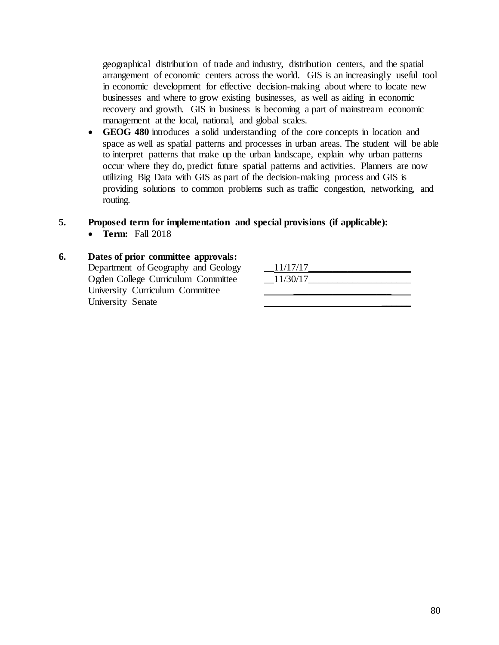geographical distribution of trade and industry, distribution centers, and the spatial arrangement of economic centers across the world. GIS is an increasingly useful tool in economic development for effective decision-making about where to locate new businesses and where to grow existing businesses, as well as aiding in economic recovery and growth. GIS in business is becoming a part of mainstream economic management at the local, national, and global scales.

 **GEOG 480** introduces a solid understanding of the core concepts in location and space as well as spatial patterns and processes in urban areas. The student will be able to interpret patterns that make up the urban landscape, explain why urban patterns occur where they do, predict future spatial patterns and activities. Planners are now utilizing Big Data with GIS as part of the decision-making process and GIS is providing solutions to common problems such as traffic congestion, networking, and routing.

## **5. Proposed term for implementation and special provisions (if applicable):**

**Term:** Fall 2018

## **6. Dates of prior committee approvals:**

Department of Geography and Geology Ogden College Curriculum Committee University Curriculum Committee University Senate

| 11/17/17 |  |
|----------|--|
| 11/30/17 |  |
|          |  |